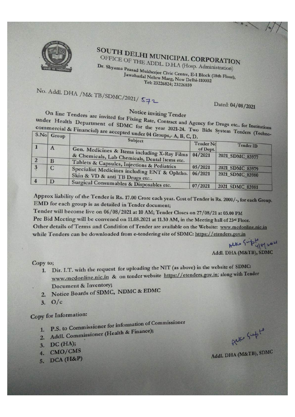

# SOUTH DELHI MUNICIPAL CORPORATION OFFICE OF THE ADDL. D.H.A (Hosp. Administration)

Dr. Shyama Prasad Mukherjee Civic Centre, E-1 Block (18th Floor), Jawaharlal Nehru Marg, New Delhi-110002 Tel: 23226824; 23226859

No. Addl. DHA / M& TB/SDMC/2021/ 572

### Dated: 04/08/2021

**Notice inviting Tender** 

On line Tenders are invited for Fixing Rate, Contract and Agency for Drugs etc.. for Institutions under Health Department of SDMC for the year 2021-24. Two Bids System Tenders (Technocommercial & Financial) are accepted under 04 Groups,- A, B, C, I

|             | Subject                                                                       | Tender No |                 |
|-------------|-------------------------------------------------------------------------------|-----------|-----------------|
| $\bf{A}$    | Gen. Medicines & Items including X-Ray Films                                  | of Dept.  | Tender ID       |
|             | & Chemicals, Lab Chemicals, Dental Items etc.                                 | 04/2021   | 2021 SDMC 83977 |
| B           | Tablets & Capsules, Injections & Pediatrics                                   |           |                 |
| $\mathbf C$ |                                                                               | 05/2021   | 2021 SDMC 83979 |
|             | Specialist Medicines including ENT & Ophtho.<br>Skin & VD & anti TB Drugs etc | 06/2021   | 2021 SDMC 83980 |
| D           | Surgical Consumables & Disposables etc.                                       |           |                 |
|             |                                                                               | 07/2021   | 2021 SDMC 83981 |

Approx liability of the Tender is Rs. 17.00 Crore each year. Cost of Tender is Rs. 2000/-, for each Group. EMD for each group is as detailed in Tender document;

Tender will become live on 06/08/2021 at 10 AM; Tender Closes on 27/08/21 at 03.00 PM Pre Bid Meeting will be convened on 11.08.2021 at 11.30 AM, in the Meeting hall of 23rd Floor. Other details of Terms and Condition of Tender are available on the Website: www.mcdonline.nic.in while Tenders can be downloaded from e-tendering site of SDMC: https://etenders.gov.in

Alko Suphyspor

Addl. DHA (M&TB), SDMC

Copy to;

- 1. Dir. I.T. with the request for uploading the NIT (as above) in the website of SDMC: www.mcdonline.nic.in & on tender website https://etenders.gov.in; along with Tender Document & Inventory;
- 2. Notice Boards of SDMC, NDMC & EDMC
- $3.0/c$

## Copy for Information:

- 1. P.S. to Commissioner for information of Commissioner
- 2. Addl. Commissioner (Health & Finance);
- 3. DC (HA);
- 4. CMO/CMS
- 5. DCA (H&P)

Alle Supto

Addl. DHA (M&TB), SDMC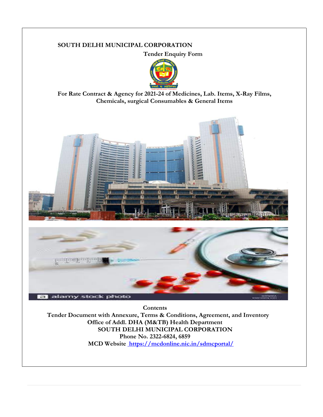#### **SOUTH DELHI MUNICIPAL CORPORATION**

**Tender Enquiry Form**



**For Rate Contract & Agency for 2021-24 of Medicines, Lab. Items, X-Ray Films, Chemicals, surgical Consumables & General Items**





**Contents Tender Document with Annexure, Terms & Conditions, Agreement, and Inventory Office of Addl. DHA (M&TB) Health Department SOUTH DELHI MUNICIPAL CORPORATION Phone No. 2322-6824, 6859 MCD Website [https://mcdonline.nic.in/sdmcportal/](file:///E:/RCA%202021-24/%20https:/mcdonline.nic.in/sdmcportal/)**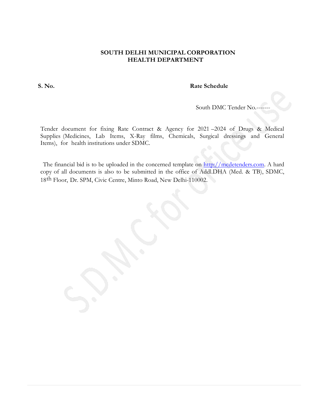#### **SOUTH DELHI MUNICIPAL CORPORATION HEALTH DEPARTMENT**

#### **S. No. Rate Schedule**

South DMC Tender No.

Tender document for fixing Rate Contract & Agency for 2021 –2024 of Drugs & Medical Supplies (Medicines, Lab Items, X-Ray films, Chemicals, Surgical dressings and General Items), for health institutions under SDMC.

The financial bid is to be uploaded in the concerned template on [http://mcdetenders.com.](http://mcdetenders.com/) A hard copy of all documents is also to be submitted in the office of Addl.DHA (Med. & TB), SDMC, 18th Floor, Dr. SPM, Civic Centre, Minto Road, New Delhi-110002.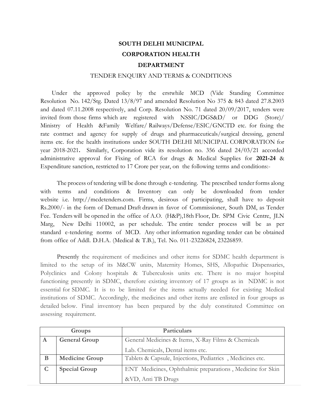### **SOUTH DELHI MUNICIPAL CORPORATION HEALTH DEPARTMENT**

#### TENDER ENQUIRY AND TERMS & CONDITIONS

Under the approved policy by the erstwhile MCD (Vide Standing Committee Resolution No. 142/Stg. Dated 13/8/97 and amended Resolution No 375 & 843 dated 27.8.2003 and dated 07.11.2008 respectively, and Corp. Resolution No. 71 dated 20/09/2017, tenders were invited from those firms which are registered with NSSIC/DGS&D/ or DDG (Store)/ Ministry of Health &Family Welfare/ Railways/Defense/ESIC/GNCTD etc. for fixing the rate contract and agency for supply of drugs and pharmaceuticals/surgical dressing, general items etc. for the health institutions under SOUTH DELHI MUNICIPAL CORPORATION for year 2018-2021**.** Similarly, Corporation vide its resolution no. 356 dated 24/03/21 accorded administrative approval for Fixing of RCA for drugs & Medical Supplies for **2021-24** & Expenditure sanction, restricted to 17 Crore per year, on the following terms and conditions:-

The process of tendering will be done through e-tendering. The prescribed tender forms along with terms and conditions & Inventory can only be downloaded from tender website i.e. [http://mcdetenders.com.](http://mcdetenders.com/) Firms, desirous of participating, shall have to deposit Rs.2000/- in the form of Demand Draft drawn in favor of Commissioner, South DM, as Tender Fee. Tenders will be opened in the office of A.O. (H&P),18th Floor, Dr. SPM Civic Centre, JLN Marg, New Delhi 110002, as per schedule. The entire tender process will be as per standard e-tendering norms of MCD. Any other information regarding tender can be obtained from office of Addl. D.H.A. (Medical & T.B.), Tel. No. 011-23226824, 23226859.

Presently the requirement of medicines and other items for SDMC health department is limited to the setup of its M&CW units, Maternity Homes, SHS, Allopathic Dispensaries, Polyclinics and Colony hospitals & Tuberculosis units etc. There is no major hospital functioning presently in SDMC, therefore existing inventory of 17 groups as in NDMC is not essential for SDMC. It is to be limited for the items actually needed for existing Medical institutions of SDMC. Accordingly, the medicines and other items are enlisted in four groups as detailed below. Final inventory has been prepared by the duly constituted Committee on assessing requirement.

| Groups |                                                                            | Particulars                                               |
|--------|----------------------------------------------------------------------------|-----------------------------------------------------------|
| A      | General Medicines & Items, X-Ray Films & Chemicals<br><b>General Group</b> |                                                           |
|        |                                                                            | Lab. Chemicals, Dental items etc.                         |
| B      | <b>Medicine Group</b>                                                      | Tablets & Capsule, Injections, Pediatrics, Medicines etc. |
|        | <b>Special Group</b>                                                       | ENT Medicines, Ophthalmic preparations, Medicine for Skin |
|        |                                                                            | &VD, Anti TB Drugs                                        |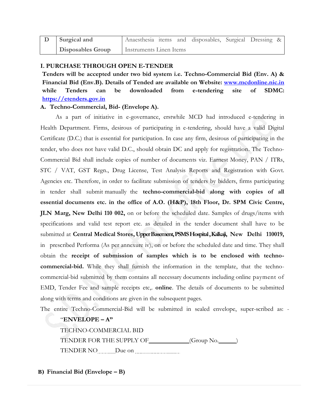| Surgical and             | Anaesthesia items and disposables, Surgical Dressing & |  |  |  |
|--------------------------|--------------------------------------------------------|--|--|--|
| <b>Disposables Group</b> | Instruments Linen Items                                |  |  |  |

#### **I. PURCHASE THROUGH OPEN E-TENDER**

**Tenders will be accepted under two bid system i.e. Techno-Commercial Bid (Env. A) & Financial Bid (Env.B). Details of Tended are available on Website: [www.mcdonline.nic.in](http://www.mcdonline.nic.in/) while Tenders can be downloaded from e-tendering site of SDMC: [https://etenders.gov.in](https://etenders.gov.in/)**

#### **A. Techno-Commercial, Bid- (Envelope A).**

As a part of initiative in e-governance, erstwhile MCD had introduced e-tendering in Health Department. Firms, desirous of participating in e-tendering, should have a valid Digital Certificate (D.C.) that is essential for participation. In case any firm, desirous of participating in the tender, who does not have valid D.C., should obtain DC and apply for registration. The Techno-Commercial Bid shall include copies of number of documents viz. Earnest Money, PAN / ITRs, STC / VAT, GST Regn., Drug License, Test Analysis Reports and Registration with Govt. Agencies etc. Therefore, in order to facilitate submission of tenders by bidders, firms participating in tender shall submit manually the **techno-commercial-bid along with copies of all essential documents etc. in the office of A.O. (H&P), 18th Floor, Dr. SPM Civic Centre, JLN Marg, New Delhi 110 002,** on or before the scheduled date. Samples of drugs/items with specifications and valid test report etc. as detailed in the tender document shall have to be submitted at **Central Medical Stores, Upper Basement, PSMS Hospital , Kalkaji, New Delhi 110019,** in prescribed Performa (As per annexure iv), on or before the scheduled date and time. They shall obtain the **receipt of submission of samples which is to be enclosed with technocommercial-bid.** While they shall furnish the information in the template, that the technocommercial-bid submitted by them contains all necessary documents including online payment of EMD, Tender Fee and sample receipts etc,. **online**. The details of documents to be submitted along with terms and conditions are given in the subsequent pages.

The entire Techno-Commercial-Bid will be submitted in sealed envelope, super-scribed as: -

#### "**ENVELOPE – A"**

TECHNO-COMMERCIAL BID TENDER FOR THE SUPPLY OF (Group No. ) TENDER NO Due on **Due on** 

**B) Financial Bid (Envelope – B)**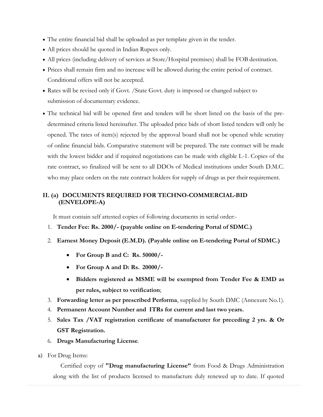- The entire financial bid shall be uploaded as per template given in the tender.
- All prices should be quoted in Indian Rupees only.
- All prices (including delivery of services at Store/Hospital premises) shall be FOB destination.
- Prices shall remain firm and no increase will be allowed during the entire period of contract. Conditional offers will not be accepted.
- Rates will be revised only if Govt. /State Govt. duty is imposed or changed subject to submission of documentary evidence.
- The technical bid will be opened first and tenders will be short listed on the basis of the predetermined criteria listed hereinafter. The uploaded price bids of short listed tenders will only be opened. The rates of item(s) rejected by the approval board shall not be opened while scrutiny of online financial bids. Comparative statement will be prepared. The rate contract will be made with the lowest bidder and if required negotiations can be made with eligible L-1. Copies of the rate contract, so finalized will be sent to all DDOs of Medical institutions under South D.M.C. who may place orders on the rate contract holders for supply of drugs as per their requirement.

### **II. (a) DOCUMENTS REQUIRED FOR TECHNO-COMMERCIAL-BID (ENVELOPE-A)**

It must contain self attested copies of following documents in serial order:-

- 1. **Tender Fee: Rs. 2000/- (payable online on E-tendering Portal of SDMC.)**
- 2. **Earnest Money Deposit (E.M.D). (Payable online on E-tendering Portal of SDMC.)**
	- **For Group B and C: Rs. 50000/-**
	- **For Group A and D: Rs. 20000/-**
	- **Bidders registered as MSME will be exempted from Tender Fee & EMD as per rules, subject to verification**;
- 3. **Forwarding letter as per prescribed Performa**, supplied by South DMC (Annexure No.1).
- 4. **Permanent Account Number and ITRs for current and last two years.**
- 5. **Sales Tax /VAT registration certificate of manufacturer for preceding 2 yrs. & Or GST Registration.**
- 6. **Drugs Manufacturing License**.
- a) For Drug Items:

Certified copy of **"Drug manufacturing License"** from Food & Drugs Administration along with the list of products licensed to manufacture duly renewed up to date. If quoted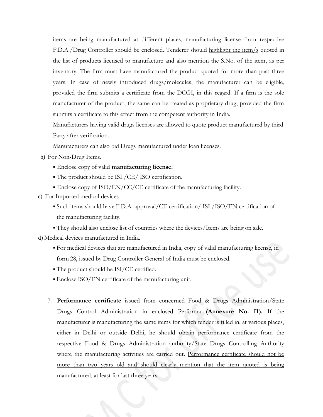items are being manufactured at different places, manufacturing license from respective F.D.A./Drug Controller should be enclosed. Tenderer should highlight the item/s quoted in the list of products licensed to manufacture and also mention the S.No. of the item, as per inventory. The firm must have manufactured the product quoted for more than past three years. In case of newly introduced drugs/molecules, the manufacturer can be eligible, provided the firm submits a certificate from the DCGI, in this regard. If a firm is the sole manufacturer of the product, the same can be treated as proprietary drug, provided the firm submits a certificate to this effect from the competent authority in India.

Manufacturers having valid drugs licenses are allowed to quote product manufactured by third Party after verification.

Manufacturers can also bid Drugs manufactured under loan licenses.

- b) For Non-Drug Items.
	- Enclose copy of valid **manufacturing license.**
	- The product should be ISI /CE/ ISO certification.
	- $\blacktriangleright$  Enclose copy of ISO/EN/CC/CE certificate of the manufacturing facility.
- c) For Imported medical devices
	- Such items should have F.D.A. approval/CE certification/ ISI /ISO/EN certification of the manufacturing facility.
	- They should also enclose list of countries where the devices/Items are being on sale.

d) Medical devices manufactured in India.

- For medical devices that are manufactured in India, copy of valid manufacturing license, in form 28, issued by Drug Controller General of India must be enclosed.
- The product should be ISI/CE certified.
- Enclose ISO/EN certificate of the manufacturing unit.
- 7. **Performance certificate** issued from concerned Food & Drugs Administration/State Drugs Control Administration in enclosed Performa **(Annexure No. II).** If the manufacturer is manufacturing the same items for which tender is filled in, at various places, either in Delhi or outside Delhi, he should obtain performance certificate from the respective Food & Drugs Administration authority/State Drugs Controlling Authority where the manufacturing activities are carried out. Performance certificate should not be more than two years old and should clearly mention that the item quoted is being manufactured, at least for last three years.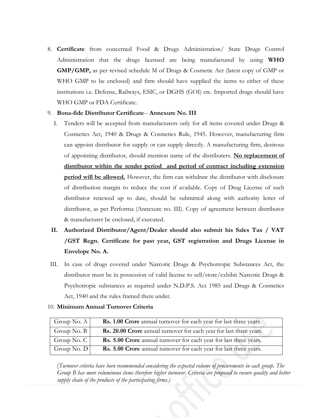8. **Certificate** from concerned Food & Drugs Administration/ State Drugs Control Administration that the drugs licensed are being manufactured by using **WHO GMP/GMP,** as per revised schedule M of Drugs & Cosmetic Act (latest copy of GMP or WHO GMP to be enclosed) and firm should have supplied the items to either of these institutions i.e. Defense, Railways, ESIC, or DGHS (GOI) etc. Imported drugs should have WHO GMP or FDA Certificate.

#### 9. **Bona-fide Distributor Certificate**-- **Annexure No. III**

- I. Tenders will be accepted from manufacturers only for all items covered under Drugs & Cosmetics Act, 1940 & Drugs & Cosmetics Rule, 1945. However, manufacturing firm can appoint distributor for supply or can supply directly. A manufacturing firm, desirous of appointing distributor, should mention name of the distributers. **No replacement of distributor within the tender period and period of contract including extension period will be allowed.** However, the firm can withdraw the distributor with disclosure of distribution margin to reduce the cost if available. Copy of Drug License of such distributor renewed up to date, should be submitted along with authority letter of distributor, as per Performa (Annexure no. III). Copy of agreement between distributor & manufacturer be enclosed, if executed.
- **II. Authorized Distributor/Agent/Dealer should also submit his Sales Tax / VAT /GST Regn. Certificate for past year, GST registration and Drugs License in Envelope No. A.**
- III. In case of drugs covered under Narcotic Drugs & Psychotropic Substances Act, the distributor must be in possession of valid license to sell/store/exhibit Narcotic Drugs & Psychotropic substances as required under N.D.P.S. Act 1985 and Drugs & Cosmetics Act, 1940 and the rules framed there under.

| Group No. $A$           | <b>Rs. 1.00 Crore</b> annual turnover for each year for last three years. |
|-------------------------|---------------------------------------------------------------------------|
| Group No. $B \mid$      | Rs. 20.00 Crore annual turnover for each year for last three years.       |
| Group No. $C \parallel$ | Rs. 5.00 Crore annual turnover for each year for last three years.        |
| Group No. $D$           | Rs. 5.00 Crore annual turnover for each year for last three years.        |

#### 10. **Minimum Annual Turnover Criteria**

(*Turnover criteria have been recommended considering the expected volume of procurements in each group. The Group B has more voluminous items therefore higher turnover. Criteria are proposed to ensure quality and better supply chain of the products of the participating firms.)*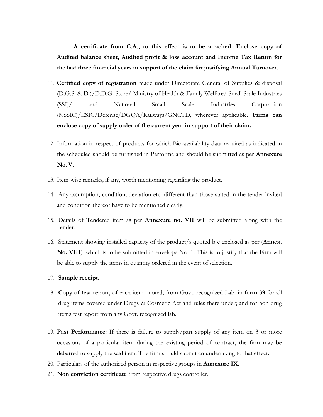**A certificate from C.A., to this effect is to be attached. Enclose copy of Audited balance sheet, Audited profit & loss account and Income Tax Return for the last three financial years in support of the claim for justifying Annual Turnover.**

- 11. **Certified copy of registration** made under Directorate General of Supplies & disposal (D.G.S. & D.)/D.D.G. Store/ Ministry of Health & Family Welfare/ Small Scale Industries (SSI)/ and National Small Scale Industries Corporation (NSSIC)/ESIC/Defense/DGQA/Railways/GNCTD, wherever applicable. **Firms can enclose copy of supply order of the current year in support of their claim.**
- 12. Information in respect of products for which Bio-availability data required as indicated in the scheduled should be furnished in Performa and should be submitted as per **Annexure No.V.**
- 13. Item-wise remarks, if any, worth mentioning regarding the product.
- 14. Any assumption, condition, deviation etc. different than those stated in the tender invited and condition thereof have to be mentioned clearly.
- 15. Details of Tendered item as per **Annexure no. VII** will be submitted along with the tender.
- 16. Statement showing installed capacity of the product/s quoted b e enclosed as per (**Annex. No. VIII**), which is to be submitted in envelope No. 1. This is to justify that the Firm will be able to supply the items in quantity ordered in the event of selection.
- 17. **Sample receipt.**
- 18. **Copy of test report**, of each item quoted, from Govt. recognized Lab. in **form 39** for all drug items covered under Drugs & Cosmetic Act and rules there under; and for non-drug items test report from any Govt. recognized lab.
- 19. **Past Performance**: If there is failure to supply/part supply of any item on 3 or more occasions of a particular item during the existing period of contract, the firm may be debarred to supply the said item. The firm should submit an undertaking to that effect.
- 20. Particulars of the authorized person in respective groups in **Annexure IX.**
- 21. **Non conviction certificate** from respective drugs controller.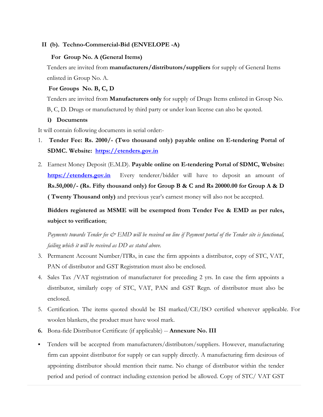#### **II (b). Techno-Commercial-Bid (ENVELOPE -A)**

#### **For Group No. A (General Items)**

Tenders are invited from **manufacturers/distributors/suppliers** for supply of General Items enlisted in Group No. A.

#### **For Groups No. B, C, D**

Tenders are invited from **Manufacturers only** for supply of Drugs Items enlisted in Group No. B, C, D. Drugs or manufactured by third party or under loan license can also be quoted.

#### **i) Documents**

It will contain following documents in serial order:-

- 1. **Tender Fee: Rs. 2000/- (Two thousand only) payable online on E-tendering Portal of SDMC. Website: [https://etenders.gov.in](https://etenders.gov.in/)**
- 2. Earnest Money Deposit (E.M.D). **Payable online on E-tendering Portal of SDMC, Website: [https://etenders.gov.in](https://etenders.gov.in/)** Every tenderer/bidder will have to deposit an amount of **Rs.50,000/- (Rs. Fifty thousand only) for Group B & C and Rs 20000.00 for Group A & D ( Twenty Thousand only)** and previous year's earnest money will also not be accepted.

**Bidders registered as MSME will be exempted from Tender Fee & EMD as per rules, subject to verification**;

*Payments towards Tender fee & EMD will be received on line if Payment portal of the Tender site is functional, failing which it will be received as DD as stated above.*

- 3. Permanent Account Number/ITRs, in case the firm appoints a distributor, copy of STC, VAT, PAN of distributor and GST Registration must also be enclosed.
- 4. Sales Tax /VAT registration of manufacturer for preceding 2 yrs. In case the firm appoints a distributor, similarly copy of STC, VAT, PAN and GST Regn. of distributor must also be enclosed.
- 5. Certification. The items quoted should be ISI marked/CE/ISO certified wherever applicable. For woolen blankets, the product must have wool mark.
- **6.** Bona-fide Distributor Certificate (if applicable) -- **Annexure No. III**
- Tenders will be accepted from manufacturers/distributors/suppliers. However, manufacturing firm can appoint distributor for supply or can supply directly. A manufacturing firm desirous of appointing distributor should mention their name. No change of distributor within the tender period and period of contract including extension period be allowed. Copy of STC/ VAT GST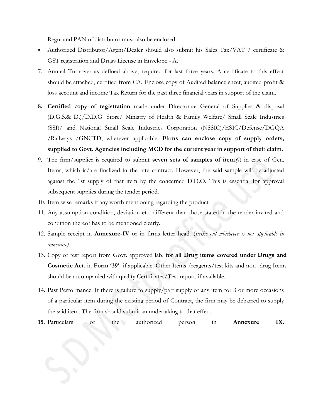Regn. and PAN of distributor must also be enclosed.

- Authorized Distributor/Agent/Dealer should also submit his Sales Tax/VAT / certificate & GST registration and Drugs License in Envelope - A.
- 7. Annual Turnover as defined above, required for last three years. A certificate to this effect should be attached, certified from CA. Enclose copy of Audited balance sheet, audited profit & loss account and income Tax Return for the past three financial years in support of the claim.
- **8. Certified copy of registration** made under Directorate General of Supplies & disposal (D.G.S.& D.)/D.D.G. Store/ Ministry of Health & Family Welfare/ Small Scale Industries (SSI)/ and National Small Scale Industries Corporation (NSSIC)/ESIC/Defense/DGQA /Railways /GNCTD, wherever applicable. **Firms can enclose copy of supply orders, supplied to Govt. Agencies including MCD for the current year in support of their claim.**
- 9. The firm/supplier is required to submit **seven sets of samples of item(**s) in case of Gen. Items, which is/are finalized in the rate contract. However, the said sample will be adjusted against the 1st supply of that item by the concerned D.D.O. This is essential for approval subsequent supplies during the tender period.
- 10. Item-wise remarks if any worth mentioning regarding the product.
- 11. Any assumption condition, deviation etc. different than those stated in the tender invited and condition thereof has to be mentioned clearly.
- 12. Sample receipt in **Annexure-IV** or in firms letter head. (*strike out whichever is not applicable in annexure)*
- 13. Copy of test report from Govt. approved lab, **for all Drug items covered under Drugs and Cosmetic Act.** in **Form '39'** if applicable. Other Items /reagents/test kits and non- drug Items should be accompanied with quality Certificates/Test report, if available.
- 14. Past Performance: If there is failure to supply/part supply of any item for 3 or more occasions of a particular item during the existing period of Contract, the firm may be debarred to supply the said item. The firm should submit an undertaking to that effect.
- **15.** Particulars of the authorized person in **Annexure IX.**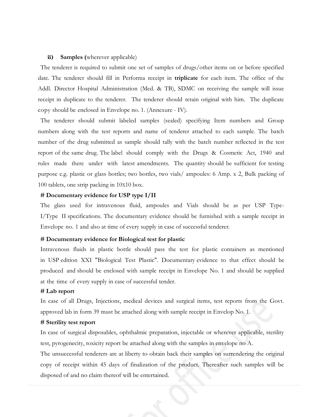#### **ii) Samples (**wherever applicable)

The tenderer is required to submit one set of samples of drugs/other items on or before specified date. The tenderer should fill in Performa receipt in **triplicate** for each item. The office of the Addl. Director Hospital Administration (Med. & TB), SDMC on receiving the sample will issue receipt in duplicate to the tenderer. The tenderer should retain original with him. The duplicate copy should be enclosed in Envelope no. 1. (Annexure - IV).

The tenderer should submit labeled samples (sealed) specifying Item numbers and Group numbers along with the test reports and name of tenderer attached to each sample. The batch number of the drug submitted as sample should tally with the batch number reflected in the test report of the same drug. The label should comply with the Drugs & Cosmetic Act, 1940 and rules made there under with latest amendments. The quantity should be sufficient for testing purpose e.g. plastic or glass bottles; two bottles, two vials/ ampoules: 6 Amp. x 2, Bulk packing of 100 tablets, one strip packing in 10X10 box.

#### **# Documentary evidence for USP type I/II**

The glass used for intravenous fluid, ampoules and Vials should be as per USP Type-I/Type II specifications. The documentary evidence should be furnished with a sample receipt in Envelope no. 1 and also at time of every supply in case of successful tenderer.

#### **# Documentary evidence for Biological test for plastic**

Intravenous fluids in plastic bottle should pass the test for plastic containers as mentioned in USP edition XXI "Biological Test Plastic". Documentary evidence to that effect should be produced and should be enclosed with sample receipt in Envelope No. 1 and should be supplied at the time of every supply in case of successful tender.

#### **# Lab report**

In case of all Drugs, Injections, medical devices and surgical items, test reports from the Govt. approved lab in form 39 must be attached along with sample receipt in Envelop No. 1.

#### **# Sterility test report**

In case of surgical disposables, ophthalmic preparation, injectable or wherever applicable, sterility test, pyrogenecity, toxicity report be attached along with the samples in envelope no A.

The unsuccessful tenderers are at liberty to obtain back their samples on surrendering the original copy of receipt within 45 days of finalization of the product. Thereafter such samples will be disposed of and no claim thereof will be entertained.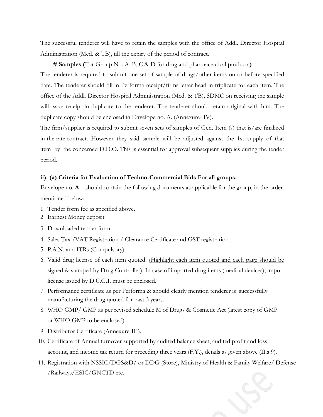The successful tenderer will have to retain the samples with the office of Addl. Director Hospital Administration (Med. & TB), till the expiry of the period of contract.

 **# Samples (**For Group No. A, B, C & D for drug and pharmaceutical products**)**

The tenderer is required to submit one set of sample of drugs/other items on or before specified date. The tenderer should fill in Performa receipt/firms letter head in triplicate for each item. The office of the Addl. Director Hospital Administration (Med. & TB), SDMC on receiving the sample will issue receipt in duplicate to the tenderer. The tenderer should retain original with him. The duplicate copy should be enclosed in Envelope no. A. (Annexure- IV).

The firm/supplier is required to submit seven sets of samples of Gen. Item (s) that is/are finalized in the rate contract. However they said sample will be adjusted against the 1st supply of that item by the concerned D.D.O. This is essential for approval subsequent supplies during the tender period.

#### **ii). (a) Criteria for Evaluation of Techno-Commercial Bids For all groups.**

Envelope no. **A** should contain the following documents as applicable for the group, in the order mentioned below:

- 1. Tender form fee as specified above.
- 2. Earnest Money deposit
- 3. Downloaded tender form.
- 4. Sales Tax /VAT Registration / Clearance Certificate and GST registration.
- 5. P.A.N. and ITRs (Compulsory).
- 6. Valid drug license of each item quoted. (Highlight each item quoted and each page should be signed & stamped by Drug Controller). In case of imported drug items (medical devices), import license issued by D.C.G.I. must be enclosed.
- 7. Performance certificate as per Performa & should clearly mention tenderer is successfully manufacturing the drug quoted for past 3 years.
- 8. WHO GMP/ GMP as per revised schedule M of Drugs & Cosmetic Act (latest copy of GMP or WHO GMP to be enclosed).
- 9. Distributor Certificate (Annexure-III).
- 10. Certificate of Annual turnover supported by audited balance sheet, audited profit and loss account, and income tax return for preceding three years (F.Y.), details as given above (II.a.9).
- 11. Registration with NSSIC/DGS&D/ or DDG (Store), Ministry of Health & Family Welfare/ Defense /Railways/ESIC/GNCTD etc.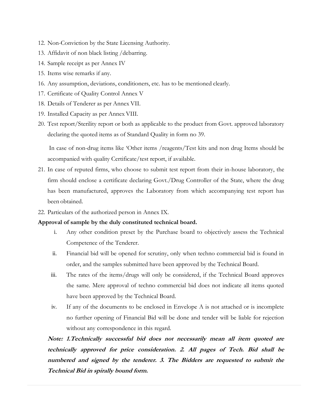- 12. Non-Conviction by the State Licensing Authority.
- 13. Affidavit of non black listing /debarring.
- 14. Sample receipt as per Annex IV
- 15. Items wise remarks if any.
- 16. Any assumption, deviations, conditioners, etc. has to be mentioned clearly.
- 17. Certificate of Quality Control Annex V
- 18. Details of Tenderer as per Annex VII.
- 19. Installed Capacity as per Annex VIII.
- 20. Test report/Sterility report or both as applicable to the product from Govt. approved laboratory declaring the quoted items as of Standard Quality in form no 39.

In case of non-drug items like 'Other items /reagents/Test kits and non drug Items should be accompanied with quality Certificate/test report, if available.

- 21. In case of reputed firms, who choose to submit test report from their in-house laboratory, the firm should enclose a certificate declaring Govt./Drug Controller of the State, where the drug has been manufactured, approves the Laboratory from which accompanying test report has been obtained.
- 22. Particulars of the authorized person in Annex IX.

#### **Approval of sample by the duly constituted technical board.**

- i. Any other condition preset by the Purchase board to objectively assess the Technical Competence of the Tenderer.
- ii. Financial bid will be opened for scrutiny, only when techno commercial bid is found in order, and the samples submitted have been approved by the Technical Board.
- iii. The rates of the items/drugs will only be considered, if the Technical Board approves the same. Mere approval of techno commercial bid does not indicate all items quoted have been approved by the Technical Board.
- iv. If any of the documents to be enclosed in Envelope A is not attached or is incomplete no further opening of Financial Bid will be done and tender will be liable for rejection without any correspondence in this regard.

**Note: 1.Technically successful bid does not necessarily mean all item quoted are technically approved for price consideration. 2. All pages of Tech. Bid shall be numbered and signed by the tenderer. 3. The Bidders are requested to submit the Technical Bid in spirally bound form.**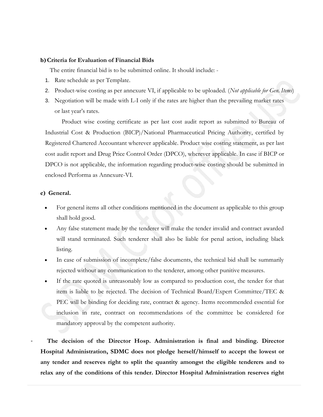#### **b)Criteria for Evaluation of Financial Bids**

The entire financial bid is to be submitted online. It should include: -

- 1. Rate schedule as per Template.
- 2. Product-wise costing as per annexure VI, if applicable to be uploaded. (*Not applicable for Gen. Items*)
- 3. Negotiation will be made with L-I only if the rates are higher than the prevailing market rates or last year's rates.

Product wise costing certificate as per last cost audit report as submitted to Bureau of Industrial Cost & Production (BICP)/National Pharmaceutical Pricing Authority, certified by Registered Chartered Accountant wherever applicable. Product wise costing statement, as per last cost audit report and Drug Price Control Order (DPCO), wherever applicable. In case if BICP or DPCO is not applicable, the information regarding product-wise costing should be submitted in enclosed Performa as Annexure-VI.

#### **c) General.**

- For general items all other conditions mentioned in the document as applicable to this group shall hold good.
- Any false statement made by the tenderer will make the tender invalid and contract awarded will stand terminated. Such tenderer shall also be liable for penal action, including black listing.
- In case of submission of incomplete/false documents, the technical bid shall be summarily rejected without any communication to the tenderer, among other punitive measures.
- If the rate quoted is unreasonably low as compared to production cost, the tender for that item is liable to be rejected. The decision of Technical Board/Expert Committee/TEC & PEC will be binding for deciding rate, contract & agency. Items recommended essential for inclusion in rate, contract on recommendations of the committee be considered for mandatory approval by the competent authority.

The decision of the Director Hosp. Administration is final and binding. Director **Hospital Administration, SDMC does not pledge herself/himself to accept the lowest or any tender and reserves right to split the quantity amongst the eligible tenderers and to relax any of the conditions of this tender. Director Hospital Administration reserves right**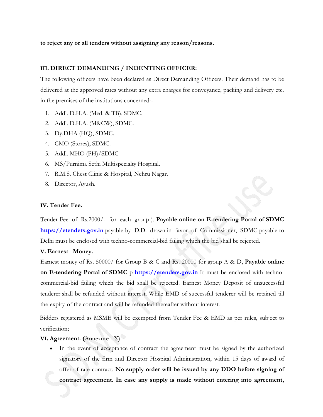**to reject any or all tenders without assigning any reason/reasons.**

#### **III. DIRECT DEMANDING / INDENTING OFFICER:**

The following officers have been declared as Direct Demanding Officers. Their demand has to be delivered at the approved rates without any extra charges for conveyance, packing and delivery etc. in the premises of the institutions concerned:-

- 1. Addl. D.H.A. (Med. & TB), SDMC.
- 2. Addl. D.H.A. (M&CW), SDMC.
- 3. Dy.DHA (HQ), SDMC.
- 4. CMO (Stores), SDMC.
- 5. Addl. MHO (PH)/SDMC
- 6. MS/Purnima Sethi Multispecialty Hospital.
- 7. R.M.S. Chest Clinic & Hospital, Nehru Nagar.
- 8. Director, Ayush.

#### **IV. Tender Fee.**

Tender Fee of Rs.2000/- for each group ). **Payable online on E-tendering Portal of SDMC [https://etenders.gov.in](https://etenders.gov.in/)** payable by D.D. drawn in favor of Commissioner, SDMC payable to Delhi must be enclosed with techno-commercial-bid failing which the bid shall be rejected.

#### **V. Earnest Money.**

Earnest money of Rs. 50000/ for Group B & C and Rs. 20000 for group A & D, **Payable online on E-tendering Portal of SDMC** p **[https://etenders.gov.in](https://etenders.gov.in/)** It must be enclosed with technocommercial-bid failing which the bid shall be rejected. Earnest Money Deposit of unsuccessful tenderer shall be refunded without interest. While EMD of successful tenderer will be retained till the expiry of the contract and will be refunded thereafter without interest.

Bidders registered as MSME will be exempted from Tender Fee & EMD as per rules, subject to verification;

#### **VI. Agreement. (**Annexure - X)

In the event of acceptance of contract the agreement must be signed by the authorized signatory of the firm and Director Hospital Administration, within 15 days of award of offer of rate contract. **No supply order will be issued by any DDO before signing of contract agreement. In case any supply is made without entering into agreement,**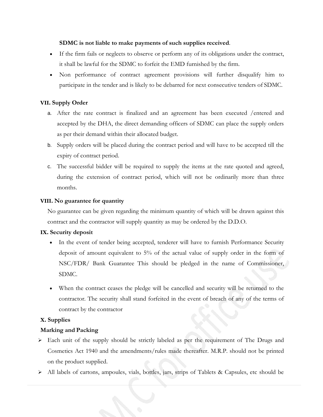#### **SDMC is not liable to make payments of such supplies received**.

- If the firm fails or neglects to observe or perform any of its obligations under the contract, it shall be lawful for the SDMC to forfeit the EMD furnished by the firm.
- Non performance of contract agreement provisions will further disqualify him to participate in the tender and is likely to be debarred for next consecutive tenders of SDMC.

#### **VII. Supply Order**

- a. After the rate contract is finalized and an agreement has been executed /entered and accepted by the DHA, the direct demanding officers of SDMC can place the supply orders as per their demand within their allocated budget.
- b. Supply orders will be placed during the contract period and will have to be accepted till the expiry of contract period.
- c. The successful bidder will be required to supply the items at the rate quoted and agreed, during the extension of contract period, which will not be ordinarily more than three months.

#### **VIII. No guarantee for quantity**

No guarantee can be given regarding the minimum quantity of which will be drawn against this contract and the contractor will supply quantity as may be ordered by the D.D.O.

#### **IX. Security deposit**

- In the event of tender being accepted, tenderer will have to furnish Performance Security deposit of amount equivalent to 5% of the actual value of supply order in the form of NSC/FDR/ Bank Guarantee This should be pledged in the name of Commissioner, SDMC.
- When the contract ceases the pledge will be cancelled and security will be returned to the contractor. The security shall stand forfeited in the event of breach of any of the terms of contract by the contractor

#### **X. Supplies**

#### **Marking and Packing**

- ➢ Each unit of the supply should be strictly labeled as per the requirement of The Drugs and Cosmetics Act 1940 and the amendments/rules made thereafter. M.R.P. should not be printed on the product supplied.
- ➢ All labels of cartons, ampoules, vials, bottles, jars, strips of Tablets & Capsules, etc should be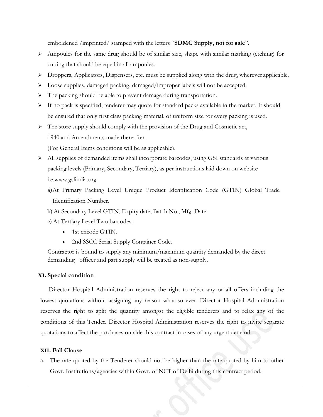emboldened /imprinted/ stamped with the letters "**SDMC Supply, not for sale**".

- $\triangleright$  Ampoules for the same drug should be of similar size, shape with similar marking (etching) for cutting that should be equal in all ampoules.
- ➢ Droppers, Applicators, Dispensers, etc. must be supplied along with the drug, wherever applicable.
- ➢ Loose supplies, damaged packing, damaged/improper labels will not be accepted.
- ➢ The packing should be able to prevent damage during transportation.
- $\triangleright$  If no pack is specified, tenderer may quote for standard packs available in the market. It should be ensured that only first class packing material, of uniform size for every packing is used.
- $\triangleright$  The store supply should comply with the provision of the Drug and Cosmetic act, 1940 and Amendments made thereafter.

(For General Items conditions will be as applicable).

- ➢ All supplies of demanded items shall incorporate barcodes, using GSI standards at various packing levels (Primary, Secondary, Tertiary), as per instructions laid down on website i.e[.www.gslindia.org](http://www.gslindia.org/)
	- a)At Primary Packing Level Unique Product Identification Code (GTIN) Global Trade Identification Number.
	- b) At Secondary Level GTIN, Expiry date, Batch No., Mfg. Date.
	- c) At Tertiary Level Two barcodes:
		- 1st encode GTIN.
		- 2nd SSCC Serial Supply Container Code.

Contractor is bound to supply any minimum/maximum quantity demanded by the direct demanding officer and part supply will be treated as non-supply.

#### **XI. Special condition**

Director Hospital Administration reserves the right to reject any or all offers including the lowest quotations without assigning any reason what so ever. Director Hospital Administration reserves the right to split the quantity amongst the eligible tenderers and to relax any of the conditions of this Tender. Director Hospital Administration reserves the right to invite separate quotations to affect the purchases outside this contract in cases of any urgent demand.

#### **XII. Fall Clause**

a. The rate quoted by the Tenderer should not be higher than the rate quoted by him to other Govt. Institutions/agencies within Govt. of NCT of Delhi during this contract period.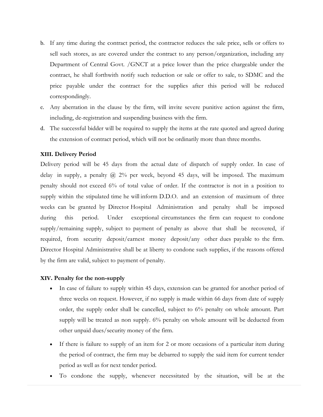- b. If any time during the contract period, the contractor reduces the sale price, sells or offers to sell such stores, as are covered under the contract to any person/organization, including any Department of Central Govt. /GNCT at a price lower than the price chargeable under the contract, he shall forthwith notify such reduction or sale or offer to sale, to SDMC and the price payable under the contract for the supplies after this period will be reduced correspondingly.
- c. Any aberration in the clause by the firm, will invite severe punitive action against the firm, including, de-registration and suspending business with the firm.
- d. The successful bidder will be required to supply the items at the rate quoted and agreed during the extension of contract period, which will not be ordinarily more than three months.

#### **XIII. Delivery Period**

Delivery period will be 45 days from the actual date of dispatch of supply order. In case of delay in supply, a penalty  $\omega$  2% per week, beyond 45 days, will be imposed. The maximum penalty should not exceed 6% of total value of order. If the contractor is not in a position to supply within the stipulated time he will inform D.D.O. and an extension of maximum of three weeks can be granted by Director Hospital Administration and penalty shall be imposed during this period. Under exceptional circumstances the firm can request to condone supply/remaining supply, subject to payment of penalty as above that shall be recovered, if required, from security deposit/earnest money deposit/any other dues payable to the firm. Director Hospital Administrative shall be at liberty to condone such supplies, if the reasons offered by the firm are valid, subject to payment of penalty.

#### **XIV. Penalty for the non-supply**

- In case of failure to supply within 45 days, extension can be granted for another period of three weeks on request. However, if no supply is made within 66 days from date of supply order, the supply order shall be cancelled, subject to 6% penalty on whole amount. Part supply will be treated as non supply. 6% penalty on whole amount will be deducted from other unpaid dues/security money of the firm.
- If there is failure to supply of an item for 2 or more occasions of a particular item during the period of contract, the firm may be debarred to supply the said item for current tender period as well as for next tender period.
- To condone the supply, whenever necessitated by the situation, will be at the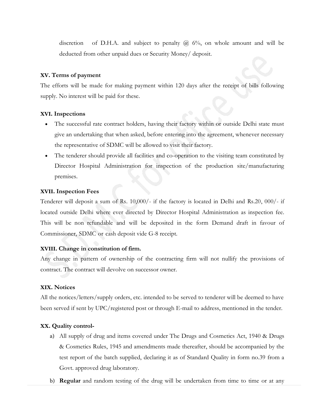discretion of D.H.A. and subject to penalty  $(a)$  6%, on whole amount and will be deducted from other unpaid dues or Security Money/ deposit.

#### **XV. Terms of payment**

The efforts will be made for making payment within 120 days after the receipt of bills following supply. No interest will be paid for these.

#### **XVI. Inspections**

- The successful rate contract holders, having their factory within or outside Delhi state must give an undertaking that when asked, before entering into the agreement, whenever necessary the representative of SDMC will be allowed to visit their factory.
- The tenderer should provide all facilities and co-operation to the visiting team constituted by Director Hospital Administration for inspection of the production site/manufacturing premises.

#### **XVII. Inspection Fees**

Tenderer will deposit a sum of Rs. 10,000/- if the factory is located in Delhi and Rs.20, 000/- if located outside Delhi where ever directed by Director Hospital Administration as inspection fee. This will be non refundable and will be deposited in the form Demand draft in favour of Commissioner, SDMC or cash deposit vide G-8 receipt.

#### **XVIII. Change in constitution of firm.**

Any change in pattern of ownership of the contracting firm will not nullify the provisions of contract. The contract will devolve on successor owner.

#### **XIX. Notices**

All the notices/letters/supply orders, etc. intended to be served to tenderer will be deemed to have been served if sent by UPC/registered post or through E-mail to address, mentioned in the tender.

#### **XX. Quality control-**

- a) All supply of drug and items covered under The Drugs and Cosmetics Act, 1940 & Drugs & Cosmetics Rules, 1945 and amendments made thereafter, should be accompanied by the test report of the batch supplied, declaring it as of Standard Quality in form no.39 from a Govt. approved drug laboratory.
- b) **Regular** and random testing of the drug will be undertaken from time to time or at any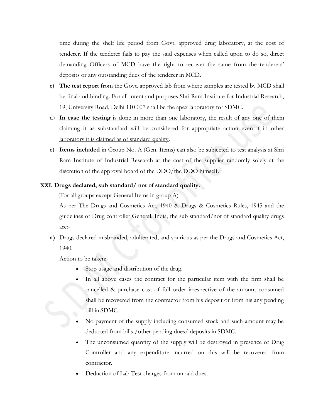time during the shelf life period from Govt. approved drug laboratory, at the cost of tenderer. If the tenderer fails to pay the said expenses when called upon to do so, direct demanding Officers of MCD have the right to recover the same from the tenderers' deposits or any outstanding dues of the tenderer in MCD.

- c) **The test report** from the Govt. approved lab from where samples are tested by MCD shall be final and binding. For all intent and purposes Shri Ram Institute for Industrial Research, 19, University Road, Delhi 110 007 shall be the apex laboratory for SDMC.
- d) **In case the testing** is done in more than one laboratory, the result of any one of them claiming it as substandard will be considered for appropriate action even if in other laboratory it is claimed as of standard quality.
- e) **Items included** in Group No. A (Gen. Items) can also be subjected to test analysis at Shri Ram Institute of Industrial Research at the cost of the supplier randomly solely at the discretion of the approval board of the DDO/the DDO himself.

#### **XXI. Drugs declared, sub standard/ not of standard quality.**

(For all groups except General Items in group A)

As per The Drugs and Cosmetics Act, 1940 & Drugs & Cosmetics Rules, 1945 and the guidelines of Drug controller General, India, the sub standard/not of standard quality drugs are:-

**a)** Drugs declared misbranded, adulterated, and spurious as per the Drugs and Cosmetics Act, 1940.

Action to be taken:-

- Stop usage and distribution of the drug.
- In all above cases the contract for the particular item with the firm shall be cancelled & purchase cost of full order irrespective of the amount consumed shall be recovered from the contractor from his deposit or from his any pending bill in SDMC.
- No payment of the supply including consumed stock and such amount may be deducted from bills /other pending dues/ deposits in SDMC.
- The unconsumed quantity of the supply will be destroyed in presence of Drug Controller and any expenditure incurred on this will be recovered from contractor.
- Deduction of Lab Test charges from unpaid dues.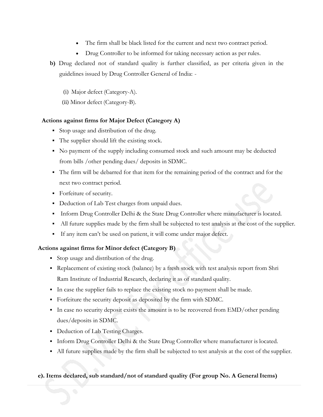- The firm shall be black listed for the current and next two contract period.
- Drug Controller to be informed for taking necessary action as per rules.
- **b)** Drug declared not of standard quality is further classified, as per criteria given in the guidelines issued by Drug Controller General of India: -
	- (i) Major defect (Category-A).
	- (ii) Minor defect (Category-B).

### **Actions against firms for Major Defect (Category A)**

- Stop usage and distribution of the drug.
- The supplier should lift the existing stock.
- No payment of the supply including consumed stock and such amount may be deducted from bills /other pending dues/ deposits in SDMC.
- The firm will be debarred for that item for the remaining period of the contract and for the next two contract period.
- **•** Forfeiture of security.
- Deduction of Lab Test charges from unpaid dues.
- **•** Inform Drug Controller Delhi & the State Drug Controller where manufacturer is located.
- All future supplies made by the firm shall be subjected to test analysis at the cost of the supplier.
- If any item can't be used on patient, it will come under major defect.

### **Actions against firms for Minor defect (Category B)**

- Stop usage and distribution of the drug.
- Replacement of existing stock (balance) by a fresh stock with test analysis report from Shri Ram Institute of Industrial Research, declaring it as of standard quality.
- In case the supplier fails to replace the existing stock no payment shall be made.
- Forfeiture the security deposit as deposited by the firm with SDMC.
- **IF** In case no security deposit exists the amount is to be recovered from EMD/other pending dues/deposits in SDMC.
- Deduction of Lab Testing Charges.
- **Inform Drug Controller Delhi & the State Drug Controller where manufacturer is located.**
- All future supplies made by the firm shall be subjected to test analysis at the cost of the supplier.

### **c). Items declared, sub standard/not of standard quality (For group No. A General Items)**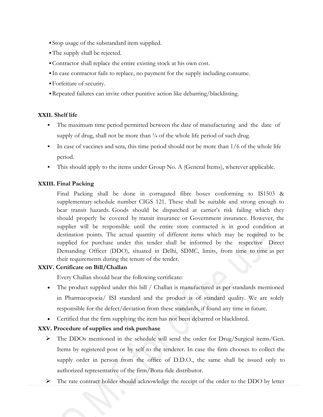- Stop usage of the substandard item supplied.
- The supply shall be rejected.
- ▪Contractor shall replace the entire existing stock at his own cost.
- In case contractor fails to replace, no payment for the supply including consume.
- ▪Forfeiture of security.
- ▪Repeated failures can invite other punitive action like debarring/blacklisting.

#### **XXII. Shelf life**

- The maximum time period permitted between the date of manufacturing and the date of supply of drug, shall not be more than  $\frac{1}{4}$  of the whole life period of such drug.
- In case of vaccines and sera, this time period should not be more than 1/6 of the whole life period.
- This should apply to the items under Group No. A (General Items), wherever applicable.

#### **XXIII. Final Packing**

Final Packing shall be done in corrugated fibre boxes conforming to IS1503 & supplementary schedule number CIGS 121. These shall be suitable and strong enough to bear transit hazards. Goods should be dispatched at carrier's risk failing which they should properly be covered by transit insurance or Government insurance. However, the supplier will be responsible until the entire store contracted is in good condition at destination points. The actual quantity of different items which may be required to be supplied for purchase under this tender shall be informed by the respective Direct Demanding Officer (DDO), situated in Delhi, SDMC, limits, from time to time as per their requirements during the tenure of the tender.

#### **XXIV. Certificate on Bill/Challan**

Every Challan should bear the following certificate:

- The product supplied under this bill / Challan is manufactured as per standards mentioned in Pharmacopoeia/ ISI standard and the product is of standard quality. We are solely responsible for the defect/deviation from these standards, if found any time in future.
- Certified that the firm supplying the item has not been debarred or blacklisted.

### **XXV. Procedure of supplies and risk purchase**

- ➢ The DDOs mentioned in the schedule will send the order for Drug/Surgical items/Gen. Items by registered post or by self to the tenderer. In case the firm chooses to collect the supply order in person from the office of D.D.O., the same shall be issued only to authorized representative of the firm/Bona-fide distributor.
- $\triangleright$  The rate contract holder should acknowledge the receipt of the order to the DDO by letter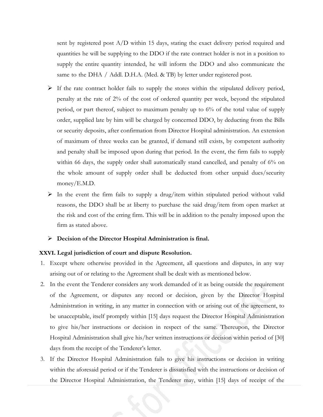sent by registered post A/D within 15 days, stating the exact delivery period required and quantities he will be supplying to the DDO if the rate contract holder is not in a position to supply the entire quantity intended, he will inform the DDO and also communicate the same to the DHA / Addl. D.H.A. (Med. & TB) by letter under registered post.

- $\triangleright$  If the rate contract holder fails to supply the stores within the stipulated delivery period, penalty at the rate of 2% of the cost of ordered quantity per week, beyond the stipulated period, or part thereof, subject to maximum penalty up to 6% of the total value of supply order, supplied late by him will be charged by concerned DDO, by deducting from the Bills or security deposits, after confirmation from Director Hospital administration. An extension of maximum of three weeks can be granted, if demand still exists, by competent authority and penalty shall be imposed upon during that period. In the event, the firm fails to supply within 66 days, the supply order shall automatically stand cancelled, and penalty of 6% on the whole amount of supply order shall be deducted from other unpaid dues/security money/E.M.D.
- $\triangleright$  In the event the firm fails to supply a drug/item within stipulated period without valid reasons, the DDO shall be at liberty to purchase the said drug/item from open market at the risk and cost of the erring firm. This will be in addition to the penalty imposed upon the firm as stated above.

#### ➢ **Decision of the Director Hospital Administration is final.**

#### **XXVI. Legal jurisdiction of court and dispute Resolution.**

- 1. Except where otherwise provided in the Agreement, all questions and disputes, in any way arising out of or relating to the Agreement shall be dealt with as mentioned below.
- 2. In the event the Tenderer considers any work demanded of it as being outside the requirement of the Agreement, or disputes any record or decision, given by the Director Hospital Administration in writing, in any matter in connection with or arising out of the agreement, to be unacceptable, itself promptly within [15] days request the Director Hospital Administration to give his/her instructions or decision in respect of the same. Thereupon, the Director Hospital Administration shall give his/her written instructions or decision within period of [30] days from the receipt of the Tenderer's letter.
- 3. If the Director Hospital Administration fails to give his instructions or decision in writing within the aforesaid period or if the Tenderer is dissatisfied with the instructions or decision of the Director Hospital Administration, the Tenderer may, within [15] days of receipt of the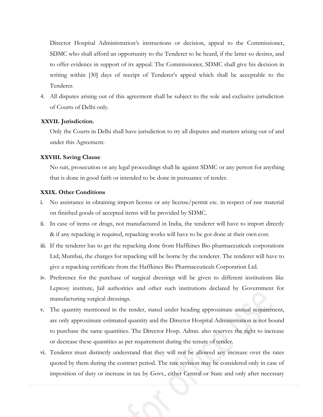Director Hospital Administration's instructions or decision, appeal to the Commissioner, SDMC who shall afford an opportunity to the Tenderer to be heard, if the latter so desires, and to offer evidence in support of its appeal. The Commissioner, SDMC shall give his decision in writing within [30] days of receipt of Tenderer's appeal which shall be acceptable to the Tenderer.

4. All disputes arising out of this agreement shall be subject to the sole and exclusive jurisdiction of Courts of Delhi only.

#### **XXVII. Jurisdiction.**

Only the Courts in Delhi shall have jurisdiction to try all disputes and matters arising out of and under this Agreement.

#### **XXVIII. Saving Clause**

No suit, prosecution or any legal proceedings shall lie against SDMC or any person for anything that is done in good faith or intended to be done in pursuance of tender.

#### **XXIX. Other Conditions**

- i. No assistance in obtaining import license or any license/permit etc. in respect of raw material on finished goods of accepted items will be provided by SDMC.
- ii. In case of items or drugs, not manufactured in India, the tenderer will have to import directly & if any repacking is required, repacking works will have to be got done at their own cost.
- iii. If the tenderer has to get the repacking done from Haffkines Bio pharmaceuticals corporations Ltd; Mumbai, the charges for repacking will be borne by the tenderer. The tenderer will have to give a repacking certificate from the Haffkines Bio Pharmaceuticals Corporation Ltd.
- iv. Preference for the purchase of surgical dressings will be given to different institutions like Leprosy institute, Jail authorities and other such institutions declared by Government for manufacturing surgical dressings.
- v. The quantity mentioned in the tender, stated under heading approximate annual requirement, are only approximate estimated quantity and the Director Hospital Administration is not bound to purchase the same quantities. The Director Hosp. Admn. also reserves the right to increase or decrease these quantities as per requirement during the tenure of tender.
- vi. Tenderer must distinctly understand that they will not be allowed any increase over the rates quoted by them during the contract period. The rate revision may be considered only in case of imposition of duty or increase in tax by Govt., either Central or State and only after necessary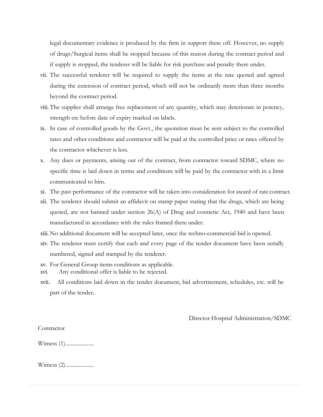legal documentary evidence is produced by the firm in support there off. However, no supply of drugs/Surgical items shall be stopped because of this reason during the contract period and if supply is stopped, the tenderer will be liable for risk purchase and penalty there under.

- vii. The successful tenderer will be required to supply the items at the rate quoted and agreed during the extension of contract period, which will not be ordinarily more than three months beyond the contract period.
- viii. The supplier shall arrange free replacement of any quantity, which may deteriorate in potency, strength etc before date of expiry marked on labels.
- ix. In case of controlled goods by the Govt., the quotation must be sent subject to the controlled rates and other conditions and contractor will be paid at the controlled price or rates offered by the contractor whichever is less.
- x. Any dues or payments, arising out of the contract, from contractor toward SDMC, where no specific time is laid down in terms and conditions will be paid by the contractor with in a limit communicated to him.
- xi. The past performance of the contractor will be taken into consideration for award of rate contract.
- xii. The tenderer should submit an affidavit on stamp paper stating that the drugs, which are being quoted, are not banned under section  $26(A)$  of Drug and cosmetic Act, 1940 and have been manufactured in accordance with the rules framed there under.
- xiii. No additional document will be accepted later, once the techno-commercial-bid is opened.
- xiv. The tenderer must certify that each and every page of the tender document have been serially numbered, signed and stamped by the tenderer.
- xv. For General Group items conditions as applicable.
- xvi. Any conditional offer is liable to be rejected.
- xvii. All conditions laid down in the tender document, bid advertisement, schedules, etc. will be part of the tender.

Director Hospital Administration/SDMC

Witness (1).....................

Witness (2).....................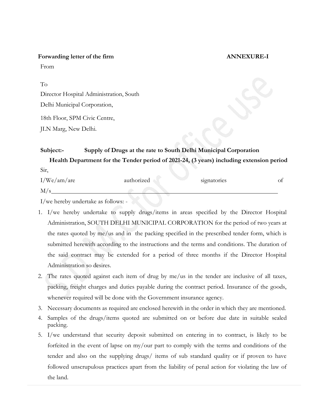**Forwarding letter of the firm ANNEXURE-I**

From

To Director Hospital Administration, South Delhi Municipal Corporation, 18th Floor, SPM Civic Centre,

JLN Marg, New Delhi.

### **Subject:- Supply of Drugs at the rate to South Delhi Municipal Corporation Health Department for the Tender period of 2021-24, (3 years) including extension period**

| Sir,        |            |             |  |
|-------------|------------|-------------|--|
| I/We/am/are | authorized | signatories |  |
| M/          |            |             |  |

I/we hereby undertake as follows: -

- 1. I/we hereby undertake to supply drugs/items in areas specified by the Director Hospital Administration, SOUTH DELHI MUNICIPAL CORPORATION for the period of two years at the rates quoted by me/us and in the packing specified in the prescribed tender form, which is submitted herewith according to the instructions and the terms and conditions. The duration of the said contract may be extended for a period of three months if the Director Hospital Administration so desires.
- 2. The rates quoted against each item of drug by me/us in the tender are inclusive of all taxes, packing, freight charges and duties payable during the contract period. Insurance of the goods, whenever required will be done with the Government insurance agency.
- 3. Necessary documents as required are enclosed herewith in the order in which they are mentioned.
- 4. Samples of the drugs/items quoted are submitted on or before due date in suitable sealed packing.
- 5. I/we understand that security deposit submitted on entering in to contract, is likely to be forfeited in the event of lapse on my/our part to comply with the terms and conditions of the tender and also on the supplying drugs/ items of sub standard quality or if proven to have followed unscrupulous practices apart from the liability of penal action for violating the law of the land.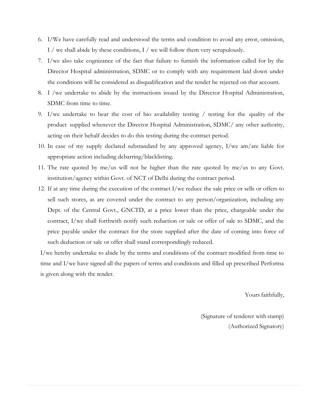- 6. I/We have carefully read and understood the terms and condition to avoid any error, omission, I / we shall abide by these conditions, I / we will follow them very scrupulously.
- 7. I/we also take cognizance of the fact that failure to furnish the information called for by the Director Hospital administration, SDMC or to comply with any requirement laid down under the conditions will be considered as disqualification and the tender be rejected on that account.
- 8. I /we undertake to abide by the instructions issued by the Director Hospital Administration, SDMC from time to time.
- 9. I/we undertake to bear the cost of bio availability testing / testing for the quality of the product supplied whenever the Director Hospital Administration, SDMC/ any other authority, acting on their behalf decides to do this testing during the contract period.
- 10. In case of my supply declared substandard by any approved agency, I/we am/are liable for appropriate action including debarring/blacklisting.
- 11. The rate quoted by me/us will not be higher than the rate quoted by me/us to any Govt. institution/agency within Govt. of NCT of Delhi during the contract period.
- 12. If at any time during the execution of the contract I/we reduce the sale price or sells or offers to sell such stores, as are covered under the contract to any person/organization, including any Dept. of the Central Govt., GNCTD, at a price lower than the price, chargeable under the contract, I/we shall forthwith notify such reduction or sale or offer of sale to SDMC, and the price payable under the contract for the store supplied after the date of coming into force of such deduction or sale or offer shall stand correspondingly reduced.

I/we hereby undertake to abide by the terms and conditions of the contract modified from time to time and I/we have signed all the papers of terms and conditions and filled up prescribed Performa is given along with the tender.

Yours faithfully,

(Signature of tenderer with stamp) (Authorized Signatory)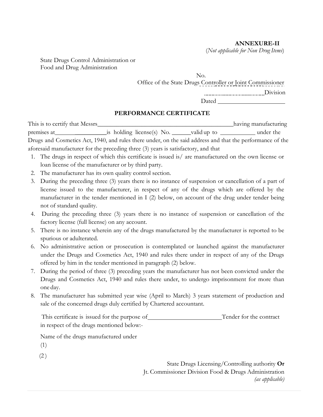#### **ANNEXURE-II**

(*Not applicable for Non Drug Items*)

State Drugs Control Administration or Food and Drug Administration

> No. Office of the State Drugs Controller or Joint Commissioner Division Dated

#### **PERFORMANCE CERTIFICATE**

This is to certify that Messrs\_\_\_\_\_\_\_\_\_\_\_\_\_\_\_\_\_\_\_\_\_\_\_\_\_\_\_\_\_\_\_\_\_\_\_\_\_\_\_\_\_\_\_having manufacturing premises at  $\qquad$  is holding license(s) No.  $\qquad$  valid up to under the Drugs and Cosmetics Act, 1940, and rules there under, on the said address and that the performance of the aforesaid manufacturer for the preceding three (3) years is satisfactory, and that

- 1. The drugs in respect of which this certificate is issued is/ are manufactured on the own license or loan license of the manufacturer or by third party.
- 2. The manufacturer has its own quality control section.
- 3. During the preceding three (3) years there is no instance of suspension or cancellation of a part of license issued to the manufacturer, in respect of any of the drugs which are offered by the manufacturer in the tender mentioned in I (2) below, on account of the drug under tender being not of standard quality.
- 4. During the preceding three (3) years there is no instance of suspension or cancellation of the factory license (full license) on any account.
- 5. There is no instance wherein any of the drugs manufactured by the manufacturer is reported to be spurious or adulterated.
- 6. No administrative action or prosecution is contemplated or launched against the manufacturer under the Drugs and Cosmetics Act, 1940 and rules there under in respect of any of the Drugs offered by him in the tender mentioned in paragraph (2) below.
- 7. During the period of three (3) preceding years the manufacturer has not been convicted under the Drugs and Cosmetics Act, 1940 and rules there under, to undergo imprisonment for more than one day.
- 8. The manufacturer has submitted year wise (April to March) 3 years statement of production and sale of the concerned drugs duly certified by Chartered accountant.

This certificate is issued for the purpose of Tender for the contract in respect of the drugs mentioned below:-

Name of the drugs manufactured under

- (1)
- $(2)$

State Drugs Licensing/Controlling authority **Or**  Jt. Commissioner Division Food & Drugs Administration *(as applicable)*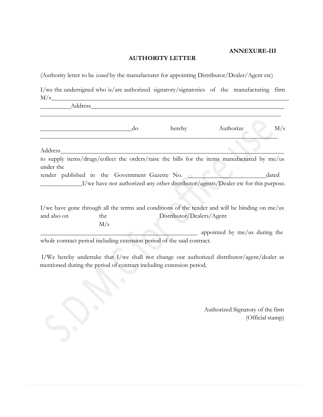#### **ANNEXURE-III**

#### **AUTHORITY LETTER**

(Authority letter to be *issued* by the manufacturer for appointing Distributor/Dealer/Agent etc)

I/we the undersigned who is/are authorized signatory/signatories of the manufacturing firm  $M/s$ 

| Address     |     |                                                                                                |                               |       |
|-------------|-----|------------------------------------------------------------------------------------------------|-------------------------------|-------|
|             | do  | hereby                                                                                         | Authorize                     | M/s   |
| Address     |     |                                                                                                |                               |       |
| under the   |     | to supply items/drugs/collect the orders/raise the bills for the items manufactured by me/us   |                               |       |
|             |     | tender published in the Government Gazette No.                                                 |                               | dated |
|             |     | I/we have not authorized any other distributor/agents/Dealer etc for this purpose.             |                               |       |
|             |     | I/we have gone through all the terms and conditions of the tender and will be binding on me/us |                               |       |
| and also on | the | Distributor/Dealers/Agent                                                                      |                               |       |
|             | M/s |                                                                                                |                               |       |
|             |     |                                                                                                | appointed by me/us during the |       |
|             |     | whole contract period including extension period of the said contract.                         |                               |       |

 I/We hereby undertake that I/we shall not change our authorized distributor/agent/dealer as mentioned during the period of contract including extension period.

> Authorized Signatory of the firm (Official stamp)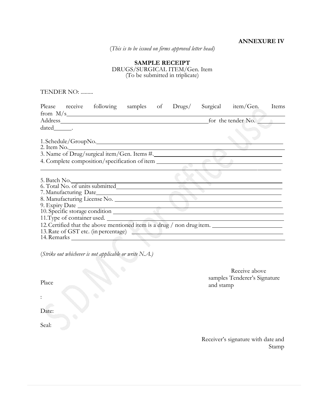#### **ANNEXURE IV**

(*This is to be issued on firms approved letter head)*

#### **SAMPLE RECEIPT** DRUGS/SURGICAL ITEM/Gen. Item (To be submitted in triplicate)

TENDER NO: .........

|         | Please receive following samples of Drugs/                 |  |  | Surgical item/Gen.                                                                                   | Items |
|---------|------------------------------------------------------------|--|--|------------------------------------------------------------------------------------------------------|-------|
|         |                                                            |  |  |                                                                                                      |       |
|         |                                                            |  |  | for the tender No.                                                                                   |       |
| dated . |                                                            |  |  |                                                                                                      |       |
|         |                                                            |  |  |                                                                                                      |       |
|         | 1. Schedule/GroupNo.                                       |  |  |                                                                                                      |       |
|         | 2. Item No.<br>3. Name of Drug/surgical item/Gen. Items #. |  |  |                                                                                                      |       |
|         |                                                            |  |  |                                                                                                      |       |
|         | 4. Complete composition/specification of item              |  |  |                                                                                                      |       |
|         |                                                            |  |  |                                                                                                      |       |
|         |                                                            |  |  |                                                                                                      |       |
|         |                                                            |  |  |                                                                                                      |       |
|         |                                                            |  |  |                                                                                                      |       |
|         | 7. Manufacturing Date                                      |  |  |                                                                                                      |       |
|         | 8. Manufacturing License No.                               |  |  |                                                                                                      |       |
|         | 9. Expiry Date 10. Specific storage condition              |  |  |                                                                                                      |       |
|         |                                                            |  |  |                                                                                                      |       |
|         | 11. Type of container used.                                |  |  |                                                                                                      |       |
|         |                                                            |  |  | 12. Certified that the above mentioned item is a drug / non drug item. _____________________________ |       |
|         |                                                            |  |  | 13. Rate of GST etc. (in percentage)                                                                 |       |
|         | 14. Remarks 2008                                           |  |  |                                                                                                      |       |
|         |                                                            |  |  |                                                                                                      |       |

(*Strike out whichever is not applicable or write N.A.)*

Place

Receive above samples Tenderer's Signature and stamp

Date:

:

Seal:

Receiver's signature with date and Stamp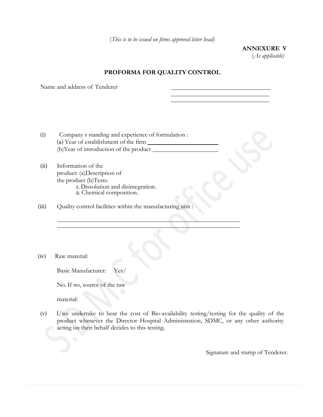(*This is to be issued on firms approved letter head)*

**ANNEXURE V** (*As applicable)*

#### **PROFORMA FOR QUALITY CONTROL**

Name and address of Tenderer

- (i) Company s standing and experience of formulation : (a) Year of establishment of the firm (b)Year of introduction of the product
- (ii) Information of the product: (a)Description of the product (b)Tests: 1. Dissolution and disintegration. 2. Chemical composition.

(iii) Quality control facilities within the manufacturing unit :

(iv) Raw material:

Basic Manufacturer: Yes/

No. If no, source of the raw

material:

(v) I/we undertake to bear the cost of Bio-availability testing/testing for the quality of the product whenever the Director Hospital Administration, SDMC, or any other authority acting on their behalf decides to this testing.

Signature and stamp of Tenderer.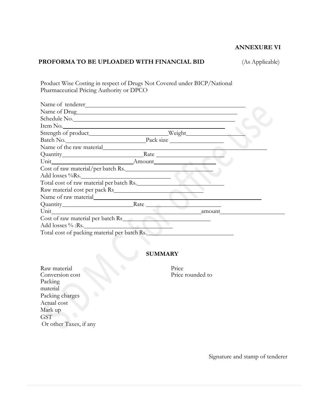#### **ANNEXURE VI**

#### **PROFORMA TO BE UPLOADED WITH FINANCIAL BID** (As Applicable)

Product Wise Costing in respect of Drugs Not Covered under BICP/National Pharmaceutical Pricing Authority or DPCO

| Name of tenderer                             |        |  |
|----------------------------------------------|--------|--|
| Name of Drug                                 |        |  |
| Schedule No.                                 |        |  |
| Item No.                                     |        |  |
|                                              |        |  |
|                                              |        |  |
| Name of the raw material                     |        |  |
|                                              |        |  |
|                                              |        |  |
| Cost of raw material/per batch Rs.           |        |  |
| Add losses %Rs.                              |        |  |
| Total cost of raw material per batch Rs.     |        |  |
| Raw material cost per pack Rs                |        |  |
|                                              |        |  |
| Quantity Rate                                |        |  |
| Unit                                         | amount |  |
| Cost of raw material per batch Rs            |        |  |
| Add losses % :Rs.                            |        |  |
| Total cost of packing material per batch Rs. |        |  |

#### **SUMMARY**

Raw material Price<br>Conversion cost Price Price rounded to Conversion cost Packing material Packing charges Actual cost Mark up **GST** Or other Taxes, if any

Signature and stamp of tenderer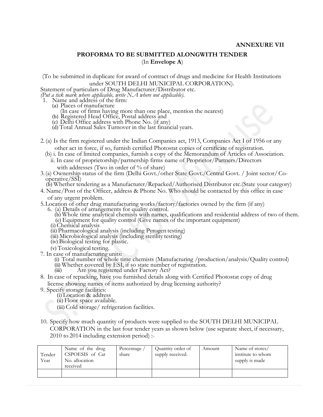#### **ANNEXURE VII**

#### **PROFORMA TO BE SUBMITTED ALONGWITH TENDER** (In **Envelope A**)

(To be submitted in duplicate for award of contract of drugs and medicine for Health Institutions under SOUTH DELHI MUNICIPAL CORPORATION).

Statement of particulars of Drug Manufacturer/Distributor etc.

*(Put a tick mark where applicable, write N.A where not applicable).*

- 1. Name and address of the firm:
	- (a) Places of manufacture
		- (In case of firms having more than one place, mention the nearest)
	- (b) Registered Head Office, Postal address and
	- (c) Delhi Office address with Phone No. (if any)

(d) Total Annual Sales Turnover in the last financial years.

- 2.(a) Is the firm registered under the Indian Companies act, 1913, Companies Act I of 1956 or any other act in force, if so, furnish certified Photostat copies of certificate of registration.
	- (b) i. In case of limited companies, furnish a copy of the Memorandum of Articles of Association.
		- ii. In case of proprietorship/partnership firms name of Proprietor/Partners/Directors with addresses (Two in order of % of share)
- 3.(a) Ownership status of the firm (Delhi Govt./other State Govt./Central Govt. / Joint sector/Cooperative/SSI)
	- (b) Whether tendering as a Manufacturer/Repacked/Authorised Distributor etc.(State your category)
- 4. Name/Post of the Officer, address & Phone No. Who should be contacted by this office in case of any urgent problem.
- 5.Location of other drug manufacturing works/factory/factories owned by the firm (if any)
	- 6. (a) Details of arrangements for quality control.
		- (b) Whole time analytical chemists with names, qualifications and residential address of two of them. (c) Equipment for quality control (Give names of the important equipment)
	- (i) Chemical analysis
	- (ii) Pharmacological analysis (including Pyrogen testing)
	- (iii) Microbiological analysis (including sterility testing)
	- (iv) Biological testing for plastic.
	- (v) Toxicological testing.
- 7. In case of manufacturing units:

(i) Total number of whole time chemists (Manufacturing /production/analysis/Quality control) (ii) Whether covered by ESI, if so state number of registration.

- (iii) Are you registered under Factory Act?
- 8. In case of repacking, have you furnished details along with Certified Photostat copy of drug license showing names of items authorized by drug licensing authority?
- 9. Specify storage facilities:
	- (i) Location & address
	- (ii) Floor space available.
	- (iii) Cold storage/ refrigeration facilities.
- 10. Specify how much quantity of products were supplied to the SOUTH DELHI MUNICIPAL CORPORATION in the last four tender years as shown below (use separate sheet, if necessary, 2010 to 2014 including extension period) :-

| Tender<br>Year | Name of the drug<br>CSPOESIS of Cat<br>No. allocation<br>received | Percentage /<br>share | Quantity order of<br>supply received. | Amount | Name of stores/<br>institute to whom<br>supply is made |
|----------------|-------------------------------------------------------------------|-----------------------|---------------------------------------|--------|--------------------------------------------------------|
|                |                                                                   |                       |                                       |        |                                                        |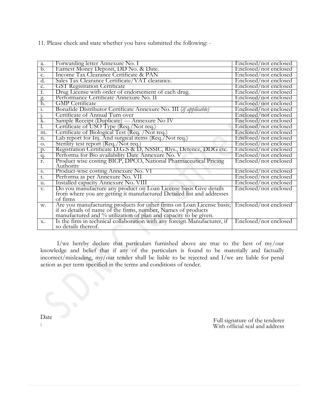11. Please check and state whether you have submitted the following: -

| a.              | Forwarding letter Annexure No. I                                                                                                                                                                           | Enclosed/not enclosed |
|-----------------|------------------------------------------------------------------------------------------------------------------------------------------------------------------------------------------------------------|-----------------------|
| b.              | Earnest Money Deposit, DD No. & Date.                                                                                                                                                                      | Enclosed/not enclosed |
| c.              | Income Tax Clearance Certificate & PAN                                                                                                                                                                     | Enclosed/not enclosed |
| d.              | Sales Tax Clearance Certificate/VAT clearance.                                                                                                                                                             | Enclosed/not enclosed |
| e.              | <b>GST Registration Certificate</b>                                                                                                                                                                        | Enclosed/not enclosed |
| f.              | Drug License with order of endorsement of each drug.                                                                                                                                                       | Enclosed/not enclosed |
|                 | Performance Certificate Annexure No. II                                                                                                                                                                    | Enclosed/not enclosed |
| $\frac{g}{h}$ . | <b>GMP</b> Certificate                                                                                                                                                                                     | Enclosed/not enclosed |
| 1.              | Bonafide Distributor Certificate Annexure No. III ( <i>if applicable</i> )                                                                                                                                 | Enclosed/not enclosed |
| $\overline{1}$  | Certificate of Annual Turn over                                                                                                                                                                            | Enclosed/not enclosed |
| k.              | Sample Receipt (Duplicate) --- Annexure No IV                                                                                                                                                              | Enclosed/not enclosed |
| Ι.              | Certificate of USO Type (Req./Not req.)                                                                                                                                                                    | Enclosed/not enclosed |
| m.              | Certificate of Biological Test (Req. / Not req.)                                                                                                                                                           | Enclosed/not enclosed |
| n.              | Lab report for Inj. And surgical items (Req./Not req.)                                                                                                                                                     | Enclosed/not enclosed |
| O.              | Sterility test report (Req./Not req.)                                                                                                                                                                      | Enclosed/not enclosed |
| p.              | Registration Certificate D.G.S & D, NSSIC, Rlys., Defence, DDG etc.                                                                                                                                        | Enclosed/not enclosed |
| q.              | Performa for Bio availability Date Annexure No. V                                                                                                                                                          | Enclosed/not enclosed |
| r.              | Product wise costing BICP, DPCO, National Pharmaceutical Pricing                                                                                                                                           | Enclosed/not enclosed |
|                 | Authority                                                                                                                                                                                                  |                       |
| S.              | Product-wise costing Annexure No. VI                                                                                                                                                                       | Enclosed/not enclosed |
| t.              | Performa as per Annexure No. VII                                                                                                                                                                           | Enclosed/not enclosed |
| u.              | Installed capacity Annexure No. VIII                                                                                                                                                                       | Enclosed/not enclosed |
| V.              | Do you manufacture any product on Loan License basis Give details                                                                                                                                          | Enclosed/not enclosed |
|                 | from where you are getting it manufactured Detailed list and addresses                                                                                                                                     |                       |
|                 | of firms                                                                                                                                                                                                   |                       |
| w.              | Are you manufacturing products for other firms on Loan License basis;<br>if so details of name of the firms, number, Names of products<br>manufactured and % utilization of plan and capacity to be given. | Enclosed/not enclosed |
|                 |                                                                                                                                                                                                            |                       |
| X.              | Is the firm in technical collaboration with any foreign Manufacturer, if                                                                                                                                   | Enclosed/not enclosed |
|                 | so details thereof.                                                                                                                                                                                        |                       |
|                 |                                                                                                                                                                                                            |                       |

I/we hereby declare that particulars furnished above are true to the best of my/our knowledge and belief that if any of the particulars is found to be materially and factually incorrect/misleading, my/our tender shall be liable to be rejected and I/we are liable for penal action as per term specified in the terms and conditions of tender.

Date

:

Full signature of the tenderer With official seal and address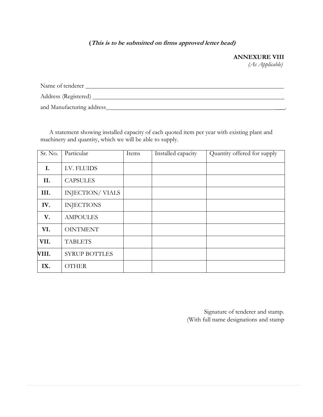#### **(This is to be submitted on firms approved letter head)**

### **ANNEXURE VIII**

*(As Applicable)*

| Name of tenderer           |
|----------------------------|
| Address (Registered)       |
| and Manufacturing address_ |

A statement showing installed capacity of each quoted item per year with existing plant and machinery and quantity, which we will be able to supply.

| Sr. No. | Particular             | Items | Installed capacity | Quantity offered for supply |
|---------|------------------------|-------|--------------------|-----------------------------|
| I.      | I.V. FLUIDS            |       |                    |                             |
| II.     | <b>CAPSULES</b>        |       |                    |                             |
| III.    | <b>INJECTION/VIALS</b> |       |                    |                             |
| IV.     | <b>INJECTIONS</b>      |       |                    |                             |
| V.      | <b>AMPOULES</b>        |       |                    |                             |
| VI.     | <b>OINTMENT</b>        |       |                    |                             |
| VII.    | <b>TABLETS</b>         |       |                    |                             |
| VIII.   | <b>SYRUP BOTTLES</b>   |       |                    |                             |
| IX.     | <b>OTHER</b>           |       |                    |                             |

Signature of tenderer and stamp. (With full name designations and stamp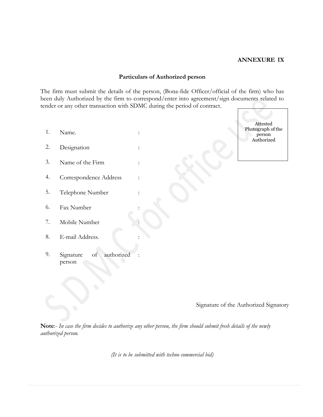#### **ANNEXURE IX**

#### **Particulars of Authorized person**

The firm must submit the details of the person, (Bona-fide Officer/official of the firm) who has been duly Authorized by the firm to correspond/enter into agreement/sign documents related to tender or any other transaction with SDMC during the period of contract.

1. Name. 2. Designation 3. Name of the Firm : 4. Correspondence Address : 5. Telephone Number : 6. Fax Number : 7. Mobile Number : 8. E-mail Address. 9. Signature of authorized person Attested person

Photograph of the Authorized

Signature of the Authorized Signatory

**Note**:- *In case the firm decides to authorize any other person, the firm should submit fresh details of the newly authorized person.*

*(It is to be submitted with techno commercial bid)*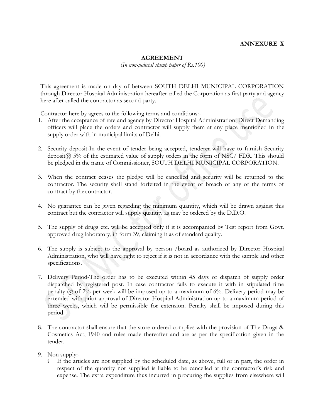#### **AGREEMENT**

(*In non-judicial stamp paper of Rs.100)*

This agreement is made on day of between SOUTH DELHI MUNICIPAL CORPORATION through Director Hospital Administration hereafter called the Corporation as first party and agency here after called the contractor as second party.

Contractor here by agrees to the following terms and conditions:-

- 1. After the acceptance of rate and agency by Director Hospital Administration, Direct Demanding officers will place the orders and contractor will supply them at any place mentioned in the supply order with in municipal limits of Delhi.
- 2. Security deposit-In the event of tender being accepted, tenderer will have to furnish Security deposit $(a)$  5% of the estimated value of supply orders in the form of NSC/ FDR. This should be pledged in the name of Commissioner, SOUTH DELHI MUNICIPAL CORPORATION.
- 3. When the contract ceases the pledge will be cancelled and security will be returned to the contractor. The security shall stand forfeited in the event of breach of any of the terms of contract by the contractor.
- 4. No guarantee can be given regarding the minimum quantity, which will be drawn against this contract but the contractor will supply quantity as may be ordered by the D.D.O.
- 5. The supply of drugs etc. will be accepted only if it is accompanied by Test report from Govt. approved drug laboratory, in form 39, claiming it as of standard quality.
- 6. The supply is subject to the approval by person /board as authorized by Director Hospital Administration, who will have right to reject if it is not in accordance with the sample and other specifications.
- 7. Delivery Period-The order has to be executed within 45 days of dispatch of supply order dispatched by registered post. In case contractor fails to execute it with in stipulated time penalty  $\hat{a}$  of 2% per week will be imposed up to a maximum of 6%. Delivery period may be extended with prior approval of Director Hospital Administration up to a maximum period of three weeks, which will be permissible for extension. Penalty shall be imposed during this period.
- 8. The contractor shall ensure that the store ordered complies with the provision of The Drugs & Cosmetics Act, 1940 and rules made thereafter and are as per the specification given in the tender.
- 9. Non supply:
	- i. If the articles are not supplied by the scheduled date, as above, full or in part, the order in respect of the quantity not supplied is liable to be cancelled at the contractor's risk and expense. The extra expenditure thus incurred in procuring the supplies from elsewhere will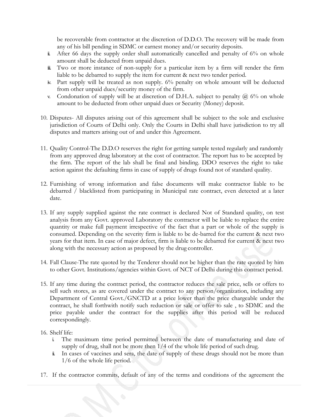be recoverable from contractor at the discretion of D.D.O. The recovery will be made from any of his bill pending in SDMC or earnest money and/or security deposits.

- ii. After 66 days the supply order shall automatically cancelled and penalty of 6% on whole amount shall be deducted from unpaid dues.
- iii. Two or more instance of non-supply for a particular item by a firm will render the firm liable to be debarred to supply the item for current & next two tender period.
- iv. Part supply will be treated as non supply. 6% penalty on whole amount will be deducted from other unpaid dues/security money of the firm.
- v. Condonation of supply will be at discretion of D.H.A. subject to penalty  $(2)$  6% on whole amount to be deducted from other unpaid dues or Security (Money) deposit.
- 10. Disputes- All disputes arising out of this agreement shall be subject to the sole and exclusive jurisdiction of Courts of Delhi only. Only the Courts in Delhi shall have jurisdiction to try all disputes and matters arising out of and under this Agreement.
- 11. Quality Control-The D.D.O reserves the right for getting sample tested regularly and randomly from any approved drug laboratory at the cost of contractor. The report has to be accepted by the firm. The report of the lab shall be final and binding. DDO reserves the right to take action against the defaulting firms in case of supply of drugs found not of standard quality.
- 12. Furnishing of wrong information and false documents will make contractor liable to be debarred / blacklisted from participating in Municipal rate contract, even detected at a later date.
- 13. If any supply supplied against the rate contract is declared Not of Standard quality, on test analysis from any Govt. approved Laboratory the contractor will be liable to replace the entire quantity or make full payment irrespective of the fact that a part or whole of the supply is consumed. Depending on the severity firm is liable to be de-barred for the current & next two years for that item. In case of major defect, firm is liable to be debarred for current & next two along with the necessary action as proposed by the drug controller.
- 14. Fall Clause-The rate quoted by the Tenderer should not be higher than the rate quoted by him to other Govt. Institutions/agencies within Govt. of NCT of Delhi during this contract period.
- 15. If any time during the contract period, the contractor reduces the sale price, sells or offers to sell such stores, as are covered under the contract to any person/organization, including any Department of Central Govt./GNCTD at a price lower than the price chargeable under the contract, he shall forthwith notify such reduction or sale or offer to sale , to SDMC and the price payable under the contract for the supplies after this period will be reduced correspondingly.

16. Shelf life:

- i. The maximum time period permitted between the date of manufacturing and date of supply of drug, shall not be more then  $1/4$  of the whole life period of such drug.
- ii. In cases of vaccines and sera, the date of supply of these drugs should not be more than 1/6 of the whole life period.
- 17. If the contractor commits, default of any of the terms and conditions of the agreement the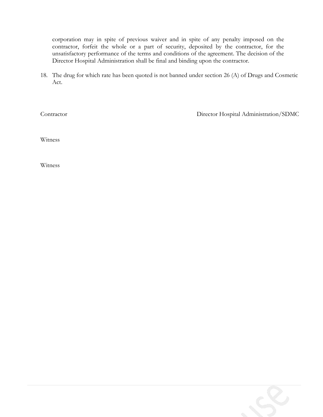corporation may in spite of previous waiver and in spite of any penalty imposed on the contractor, forfeit the whole or a part of security, deposited by the contractor, for the unsatisfactory performance of the terms and conditions of the agreement. The decision of the Director Hospital Administration shall be final and binding upon the contractor.

18. The drug for which rate has been quoted is not banned under section 26 (A) of Drugs and Cosmetic Act.

Contractor Director Hospital Administration/SDMC

Witness

Witness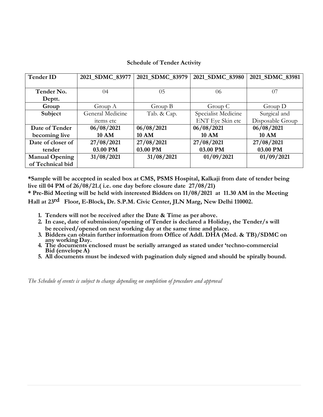### **Schedule of Tender Activity**

| <b>Tender ID</b>      | 2021_SDMC_83977  | 2021 SDMC 83979 | 2021_SDMC_83980     | 2021_SDMC_83981  |
|-----------------------|------------------|-----------------|---------------------|------------------|
|                       |                  |                 |                     |                  |
| Tender No.            | 04               | 05              | 06                  | 07               |
| Deptt.                |                  |                 |                     |                  |
| Group                 | Group A          | Group B         | Group C             | Group $D$        |
| Subject               | General Medicine | Tab. & Cap.     | Specialist Medicine | Surgical and     |
|                       | items etc        |                 | ENT Eye Skin etc    | Disposable Group |
| Date of Tender        | 06/08/2021       | 06/08/2021      | 06/08/2021          | 06/08/2021       |
| becoming live         | <b>10 AM</b>     | <b>10 AM</b>    | <b>10 AM</b>        | <b>10 AM</b>     |
| Date of closer of     | 27/08/2021       | 27/08/2021      | 27/08/2021          | 27/08/2021       |
| tender                | 03.00 PM         | 03.00 PM        | 03.00 PM            | 03.00 PM         |
| <b>Manual Opening</b> | 31/08/2021       | 31/08/2021      | 01/09/2021          | 01/09/2021       |
| of Technical bid      |                  |                 |                     |                  |

**\*Sample will be accepted in sealed box at CMS, PSMS Hospital, Kalkaji from date of tender being live till 04 PM of 26/08/21.( i.e. one day before closure date 27/08/21)** 

**\* Pre-Bid Meeting will be held with interested Bidders on 11/08/2021 at 11.30 AM in the Meeting Hall at 23 rd Floor, E-Block, Dr. S.P.M. Civic Center, JLN Marg, New Delhi 110002.**

- **1. Tenders will not be received after the Date & Time as per above.**
- **2. In case, date of submission/opening of Tender is declared a Holiday, the Tender/s will be received/opened on next working day at the same time and place.**
- **3. Bidders can obtain further information from Office of Addl. DHA (Med. & TB)/SDMC on any working Day.**
- **4. The documents enclosed must be serially arranged as stated under 'techno-commercial Bid (envelope A)**
- **5. All documents must be indexed with pagination duly signed and should be spirally bound.**

*The Schedule of events is subject to change depending on completion of procedure and approval*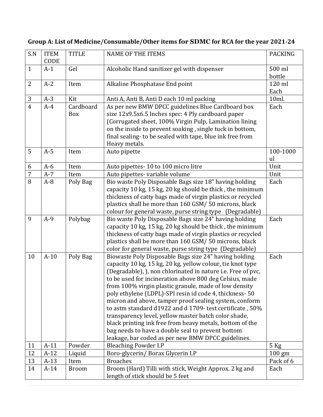## **Group A: List of Medicine/Consumable/Other items for SDMC for RCA for the year 2021-24**

| S.N            | <b>ITEM</b><br>CODE | <b>TITLE</b>     | <b>NAME OF THE ITEMS</b>                                                                                                                                                                                                                                                                                                                                                                                                                                                                                                                                                                                                                                                                                                | <b>PACKING</b>   |
|----------------|---------------------|------------------|-------------------------------------------------------------------------------------------------------------------------------------------------------------------------------------------------------------------------------------------------------------------------------------------------------------------------------------------------------------------------------------------------------------------------------------------------------------------------------------------------------------------------------------------------------------------------------------------------------------------------------------------------------------------------------------------------------------------------|------------------|
| $\mathbf{1}$   | $A-1$               | Gel              | Alcoholic Hand sanitizer gel with dispenser                                                                                                                                                                                                                                                                                                                                                                                                                                                                                                                                                                                                                                                                             | 500 ml<br>bottle |
| $\overline{2}$ | $A-2$               | Item             | Alkaline Phosphatase End point                                                                                                                                                                                                                                                                                                                                                                                                                                                                                                                                                                                                                                                                                          | 120 ml<br>Each   |
| 3              | $A-3$               | Kit              | Anti A, Anti B, Anti D each 10 ml packing                                                                                                                                                                                                                                                                                                                                                                                                                                                                                                                                                                                                                                                                               | 10ml.            |
| $\overline{4}$ | $A-4$               | Cardboard<br>Box | As per new BMW DPCC guidelines Blue Cardboard box<br>size 12x9.5x6.5 Inches spec: 4 Ply cardboard paper<br>(Corrugated sheet, 100% Virgin Pulp, Lamination lining<br>on the inside to prevent soaking, single tuck in bottom,<br>final sealing- to be sealed with tape, blue ink free from<br>Heavy metals.                                                                                                                                                                                                                                                                                                                                                                                                             | Each             |
| 5              | $A-5$               | Item             | Auto pipette                                                                                                                                                                                                                                                                                                                                                                                                                                                                                                                                                                                                                                                                                                            | 100-1000<br>ul   |
| 6              | $A-6$               | Item             | Auto pipettes-10 to 100 micro litre                                                                                                                                                                                                                                                                                                                                                                                                                                                                                                                                                                                                                                                                                     | Unit             |
| $\overline{7}$ | $A-7$               | Item             | Auto pipettes- variable volume                                                                                                                                                                                                                                                                                                                                                                                                                                                                                                                                                                                                                                                                                          | Unit             |
| 8              | $A-8$               | Poly Bag         | Bio waste Poly Disposable Bags size 18" having holding<br>capacity 10 kg, 15 kg, 20 kg should be thick, the minimum<br>thickness of catty bags made of virgin plastics or recycled<br>plastics shall be more than 160 GSM/ 50 microns, black<br>colour for general waste, purse string type (Degradable)                                                                                                                                                                                                                                                                                                                                                                                                                | Each             |
| 9              | $A-9$               | Polybag          | Bio waste Poly Disposable Bags size 24" having holding<br>capacity 10 kg, 15 kg, 20 kg should be thick, the minimum<br>thickness of catty bags made of virgin plastics or recycled<br>plastics shall be more than 160 GSM/ 50 microns, black<br>color for general waste, purse string type (Degradable)                                                                                                                                                                                                                                                                                                                                                                                                                 | Each             |
| 10             | $A-10$              | Poly Bag         | Biowaste Poly Disposable Bags size 24" having holding<br>capacity 10 kg, 15 kg, 20 kg, yellow colour, tie knot type<br>(Degradable), ), non chlorinated in nature i.e. Free of pvc,<br>to be used for incineration above 800 deg Celsius, made<br>from 100% virgin plastic granule, made of low density<br>poly ethylene (LDPL)-SPI resin id code 4, thickness- 50<br>micron and above, tamper proof sealing system, conform<br>to astm standard d1922 and d 1709- test certificate, 50%<br>transparency level, yellow master batch color shade,<br>black printing ink free from heavy metals, bottom of the<br>bag needs to have a double seal to prevent bottom<br>leakage, bar coded as per new BMW DPCC guidelines. | Each             |
| 11             | $A-11$              | Powder           | <b>Bleaching Powder I.P</b>                                                                                                                                                                                                                                                                                                                                                                                                                                                                                                                                                                                                                                                                                             | $5$ Kg           |
| 12             | $A-12$              | Liquid           | Boro-glycerin/Borax Glycerin I.P                                                                                                                                                                                                                                                                                                                                                                                                                                                                                                                                                                                                                                                                                        | $100 \text{ gm}$ |
| 13             | $A-13$              | Item             | <b>Broaches</b>                                                                                                                                                                                                                                                                                                                                                                                                                                                                                                                                                                                                                                                                                                         | Pack of 6        |
| 14             | $A-14$              | <b>Broom</b>     | Broom (Hard) Tilli with stick, Weight Approx. 2 kg and<br>length of stick should be 5 feet                                                                                                                                                                                                                                                                                                                                                                                                                                                                                                                                                                                                                              | Each             |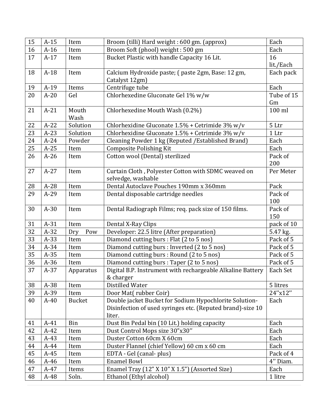| 15       | $A-15$ | Item          | Broom (tilli) Hard weight: 600 gm. (approx)                | Each       |
|----------|--------|---------------|------------------------------------------------------------|------------|
| 16       | $A-16$ | Item          | Broom Soft (phool) weight: 500 gm                          | Each       |
| 17       | $A-17$ | Item          | Bucket Plastic with handle Capacity 16 Lit.                | 16         |
|          |        |               |                                                            | lit./Each  |
| 18       | $A-18$ | Item          | Calcium Hydroxide paste; (paste 2gm, Base: 12 gm,          | Each pack  |
|          |        |               | Catalyst 12gm)                                             |            |
| 19       | $A-19$ | Items         | Centrifuge tube                                            | Each       |
| 20       | $A-20$ | Gel           | Chlorhexedine Gluconate Gel 1% w/w                         | Tube of 15 |
|          |        |               |                                                            | Gm         |
| 21       | $A-21$ | Mouth         | Chlorhexedine Mouth Wash (0.2%)                            | 100 ml     |
|          |        | Wash          |                                                            |            |
| 22       | $A-22$ | Solution      | Chlorhexidine Gluconate 1.5% + Cetrimide 3% w/v            | 5 Ltr      |
| 23       | $A-23$ | Solution      | Chlorhexidine Gluconate $1.5%$ + Cetrimide 3% w/v          | 1 Ltr      |
| 24       | $A-24$ | Powder        | Cleaning Powder 1 kg (Reputed / Established Brand)         | Each       |
| 25       | $A-25$ | Item          | <b>Composite Polishing Kit</b>                             | Each       |
| 26       | $A-26$ | Item          | Cotton wool (Dental) sterilized                            | Pack of    |
|          |        |               |                                                            | 200        |
| 27       | $A-27$ | Item          | Curtain Cloth, Polyester Cotton with SDMC weaved on        | Per Meter  |
|          |        |               | selvedge, washable                                         |            |
| 28       | $A-28$ | Item          | Dental Autoclave Pouches 190mm x 360mm                     | Pack       |
| 29       | $A-29$ | Item          | Dental disposable cartridge needles                        | Pack of    |
|          |        |               |                                                            | 100        |
| 30       | $A-30$ | Item          | Dental Radiograph Films; req. pack size of 150 films.      | Pack of    |
|          |        |               |                                                            | 150        |
| 31       | $A-31$ | Item          | Dental X-Ray Clips                                         | pack of 10 |
| 32       | $A-32$ | Pow<br>Dry    | Developer: 22.5 litre (After preparation)                  | 5.47 kg.   |
| 33       | $A-33$ | Item          | Diamond cutting burs : Flat (2 to 5 nos)                   | Pack of 5  |
| 34       | A-34   | Item          | Diamond cutting burs : Inverted (2 to 5 nos)               | Pack of 5  |
| 35       | $A-35$ | Item          | Diamond cutting burs : Round (2 to 5 nos)                  | Pack of 5  |
| 36       | $A-36$ | Item          | Diamond cutting burs : Taper (2 to 5 nos)                  | Pack of 5  |
| 37       | $A-37$ | Apparatus     | Digital B.P. Instrument with rechargeable Alkaline Battery | Each Set   |
|          |        |               | & charger                                                  |            |
| 38       | A-38   | Item          | Distilled Water                                            | 5 litres   |
| 39       | A-39   | Item          | Door Mat(rubber Coir)                                      | 24"x12"    |
| 40       | $A-40$ | <b>Bucket</b> | Double jacket Bucket for Sodium Hypochlorite Solution-     | Each       |
|          |        |               | Disinfection of used syringes etc. (Reputed brand)-size 10 |            |
|          |        |               | liter.                                                     |            |
| 41       | $A-41$ | Bin           | Dust Bin Pedal bin (10 Lit.) holding capacity              | Each       |
| 42       | $A-42$ | Item          | Dust Control Mops size 30"x30"                             | Each       |
| 43       | $A-43$ | Item          | Duster Cotton 60cm X 60cm                                  | Each       |
| $\bf 44$ | $A-44$ | Item          | Duster Flannel (chief Yellow) 60 cm x 60 cm                | Each       |
| 45       | $A-45$ | Item          | EDTA - Gel (canal- plus)                                   | Pack of 4  |
| 46       | $A-46$ | Item          | <b>Enamel Bowl</b>                                         | 4" Diam.   |
| 47       | $A-47$ | Items         | Enamel Tray (12" X 10" X 1.5") (Assorted Size)             | Each       |
| 48       | A-48   | Soln.         | Ethanol (Ethyl alcohol)                                    | 1 litre    |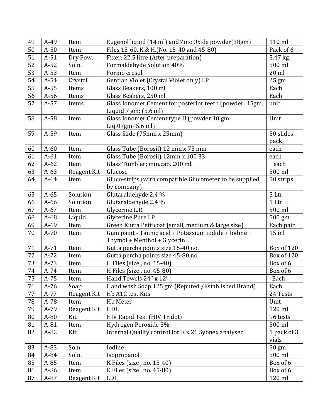| 49 | $A-49$ | Item        | Eugenol liquid (14 ml) and Zinc Oxide powder(38gm)      | 110 ml           |
|----|--------|-------------|---------------------------------------------------------|------------------|
| 50 | $A-50$ | Item        | Files 15-60, K & H.(No. 15-40 and 45-80)                | Pack of 6        |
| 51 | $A-51$ | Dry Pow.    | Fixer: 22.5 litre (After preparation)                   | 5.47 kg.         |
| 52 | $A-52$ | Soln.       | Formaldehyde Solution 40%                               | 500 ml           |
| 53 | $A-53$ | Item        | Formo cresol                                            | $20$ ml          |
| 54 | $A-54$ | Crystal     | Gentian Violet (Crystal Violet only) I.P                | 25 gm            |
| 55 | $A-55$ | Items       | Glass Beakers, 100 ml.                                  | Each             |
| 56 | $A-56$ | Items       | Glass Beakers, 250 ml.                                  | Each             |
| 57 | $A-57$ | Items       | Glass Ionomer Cement for posterior teeth (powder: 15gm; | unit             |
|    |        |             | Liquid $7 \text{ gm}$ ; $(5.6 \text{ ml})$              |                  |
| 58 | $A-58$ | Item        | Glass Ionomer Cement type II (powder 10 gm;             | Unit             |
|    |        |             | Liq:07gm-5.6 ml)                                        |                  |
| 59 | A-59   | Item        | Glass Slide (75mm x 25mm)                               | 50 slides        |
|    |        |             |                                                         | pack             |
| 60 | $A-60$ | Item        | Glass Tube (Borosil) 12 mm x 75 mm                      | each             |
| 61 | $A-61$ | Item        | Glass Tube (Borosil) 12mm x 100 33                      | each             |
| 62 | $A-62$ | Item        | Glass Tumbler; min.cap. 200 ml.                         | each             |
| 63 | $A-63$ | Reagent Kit | Glucose                                                 | 500 ml           |
| 64 | $A-64$ | Item        | Gluco-strips (with compatible Glucometer to be supplied | 50 strips        |
|    |        |             | by company)                                             |                  |
| 65 | $A-65$ | Solution    | Glutaraldehyde 2.4 %                                    | 5 Ltr            |
| 66 | $A-66$ | Solution    | Glutaraldehyde 2.4 %                                    | 1 <sub>ctr</sub> |
| 67 | $A-67$ | Item        | Glycerine L.R.                                          | 500 ml           |
| 68 | A-68   | Liquid      | Glycerine Pure I.P                                      | 500 gm           |
| 69 | $A-69$ | Item        | Green Kurta Petticoat (small, medium & large size)      | Each pair        |
| 70 | $A-70$ | Item        | Gum paint - Tannic acid + Potassium iodide + Iodine +   | $15$ ml          |
|    |        |             | Thymol + Menthol + Glycerin                             |                  |
| 71 | $A-71$ | Item        | Gutta percha points size 15-40 no.                      | Box of 120       |
| 72 | $A-72$ | Item        | Gutta percha points size 45-80 no.                      | Box of 120       |
| 73 | $A-73$ | Item        | H Files (size, no. 15-40)                               | Box of 6         |
| 74 | A-74   | Item        | H Files (size, no. 45-80)                               | Box of 6         |
| 75 | A-75   | Item        | Hand Towels 24" x 12"                                   | Each             |
| 76 | $A-76$ | Soap        | Hand wash Soap 125 gm (Reputed / Established Brand)     | Each             |
| 77 | A-77   | Reagent Kit | Hb A1C test Kits                                        | 24 Tests         |
| 78 | A-78   | Item        | Hb Meter                                                | Unit             |
| 79 | A-79   | Reagent Kit | HDL                                                     | 120 ml           |
| 80 | $A-80$ | Kit         | HIV Rapid Test (HIV Tridot)                             | 96 tests         |
| 81 | A-81   | Item        | Hydrogen Peroxide 3%                                    | 500 ml           |
| 82 | $A-82$ | Kit         | Internal Quality control for K x 21 Syonex analyser     | 1 pack of 3      |
|    |        |             |                                                         | vials            |
| 83 | A-83   | Soln.       | Iodine                                                  | $50 \text{ gm}$  |
| 84 | A-84   | Soln.       | Isopropanol                                             | 500 ml           |
| 85 | A-85   | Item        | K Files (size, no. 15-40)                               | Box of 6         |
| 86 | A-86   | Item        | K Files (size, no. 45-80)                               | Box of 6         |
| 87 | $A-87$ | Reagent Kit | <b>LDL</b>                                              | 120 ml           |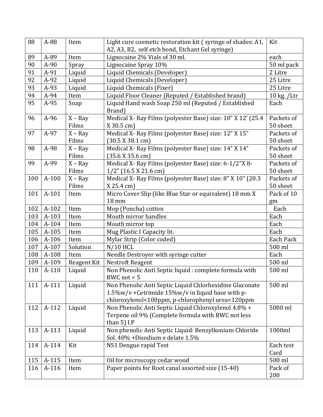| 88  | A-88    | Item        | Light cure cosmetic restoration kit (syringe of shades: A1, | Kit           |
|-----|---------|-------------|-------------------------------------------------------------|---------------|
|     |         |             | A2, A3, B2, self etch bond, Etchant Gel syringe)            |               |
| 89  | A-89    | Item        | Lignocaine 2% Vials of 30 ml.                               | each          |
| 90  | $A-90$  | Spray       | Lignocaine Spray 10%                                        | 50 ml pack    |
| 91  | A-91    | Liquid      | Liquid Chemicals (Developer)                                | 2 Litre       |
| 92  | A-92    | Liquid      | Liquid Chemicals (Developer)                                | 25 Litre      |
| 93  | A-93    | Liquid      | Liquid Chemicals (Fixer)                                    | 25 Litre      |
| 94  | A-94    | Item        | Liquid Floor Cleaner (Reputed / Established brand)          | $10$ kg. /Ltr |
| 95  | A-95    | Soap        | Liquid Hand wash Soap 250 ml (Reputed / Established         | Each          |
|     |         |             | Brand)                                                      |               |
| 96  | $A-96$  | $X - Ray$   | Medical X- Ray Films (polyester Base) size: 10" X 12' (25.4 | Packets of    |
|     |         | Films       | $X$ 30.5 cm)                                                | 50 sheet      |
| 97  | A-97    | $X - Ray$   | Medical X- Ray Films (polyester Base) size: 12" X 15"       | Packets of    |
|     |         | Films       | (30.5 X 38.1 cm)                                            | 50 sheet      |
| 98  | A-98    | $X - Ray$   | Medical X- Ray Films (polyester Base) size: 14" X 14"       | Packets of    |
|     |         | Films       | (35.6 X 35.6 cm)                                            | 50 sheet      |
| 99  | A-99    | $X - Ray$   | Medical X- Ray Films (polyester Base) size: 6-1/2"X 8-      | Packets of    |
|     |         | Films       | $1/2$ " (16.5 X 21.6 cm)                                    | 50 sheet      |
| 100 | $A-100$ | $X - Ray$   | Medical X- Ray Films (polyester Base) size: 8" X 10" (20.3) | Packets of    |
|     |         | Films       | $X 25.4$ cm)                                                | 50 sheet      |
| 101 | A-101   | Item        | Micro Cover Slip (like Blue Star or equivalent) 18 mm X     | Pack of 10    |
|     |         |             | 18 mm                                                       | gm            |
| 102 | A-102   | Item        | Mop (Poncha) cotton                                         | Each          |
| 103 | A-103   | Item        | Mouth mirror handles                                        | Each          |
| 104 | A-104   | Item        | Mouth mirror top                                            | Each          |
| 105 | A-105   | Item        | Mug Plastic I Capacity lit.                                 | Each          |
| 106 | A-106   | Item        | Mylar Strip (Color coded)                                   | Each Pack     |
| 107 | A-107   | Solution    | $N/10$ HCL                                                  | 500 ml        |
| 108 | A-108   | Item        | Needle Destroyer with syringe cutter                        | Each          |
| 109 | A-109   | Reagent Kit | <b>Nestroft Reagent</b>                                     | 500 ml        |
| 110 | A-110   | Liquid      | Non Phenolic Anti Septic liquid : complete formula with     | 500 ml        |
|     |         |             | RWC not $< 5$                                               |               |
| 111 | A-111   | Liquid      | Non Phenolic Anti Septic Liquid Chlorhexidine Gluconate     | 500 ml        |
|     |         |             | 1.5%w/v + Cetrimide 15%w/v in liquid base with p-           |               |
|     |         |             | chloroxylenol<100ppm, p-chlorophenyl urea<120ppm            |               |
| 112 | A-112   | Liquid      | Non Phenolic Anti Septic Liquid Chloroxylenol 4.8% +        | 5000 ml       |
|     |         |             | Terpene oil 9% (Complete formula with RWC not less          |               |
|     |         |             | than $5$ ) I.P                                              |               |
| 113 | A-113   | Liquid      | Non phenolic Anti Septic Liquid: Benzylkonium Chloride      | 1000ml        |
|     |         |             | Sol. 40% + Disodium e delate 1.5%                           |               |
| 114 | A-114   | Kit         | NS1 Dengue rapid Test                                       | Each test     |
|     |         |             |                                                             | Card          |
| 115 | A-115   | Item        | Oil for microscopy cedar wood                               | 500 ml        |
| 116 | A-116   | Item        | Paper points for Root canal assorted size (15-40)           | Pack of       |
|     |         |             |                                                             | 200           |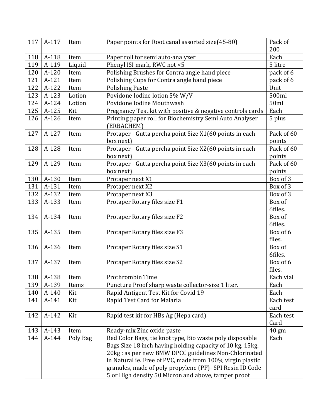| 117 | A-117 | Item     | Paper points for Root canal assorted size(45-80)                      | Pack of         |
|-----|-------|----------|-----------------------------------------------------------------------|-----------------|
|     |       |          |                                                                       | 200             |
| 118 | A-118 | Item     | Paper roll for semi auto-analyzer                                     | Each            |
| 119 | A-119 | Liquid   | Phenyl ISI mark, RWC not <5                                           | 5 litre         |
| 120 | A-120 | Item     | Polishing Brushes for Contra angle hand piece                         | pack of 6       |
| 121 | A-121 | Item     | Polishing Cups for Contra angle hand piece                            | pack of 6       |
| 122 | A-122 | Item     | <b>Polishing Paste</b>                                                | Unit            |
| 123 | A-123 | Lotion   | Povidone Iodine lotion 5% W/V                                         | 500ml           |
| 124 | A-124 | Lotion   | Povidone Iodine Mouthwash                                             | 50ml            |
| 125 | A-125 | Kit      | Pregnancy Test kit with positive & negative controls cards            | Each            |
| 126 | A-126 | Item     | Printing paper roll for Biochemistry Semi Auto Analyser<br>(ERBACHEM) | 5 plus          |
| 127 | A-127 | Item     | Protaper - Gutta percha point Size X1(60 points in each               | Pack of 60      |
|     |       |          | box next)                                                             | points          |
| 128 | A-128 | Item     | Protaper - Gutta percha point Size X2(60 points in each               | Pack of 60      |
|     |       |          | box next)                                                             | points          |
| 129 | A-129 | Item     | Protaper - Gutta percha point Size X3(60 points in each               | Pack of 60      |
|     |       |          | box next)                                                             | points          |
| 130 | A-130 | Item     | Protaper next X1                                                      | Box of 3        |
| 131 | A-131 | Item     | Protaper next X2                                                      | Box of 3        |
| 132 | A-132 | Item     | Protaper next X3                                                      | Box of 3        |
| 133 | A-133 | Item     | Protaper Rotary files size F1                                         | Box of          |
|     |       |          |                                                                       | 6files.         |
| 134 | A-134 | Item     | Protaper Rotary files size F2                                         | Box of          |
|     |       |          |                                                                       | 6files.         |
| 135 | A-135 | Item     | Protaper Rotary files size F3                                         | Box of 6        |
|     |       |          |                                                                       | files.          |
| 136 | A-136 | Item     | Protaper Rotary files size S1                                         | Box of          |
|     |       |          |                                                                       | 6files.         |
| 137 | A-137 | Item     | Protaper Rotary files size S2                                         | Box of 6        |
|     |       |          |                                                                       | files.          |
| 138 | A-138 | Item     | Prothrombin Time                                                      | Each vial       |
| 139 | A-139 | Items    | Puncture Proof sharp waste collector-size 1 liter.                    | Each            |
| 140 | A-140 | Kit      | Rapid Antigent Test Kit for Covid 19                                  | Each            |
| 141 | A-141 | Kit      | Rapid Test Card for Malaria                                           | Each test       |
|     |       |          |                                                                       | card            |
| 142 | A-142 | Kit      | Rapid test kit for HBs Ag (Hepa card)                                 | Each test       |
|     |       |          |                                                                       | Card            |
| 143 | A-143 | Item     | Ready-mix Zinc oxide paste                                            | $40 \text{ gm}$ |
| 144 | A-144 | Poly Bag | Red Color Bags, tie knot type, Bio waste poly disposable              | Each            |
|     |       |          | Bags Size 18 inch having holding capacity of 10 kg, 15kg,             |                 |
|     |       |          | 20kg : as per new BMW DPCC guidelines Non-Chlorinated                 |                 |
|     |       |          | in Natural ie. Free of PVC, made from 100% virgin plastic             |                 |
|     |       |          | granules, made of poly propylene (PP)- SPI Resin ID Code              |                 |
|     |       |          | 5 or High density 50 Micron and above, tamper proof                   |                 |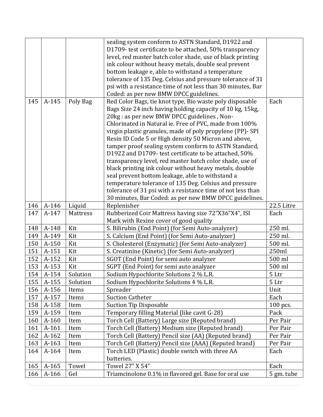|     |                |          | sealing system conform to ASTN Standard, D1922 and          |            |
|-----|----------------|----------|-------------------------------------------------------------|------------|
|     |                |          | D1709- test certificate to be attached, 50% transparency    |            |
|     |                |          | level, red master batch color shade, use of black printing  |            |
|     |                |          | ink colour without heavy metals, double seal prevent        |            |
|     |                |          | bottom leakage e, able to withstand a temperature           |            |
|     |                |          | tolerance of 135 Deg. Celsius and pressure tolerance of 31  |            |
|     |                |          | psi with a resistance time of not less than 30 minutes, Bar |            |
|     |                |          | Coded: as per new BMW DPCC guidelines.                      |            |
| 145 | A-145          | Poly Bag | Red Color Bags, tie knot type, Bio waste poly disposable    | Each       |
|     |                |          | Bags Size 24 inch having holding capacity of 10 kg, 15kg,   |            |
|     |                |          | 20kg : as per new BMW DPCC guidelines, Non-                 |            |
|     |                |          | Chlorinated in Natural ie. Free of PVC, made from 100%      |            |
|     |                |          | virgin plastic granules, made of poly propylene (PP)- SPI   |            |
|     |                |          | Resin ID Code 5 or High density 50 Micron and above,        |            |
|     |                |          | tamper proof sealing system conform to ASTN Standard,       |            |
|     |                |          | D1922 and D1709- test certificate to be attached, 50%       |            |
|     |                |          | transparency level, red master batch color shade, use of    |            |
|     |                |          | black printing ink colour without heavy metals, double      |            |
|     |                |          | seal prevent bottom leakage, able to withstand a            |            |
|     |                |          | temperature tolerance of 135 Deg. Celsius and pressure      |            |
|     |                |          | tolerance of 31 psi with a resistance time of not less than |            |
|     |                |          | 30 minutes, Bar Coded: as per new BMW DPCC guidelines.      |            |
| 146 | A-146          | Liquid   | Replenisher                                                 | 22.5 Litre |
| 147 | A-147          | Mattress | Rubberized Coir Mattress having size 72"X36"X4", ISI        | Each       |
|     |                |          | Mark with Rexine cover of good quality                      |            |
| 148 | A-148          | Kit      | S. Bilirubin (End Point) (for Semi Auto-analyzer)           | 250 ml.    |
| 149 | A-149          | Kit      | S. Calcium (End Point) (for Semi Auto-analyzer)             | 250 ml.    |
| 150 | A-150          | Kit      | S. Cholesterol (Enzymatic) (for Semi Auto-analyzer)         | 500 ml.    |
| 151 | A-151          | Kit      | S. Creatinine (Kinetic) (for Semi Auto-analyzer)            | 250ml      |
| 152 | A-152          | Kit      | SGOT (End Point) for semi auto analyzer                     | 500 ml     |
| 153 | A-153          | Kit      | SGPT (End Point) for semi auto analyzer                     | 500 ml     |
| 154 | A-154          | Solution | Sodium Hypochlorite Solutions 2 % L.R.                      | 5 Ltr      |
| 155 | A-155          | Solution | Sodium Hypochlorite Solutions 4 % L.R.                      | 5 Ltr      |
| 156 | A-156          | Items    | Spreader                                                    | Unit       |
| 157 | A-157          | Items    | <b>Suction Catheter</b>                                     | Each       |
| 158 | A-158          | Item     | <b>Suction Tip Disposable</b>                               | $100$ pcs. |
| 159 | A-159          | Item     | Temporary filling Material (like cavit G-28)                | Pack       |
| 160 | A-160          | Item     | Torch Cell (Battery) Large size (Reputed brand)             | Per Pair   |
| 161 | A-161          | Item     | Torch Cell (Battery) Medium size (Reputed brand)            | Per Pair   |
| 162 | A-162          | Item     | Torch Cell (Battery) Pencil size (AA) (Reputed brand)       | Per Pair   |
| 163 | A-163          | Item     | Torch Cell (Battery) Pencil size (AAA) (Reputed brand)      | Per Pair   |
| 164 | A-164          | Item     | Torch LED (Plastic) double switch with three AA             | Each       |
|     |                |          | batteries.                                                  |            |
| 165 |                | Towel    | Towel 27" X 54"                                             | Each       |
|     |                |          |                                                             |            |
| 166 | A-165<br>A-166 | Gel      | Triamcinolone 0.1% in flavored gel. Base for oral use       | 5 gm. tube |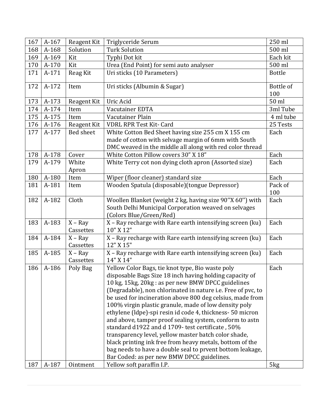| 167 | A-167 | Reagent Kit            | Triglyceride Serum                                                                                                                                                                                                                                                                                                                                                                                                                                                                                                                                                                                                                                                                                                                                                 | 250 ml           |
|-----|-------|------------------------|--------------------------------------------------------------------------------------------------------------------------------------------------------------------------------------------------------------------------------------------------------------------------------------------------------------------------------------------------------------------------------------------------------------------------------------------------------------------------------------------------------------------------------------------------------------------------------------------------------------------------------------------------------------------------------------------------------------------------------------------------------------------|------------------|
| 168 | A-168 | Solution               | <b>Turk Solution</b>                                                                                                                                                                                                                                                                                                                                                                                                                                                                                                                                                                                                                                                                                                                                               | 500 ml           |
| 169 | A-169 | Kit                    | Typhi Dot kit                                                                                                                                                                                                                                                                                                                                                                                                                                                                                                                                                                                                                                                                                                                                                      | Each kit         |
| 170 | A-170 | Kit                    | Urea (End Point) for semi auto analyser                                                                                                                                                                                                                                                                                                                                                                                                                                                                                                                                                                                                                                                                                                                            | 500 ml           |
| 171 | A-171 | Reag Kit               | Uri sticks (10 Parameters)                                                                                                                                                                                                                                                                                                                                                                                                                                                                                                                                                                                                                                                                                                                                         | <b>Bottle</b>    |
| 172 | A-172 | Item                   | Uri sticks (Albumin & Sugar)                                                                                                                                                                                                                                                                                                                                                                                                                                                                                                                                                                                                                                                                                                                                       | Bottle of<br>100 |
| 173 | A-173 | Reagent Kit            | Uric Acid                                                                                                                                                                                                                                                                                                                                                                                                                                                                                                                                                                                                                                                                                                                                                          | 50 ml            |
| 174 | A-174 | Item                   | Vacutainer EDTA                                                                                                                                                                                                                                                                                                                                                                                                                                                                                                                                                                                                                                                                                                                                                    | 3ml Tube         |
| 175 | A-175 | Item                   | Vacutainer Plain                                                                                                                                                                                                                                                                                                                                                                                                                                                                                                                                                                                                                                                                                                                                                   | 4 ml tube        |
| 176 | A-176 | Reagent Kit            | <b>VDRL RPR Test Kit- Card</b>                                                                                                                                                                                                                                                                                                                                                                                                                                                                                                                                                                                                                                                                                                                                     | 25 Tests         |
| 177 | A-177 | <b>Bed sheet</b>       | White Cotton Bed Sheet having size 255 cm X 155 cm                                                                                                                                                                                                                                                                                                                                                                                                                                                                                                                                                                                                                                                                                                                 | Each             |
|     |       |                        | made of cotton with selvage margin of 6mm with South                                                                                                                                                                                                                                                                                                                                                                                                                                                                                                                                                                                                                                                                                                               |                  |
|     |       |                        | DMC weaved in the middle all along with red color thread                                                                                                                                                                                                                                                                                                                                                                                                                                                                                                                                                                                                                                                                                                           |                  |
| 178 | A-178 | Cover                  | White Cotton Pillow covers 30" X 18"                                                                                                                                                                                                                                                                                                                                                                                                                                                                                                                                                                                                                                                                                                                               | Each             |
| 179 | A-179 | White<br>Apron         | White Terry cot non dying cloth apron (Assorted size)                                                                                                                                                                                                                                                                                                                                                                                                                                                                                                                                                                                                                                                                                                              | Each             |
| 180 | A-180 | Item                   | Wiper (floor cleaner) standard size                                                                                                                                                                                                                                                                                                                                                                                                                                                                                                                                                                                                                                                                                                                                | Each             |
| 181 | A-181 | Item                   | Wooden Spatula (disposable)(tongue Depressor)                                                                                                                                                                                                                                                                                                                                                                                                                                                                                                                                                                                                                                                                                                                      | Pack of          |
|     |       |                        |                                                                                                                                                                                                                                                                                                                                                                                                                                                                                                                                                                                                                                                                                                                                                                    | 100              |
| 182 | A-182 | Cloth                  | Woollen Blanket (weight 2 kg, having size 90"X 60") with<br>South Delhi Municipal Corporation weaved on selvages<br>(Colors Blue/Green/Red)                                                                                                                                                                                                                                                                                                                                                                                                                                                                                                                                                                                                                        | Each             |
| 183 | A-183 | $X - Ray$<br>Cassettes | X - Ray recharge with Rare earth intensifying screen (ku)<br>10" X 12"                                                                                                                                                                                                                                                                                                                                                                                                                                                                                                                                                                                                                                                                                             | Each             |
| 184 | A-184 | $X - Ray$<br>Cassettes | X - Ray recharge with Rare earth intensifying screen (ku)<br>12" X 15"                                                                                                                                                                                                                                                                                                                                                                                                                                                                                                                                                                                                                                                                                             | Each             |
| 185 | A-185 | $X - Ray$<br>Cassettes | X - Ray recharge with Rare earth intensifying screen (ku)<br>14" X 14"                                                                                                                                                                                                                                                                                                                                                                                                                                                                                                                                                                                                                                                                                             | Each             |
| 186 | A-186 | Poly Bag               | Yellow Color Bags, tie knot type, Bio waste poly<br>disposable Bags Size 18 inch having holding capacity of<br>10 kg, 15kg, 20kg : as per new BMW DPCC guidelines<br>(Degradable), non chlorinated in nature i.e. Free of pvc, to<br>be used for incineration above 800 deg celsius, made from<br>100% virgin plastic granule, made of low density poly<br>ethylene (Idpe)-spi resin id code 4, thickness- 50 micron<br>and above, tamper proof sealing system, conform to astn<br>standard d1922 and d 1709- test certificate, 50%<br>transparency level, yellow master batch color shade,<br>black printing ink free from heavy metals, bottom of the<br>bag needs to have a double seal to prvent bottom leakage,<br>Bar Coded: as per new BMW DPCC guidelines. | Each             |
| 187 | A-187 | Ointment               | Yellow soft paraffin I.P.                                                                                                                                                                                                                                                                                                                                                                                                                                                                                                                                                                                                                                                                                                                                          | 5 <sub>kg</sub>  |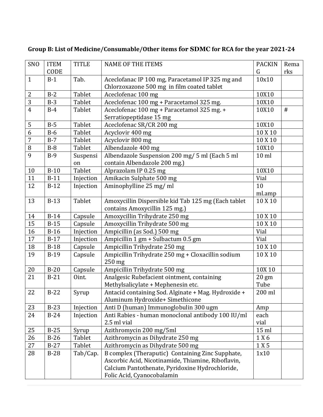| <b>SNO</b>     | <b>ITEM</b> | <b>TITLE</b> | <b>NAME OF THE ITEMS</b>                            | <b>PACKIN</b>   | Rema |
|----------------|-------------|--------------|-----------------------------------------------------|-----------------|------|
|                | CODE        |              |                                                     | G               | rks  |
| $\mathbf{1}$   | $B-1$       | Tab.         | Aceclofanac IP 100 mg, Paracetamol IP 325 mg and    | 10x10           |      |
|                |             |              | Chlorzoxazone 500 mg in film coated tablet          |                 |      |
| $\overline{2}$ | $B-2$       | Tablet       | Aceclofenac 100 mg                                  | 10X10           |      |
| $\overline{3}$ | $B-3$       | Tablet       | Aceclofenac 100 mg + Paracetamol 325 mg.            | 10X10           |      |
| $\overline{4}$ | $B-4$       | Tablet       | Aceclofenac 100 mg + Paracetamol 325 mg. +          | 10X10           | $\#$ |
|                |             |              | Serratiopeptidase 15 mg                             |                 |      |
| 5              | $B-5$       | Tablet       | Aceclofenac SR/CR 200 mg                            | 10X10           |      |
| 6              | $B-6$       | Tablet       | Acyclovir 400 mg                                    | 10 X 10         |      |
| $\overline{7}$ | $B-7$       | Tablet       | Acyclovir 800 mg                                    | 10 X 10         |      |
| 8              | $B-8$       | Tablet       | Albendazole 400 mg                                  | 10X10           |      |
| 9              | $B-9$       | Suspensi     | Albendazole Suspension 200 mg/ 5 ml (Each 5 ml      | $10$ ml         |      |
|                |             | on           | contain Albendazole 200 mg.)                        |                 |      |
| 10             | $B-10$      | Tablet       | Alprazolam IP 0.25 mg                               | 10X10           |      |
| 11             | $B-11$      | Injection    | Amikacin Sulphate 500 mg                            | Vial            |      |
| 12             | $B-12$      | Injection    | Aminophylline 25 mg/ml                              | 10              |      |
|                |             |              |                                                     | ml.amp          |      |
| 13             | $B-13$      | Tablet       | Amoxycillin Dispersible kid Tab 125 mg (Each tablet | 10 X 10         |      |
|                |             |              | contains Amoxycillin 125 mg.)                       |                 |      |
| 14             | $B-14$      | Capsule      | Amoxycillin Trihydrate 250 mg                       | 10 X 10         |      |
| 15             | $B-15$      | Capsule      | Amoxycillin Trihydrate 500 mg                       | 10 X 10         |      |
| 16             | $B-16$      | Injection    | Ampicillin (as Sod.) 500 mg                         | Vial            |      |
| 17             | $B-17$      | Injection    | Ampicillin 1 gm + Sulbactum 0.5 gm                  | Vial            |      |
| 18             | $B-18$      | Capsule      | Ampicillin Trihydrate 250 mg                        | 10 X 10         |      |
| 19             | $B-19$      | Capsule      | Ampicillin Trihydrate 250 mg + Cloxacillin sodium   | 10 X 10         |      |
|                |             |              | 250 mg                                              |                 |      |
| 20             | $B-20$      | Capsule      | Ampicillin Trihydrate 500 mg                        | 10X 10          |      |
| 21             | $B-21$      | Oint.        | Analgesic Rubefacient ointment, containing          | $20 \text{ gm}$ |      |
|                |             |              | Methylsalicylate + Mephenesin etc.                  | Tube            |      |
| 22             | $B-22$      | Syrup        | Antacid containing Sod. Alginate + Mag. Hydroxide + | 200 ml          |      |
|                |             |              | Aluminum Hydroxide+ Simethicone                     |                 |      |
| 23             | $B-23$      | Injection    | Anti D (human) Immunoglobulin 300 ugm               | Amp             |      |
| 24             | $B-24$      | Injection    | Anti Rabies - human monoclonal antibody 100 IU/ml   | each            |      |
|                |             |              | 2.5 ml vial                                         | vial            |      |
| 25             | $B-25$      | Syrup        | Azithromycin 200 mg/5ml                             | 15 ml           |      |
| 26             | $B-26$      | Tablet       | Azithromycin as Dihydrate 250 mg                    | 1 X 6           |      |
| 27             | $B-27$      | Tablet       | Azithromycin as Dihydrate 500 mg                    | $1\times5$      |      |
| 28             | $B-28$      | Tab/Cap.     | B complex (Theraputic) Containing Zinc Supphate,    | 1x10            |      |
|                |             |              | Ascorbic Acid, Nicotinamide, Thiamine, Riboflavin,  |                 |      |
|                |             |              | Calcium Pantothenate, Pyridoxine Hydrochloride,     |                 |      |
|                |             |              | Folic Acid, Cyanocobalamin                          |                 |      |

## **Group B: List of Medicine/Consumable/Other items for SDMC for RCA for the year 2021-24**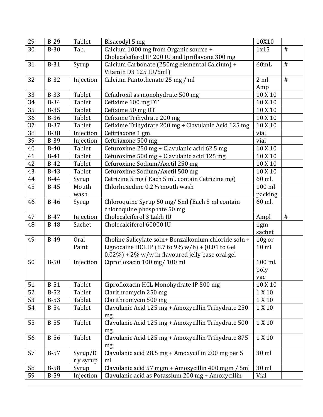| 29 | $B-29$      | Tablet    | Bisacodyl 5 mg                                        | 10X10            |      |
|----|-------------|-----------|-------------------------------------------------------|------------------|------|
| 30 | $B-30$      | Tab.      | Calcium 1000 mg from Organic source +                 | 1x15             | #    |
|    |             |           | Cholecalciferol IP 200 IU and Ipriflavone 300 mg      |                  |      |
| 31 | $B-31$      | Syrup     | Calcium Carbonate (250mg elemental Calcium) +         | 60mL             | #    |
|    |             |           | Vitamin D3 125 IU/5ml)                                |                  |      |
| 32 | $B-32$      | Injection | Calcium Pantothenate 25 mg / ml                       | 2ml              | $\#$ |
|    |             |           |                                                       | Amp              |      |
| 33 | $B-33$      | Tablet    | Cefadroxil as monohydrate 500 mg                      | 10 X 10          |      |
| 34 | $B-34$      | Tablet    | Cefixime 100 mg DT                                    | 10 X 10          |      |
| 35 | $B-35$      | Tablet    | Cefixime 50 mg DT                                     | 10 X 10          |      |
| 36 | $B-36$      | Tablet    | Cefixime Trihydrate 200 mg                            | 10 X 10          |      |
| 37 | $B-37$      | Tablet    | Cefixime Trihydrate 200 mg + Clavulanic Acid 125 mg   | 10 X 10          |      |
| 38 | <b>B-38</b> | Injection | Ceftriaxone 1 gm                                      | vial             |      |
| 39 | <b>B-39</b> | Injection | Ceftriaxone 500 mg                                    | vial             |      |
| 40 | $B-40$      | Tablet    | Cefuroxime 250 mg + Clavulanic acid 62.5 mg           | 10 X 10          |      |
| 41 | $B-41$      | Tablet    | Cefuroxime 500 mg + Clavulanic acid 125 mg            | 10 X 10          |      |
| 42 | $B-42$      | Tablet    | Cefuroxime Sodium/Axetil 250 mg                       | 10 X 10          |      |
| 43 | $B-43$      | Tablet    | Cefuroxime Sodium/Axetil 500 mg                       | 10 X 10          |      |
| 44 | $B-44$      | Syrup     | Cetrizine 5 mg (Each 5 ml. contain Cetrizine mg)      | 60 ml.           |      |
| 45 | $B-45$      | Mouth     | Chlorhexedine 0.2% mouth wash                         | 100 ml           |      |
|    |             | wash      |                                                       | packing          |      |
| 46 | $B-46$      | Syrup     | Chloroquine Syrup 50 mg/ 5ml (Each 5 ml contain       | 60 ml.           |      |
|    |             |           | chloroquine phosphate 50 mg                           |                  |      |
| 47 | $B-47$      | Injection | Cholecalciferol 3 Lakh IU                             | Ampl             | $\#$ |
| 48 | $B-48$      | Sachet    | Cholecalciferol 60000 IU                              | 1gm              |      |
|    |             |           |                                                       | sachet           |      |
| 49 | $B-49$      | Oral      | Choline Salicylate soln+ Benzalkonium chloride soln + | $10g$ or         |      |
|    |             | Paint     | Lignocaine HCL IP (8.7 to 9% w/b) + (0.01 to Gel      | 10 <sub>ml</sub> |      |
|    |             |           | $0.02\%$ ) + 2% w/w in flavoured jelly base oral gel  |                  |      |
| 50 | $B-50$      | Injection | Ciprofloxacin 100 mg/ 100 ml                          | 100 ml.          |      |
|    |             |           |                                                       | poly             |      |
|    |             |           |                                                       | vac              |      |
| 51 | $B-51$      | Tablet    | Ciprofloxacin HCL Monohydrate IP 500 mg               | 10 X 10          |      |
| 52 | $B-52$      | Tablet    | Clarithromycin 250 mg                                 | 1 X 10           |      |
| 53 | $B-53$      | Tablet    | Clarithromycin 500 mg                                 | $1\times10$      |      |
| 54 | $B-54$      | Tablet    | Clavulanic Acid 125 mg + Amoxycillin Trihydrate 250   | 1 X 10           |      |
|    |             |           | mg                                                    |                  |      |
| 55 | $B-55$      | Tablet    | Clavulanic Acid 125 mg + Amoxycillin Trihydrate 500   | 1 X 10           |      |
|    |             |           | mg                                                    |                  |      |
| 56 | $B-56$      | Tablet    | Clavulanic Acid 125 mg + Amoxycillin Trihydrate 875   | 1 X 10           |      |
|    |             |           | mg                                                    |                  |      |
| 57 | $B-57$      | Syrup/D   | Clavulanic acid 28.5 mg + Amoxycillin 200 mg per 5    | 30 ml            |      |
|    |             | r y syrup | ml                                                    |                  |      |
| 58 | $B-58$      | Syrup     | Clavulanic acid 57 mgm + Amoxycillin 400 mgm / 5ml    | 30 ml            |      |
| 59 | $B-59$      | Injection | Clavulanic acid as Potassium 200 mg + Amoxycillin     | Vial             |      |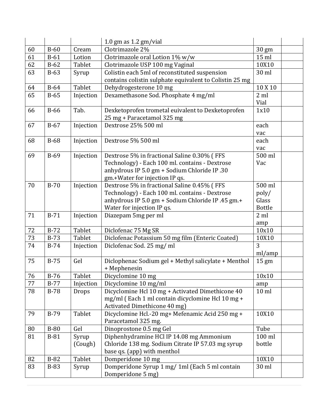|    |             |                            | 1.0 gm as $1.2$ gm/vial                                                       |                 |  |
|----|-------------|----------------------------|-------------------------------------------------------------------------------|-----------------|--|
| 60 | $B-60$      | Cream                      | Clotrimazole 2%                                                               | 30 gm           |  |
| 61 | $B-61$      | Lotion                     | Clotrimazole oral Lotion 1% w/w                                               | $15$ ml         |  |
| 62 | $B-62$      | Tablet                     | Clotrimazole USP 100 mg Vaginal                                               | 10X10           |  |
| 63 | $B-63$      | Syrup                      | Colistin each 5ml of reconstituted suspension                                 | 30 ml           |  |
|    |             |                            | contains colistin sulphate equivalent to Colistin 25 mg                       |                 |  |
| 64 | $B-64$      | <b>Tablet</b>              | Dehydrogesterone 10 mg                                                        | 10 X 10         |  |
| 65 | $B-65$      | Injection                  | Dexamethasone Sod. Phosphate 4 mg/ml                                          | $2 \mathrm{ml}$ |  |
|    |             |                            |                                                                               | Vial            |  |
| 66 | $B-66$      | Tab.                       | Dexketoprofen trometal euivalent to Dexketoprofen                             | 1x10            |  |
|    |             |                            | 25 mg + Paracetamol 325 mg                                                    |                 |  |
| 67 | $B-67$      | Injection                  | Dextrose 25% 500 ml                                                           | each            |  |
|    |             |                            |                                                                               | vac             |  |
| 68 | $B-68$      | Injection                  | Dextrose 5% 500 ml                                                            | each            |  |
|    |             |                            |                                                                               | vac             |  |
| 69 | $B-69$      | Injection                  | Dextrose 5% in fractional Saline 0.30% (FFS                                   | 500 ml          |  |
|    |             |                            | Technology) - Each 100 ml. contains - Dextrose                                | Vac             |  |
|    |             |                            | anhydrous IP 5.0 gm + Sodium Chloride IP .30                                  |                 |  |
| 70 | $B-70$      |                            | gm.+Water for injection IP qs.<br>Dextrose 5% in fractional Saline 0.45% (FFS | 500 ml          |  |
|    |             | Injection                  | Technology) - Each 100 ml. contains - Dextrose                                |                 |  |
|    |             |                            | anhydrous IP 5.0 gm + Sodium Chloride IP .45 gm.+                             | poly/<br>Glass  |  |
|    |             |                            | Water for injection IP qs.                                                    | <b>Bottle</b>   |  |
| 71 | $B-71$      | Injection                  | Diazepam 5mg per ml                                                           | $2 \mathrm{ml}$ |  |
|    |             |                            |                                                                               | amp             |  |
| 72 | $B-72$      | Tablet                     | Diclofenac 75 Mg SR                                                           | 10x10           |  |
| 73 | $B-73$      | Tablet                     | Diclofenac Potassium 50 mg film (Enteric Coated)                              | 10X10           |  |
| 74 | $B-74$      | Injection                  | Diclofenac Sod. 25 mg/ml                                                      | 3               |  |
|    |             |                            |                                                                               | ml/amp          |  |
| 75 | $B-75$      | Gel                        | Diclophenac Sodium gel + Methyl salicylate + Menthol                          | $15 \text{ gm}$ |  |
|    |             |                            | + Mephenesin                                                                  |                 |  |
| 76 | $B-76$      | $\overline{\text{Tablet}}$ | Dicyclomine 10 mg                                                             | 10x10           |  |
| 77 | $B-77$      | Injection                  | Dicyclomine 10 mg/ml                                                          | amp             |  |
| 78 | $B-78$      | Drops                      | Dicyclomine Hcl 10 mg + Activated Dimethicone 40                              | $10$ ml         |  |
|    |             |                            | mg/ml (Each 1 ml contain dicyclomine Hcl 10 mg +                              |                 |  |
|    |             |                            | Activated Dimethicone 40 mg)                                                  |                 |  |
| 79 | <b>B-79</b> | Tablet                     | Dicyclomine Hcl.-20 mg+ Mefenamic Acid 250 mg +                               | 10X10           |  |
|    |             |                            | Paracetamol 325 mg.                                                           |                 |  |
| 80 | $B-80$      | Gel                        | Dinoprostone 0.5 mg Gel                                                       | Tube            |  |
| 81 | $B-81$      | Syrup                      | Diphenhydramine HCl IP 14.08 mg Ammonium                                      | 100 ml          |  |
|    |             | (Cough)                    | Chloride 138 mg. Sodium Citrate IP 57.03 mg syrup                             | bottle          |  |
|    |             |                            | base qs. (app) with menthol                                                   |                 |  |
| 82 | $B-82$      | Tablet                     | Domperidone 10 mg                                                             | 10X10           |  |
| 83 | <b>B-83</b> | Syrup                      | Domperidone Syrup 1 mg/ 1ml (Each 5 ml contain                                | 30 ml           |  |
|    |             |                            | Domperidone 5 mg)                                                             |                 |  |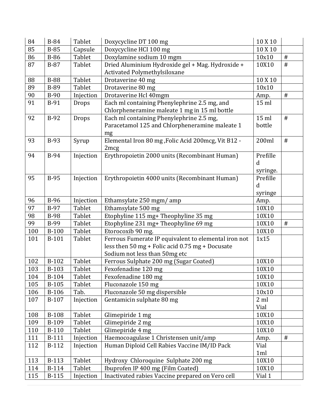| 84  | <b>B-84</b>  | Tablet    | Doxycycline DT 100 mg                                | 10 X 10  |      |
|-----|--------------|-----------|------------------------------------------------------|----------|------|
| 85  | <b>B-85</b>  | Capsule   | Doxycycline HCI 100 mg                               | 10 X 10  |      |
| 86  | <b>B-86</b>  | Tablet    | Doxylamine sodium 10 mgm                             | 10x10    | $\#$ |
| 87  | $B-87$       | Tablet    | Dried Aluminium Hydroxide gel + Mag. Hydroxide +     | 10X10    | #    |
|     |              |           | Activated Polymethylsiloxane                         |          |      |
| 88  | <b>B-88</b>  | Tablet    | Drotaverine 40 mg                                    | 10 X 10  |      |
| 89  | <b>B-89</b>  | Tablet    | Drotaverine 80 mg                                    | 10x10    |      |
| 90  | $B-90$       | Injection | Drotaverine Hcl 40mgm                                | Amp.     | $\#$ |
| 91  | $B-91$       | Drops     | Each ml containing Phenylephrine 2.5 mg, and         | 15 ml    |      |
|     |              |           | Chlorpheneramine maleate 1 mg in 15 ml bottle        |          |      |
| 92  | $B-92$       | Drops     | Each ml containing Phenylephrine 2.5 mg,             | 15 ml    | $\#$ |
|     |              |           | Paracetamol 125 and Chlorpheneramine maleate 1       | bottle   |      |
|     |              |           | mg                                                   |          |      |
| 93  | $B-93$       | Syrup     | Elemental Iron 80 mg , Folic Acid 200mcg, Vit B12 -  | 200ml    | #    |
|     |              |           | 2mcg                                                 |          |      |
| 94  | <b>B-94</b>  | Injection | Erythropoietin 2000 units (Recombinant Human)        | Prefille |      |
|     |              |           |                                                      | d        |      |
|     |              |           |                                                      | syringe. |      |
| 95  | <b>B-95</b>  | Injection | Erythropoietin 4000 units (Recombinant Human)        | Prefille |      |
|     |              |           |                                                      | d        |      |
|     |              |           |                                                      | syringe  |      |
| 96  | <b>B-96</b>  | Injection | Ethamsylate 250 mgm/amp                              | Amp.     |      |
| 97  | <b>B-97</b>  | Tablet    | Ethamsylate 500 mg                                   | 10X10    |      |
| 98  | <b>B-98</b>  | Tablet    | Etophyline 115 mg+ Theophyline 35 mg                 | 10X10    |      |
| 99  | <b>B-99</b>  | Tablet    | Etophyline 231 mg+ Theophyline 69 mg                 | 10X10    | #    |
| 100 | <b>B-100</b> | Tablet    | Etorocoxib 90 mg.                                    | 10X10    |      |
| 101 | B-101        | Tablet    | Ferrous Fumerate IP equivalent to elemental iron not | 1x15     |      |
|     |              |           | less then 50 mg + Folic acid 0.75 mg + Docusate      |          |      |
|     |              |           | Sodium not less than 50mg etc                        |          |      |
| 102 | B-102        | Tablet    | Ferrous Sulphate 200 mg (Sugar Coated)               | 10X10    |      |
| 103 | B-103        | Tablet    | Fexofenadine 120 mg                                  | 10X10    |      |
| 104 | B-104        | Tablet    | Fexofenadine 180 mg                                  | 10X10    |      |
| 105 | $B-105$      | Tablet    | Fluconazole 150 mg                                   | 10X10    |      |
| 106 | B-106        | Tab.      | Fluconazole 50 mg dispersible                        | 10x10    |      |
| 107 | B-107        | Injection | Gentamicin sulphate 80 mg                            | 2ml      |      |
|     |              |           |                                                      | Vial     |      |
| 108 | <b>B-108</b> | Tablet    | Glimepiride 1 mg                                     | 10X10    |      |
| 109 | B-109        | Tablet    | Glimepiride 2 mg                                     | 10X10    |      |
| 110 | <b>B-110</b> | Tablet    | Glimepiride 4 mg                                     | 10X10    |      |
| 111 | <b>B-111</b> | Injection | Haemocoagulase 1 Christensen unit/amp                | Amp.     | $\#$ |
| 112 | $B-112$      | Injection | Human Diploid Cell Rabies Vaccine IM/ID Pack         | Vial     |      |
|     |              |           |                                                      | 1ml      |      |
| 113 | <b>B-113</b> | Tablet    | Hydroxy Chloroquine Sulphate 200 mg                  | 10X10    |      |
| 114 | <b>B-114</b> | Tablet    | Ibuprofen IP 400 mg (Film Coated)                    | 10X10    |      |
| 115 | <b>B-115</b> | Injection | Inactivated rabies Vaccine prepared on Vero cell     | Vial 1   |      |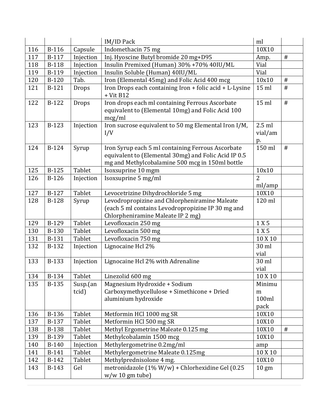|     |              |                   | IM/ID Pack                                                                                                                                                   | ml                           |      |
|-----|--------------|-------------------|--------------------------------------------------------------------------------------------------------------------------------------------------------------|------------------------------|------|
| 116 | <b>B-116</b> | Capsule           | Indomethacin 75 mg                                                                                                                                           | 10X10                        |      |
| 117 | B-117        | Injection         | Inj. Hyoscine Butyl bromide 20 mg+D95                                                                                                                        | Amp.                         | $\#$ |
| 118 | <b>B-118</b> | Injection         | Insulin Premixed (Human) 30% +70% 40IU/ML                                                                                                                    | Vial                         |      |
| 119 | B-119        | Injection         | Insulin Soluble (Human) 40IU/ML                                                                                                                              | Vial                         |      |
| 120 | <b>B-120</b> | Tab.              | Iron (Elemental 45mg) and Folic Acid 400 mcg                                                                                                                 | 10x10                        | $\#$ |
| 121 | $B-121$      | Drops             | Iron Drops each containing Iron + folic acid + L-Lysine<br>$+$ Vit B12                                                                                       | 15 ml                        | #    |
| 122 | B-122        | Drops             | Iron drops each ml containing Ferrous Ascorbate<br>equivalent to (Elemental 10mg) and Folic Acid 100<br>mcg/ml                                               | $15$ ml                      | #    |
| 123 | <b>B-123</b> | Injection         | Iron sucrose equivalent to 50 mg Elemental Iron I/M,<br>I/V                                                                                                  | $2.5$ ml<br>vial/am<br>p.    |      |
| 124 | B-124        | Syrup             | Iron Syrup each 5 ml containing Ferrous Ascorbate<br>equivalent to (Elemental 30mg) and Folic Acid IP 0.5<br>mg and Methylcobalamine 500 mcg in 150ml bottle | 150 ml                       | #    |
| 125 | $B-125$      | Tablet            | Isoxsuprine 10 mgm                                                                                                                                           | 10x10                        |      |
| 126 | $B-126$      | Injection         | Isoxsuprine 5 mg/ml                                                                                                                                          | $\overline{2}$<br>ml/amp     |      |
| 127 | B-127        | Tablet            | Levocetrizine Dihydrochloride 5 mg                                                                                                                           | 10X10                        |      |
| 128 | <b>B-128</b> | Syrup             | Levodropropizine and Chlorpheniramine Maleate<br>(each 5 ml contains Levodropropizine IP 30 mg and<br>Chlorpheniramine Maleate IP 2 mg)                      | 120 ml                       |      |
| 129 | <b>B-129</b> | Tablet            | Levofloxacin 250 mg                                                                                                                                          | 1 X 5                        |      |
| 130 | <b>B-130</b> | Tablet            | Levofloxacin 500 mg                                                                                                                                          | 1 X 5                        |      |
| 131 | <b>B-131</b> | Tablet            | Levofloxacin 750 mg                                                                                                                                          | 10 X 10                      |      |
| 132 | B-132        | Injection         | Lignocaine Hcl 2%                                                                                                                                            | 30 ml<br>vial                |      |
| 133 | <b>B-133</b> | Injection         | Lignocaine Hcl 2% with Adrenaline                                                                                                                            | 30 ml<br>vial                |      |
| 134 | <b>B-134</b> | Tablet            | Linezolid 600 mg                                                                                                                                             | 10 X 10                      |      |
| 135 | <b>B-135</b> | Susp.(an<br>tcid) | Magnesium Hydroxide + Sodium<br>Carboxymethycellulose + Simethicone + Dried<br>aluminium hydroxide                                                           | Minimu<br>m<br>100ml<br>pack |      |
| 136 | <b>B-136</b> | Tablet            | Metformin HCl 1000 mg SR                                                                                                                                     | 10X10                        |      |
| 137 | B-137        | Tablet            | Metformin HCl 500 mg SR                                                                                                                                      | 10X10                        |      |
| 138 | <b>B-138</b> | Tablet            | Methyl Ergometrine Maleate 0.125 mg                                                                                                                          | 10X10                        | #    |
| 139 | B-139        | Tablet            | Methylcobalamin 1500 mcg                                                                                                                                     | 10X10                        |      |
| 140 | <b>B-140</b> | Injection         | Methylergometrine 0.2mg/ml                                                                                                                                   | amp                          |      |
| 141 | B-141        | Tablet            | Methylergometrine Maleate 0.125mg                                                                                                                            | 10 X 10                      |      |
| 142 | $B-142$      | Tablet            | Methylprednisolone 4 mg.                                                                                                                                     | 10X10                        |      |
| 143 | $B-143$      | Gel               | metronidazole (1% W/w) + Chlorhexidine Gel (0.25<br>w/w 10 gm tube)                                                                                          | $10 \text{ gm}$              |      |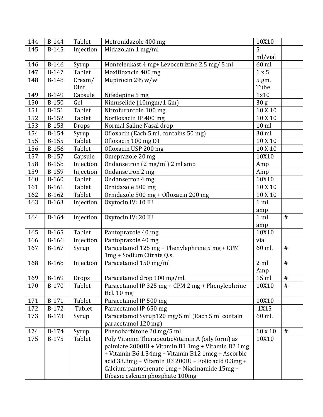| 144 | <b>B-144</b> | Tablet    | Metronidazole 400 mg                                   | 10X10           |         |
|-----|--------------|-----------|--------------------------------------------------------|-----------------|---------|
| 145 | $B-145$      | Injection | Midazolam 1 mg/ml                                      | 5               |         |
|     |              |           |                                                        | ml/vial         |         |
| 146 | <b>B-146</b> | Syrup     | Monteleukast 4 mg+ Levocetrizine 2.5 mg/ 5 ml          | 60 ml           |         |
| 147 | B-147        | Tablet    | Moxifloxacin 400 mg                                    | 1 x 5           |         |
| 148 | <b>B-148</b> | $C$ ream/ | Mupirocin 2% w/w                                       | 5 gm.           |         |
|     |              | Oint      |                                                        | Tube            |         |
| 149 | B-149        | Capsule   | Nifedepine 5 mg                                        | 1x10            |         |
| 150 | <b>B-150</b> | Gel       | Nimuselide (10mgm/1 Gm)                                | 30 <sub>g</sub> |         |
| 151 | <b>B-151</b> | Tablet    | Nitrofurantoin 100 mg                                  | 10 X 10         |         |
| 152 | $B-152$      | Tablet    | Norfloxacin IP 400 mg                                  | 10 X 10         |         |
| 153 | B-153        | Drops     | Normal Saline Nasal drop                               | $10$ ml         |         |
| 154 | <b>B-154</b> | Syrup     | Ofloxacin (Each 5 ml, contains 50 mg)                  | 30 ml           |         |
| 155 | $B-155$      | Tablet    | Ofloxacin 100 mg DT                                    | 10 X 10         |         |
| 156 | <b>B-156</b> | Tablet    | Ofloxacin USP 200 mg                                   | 10 X 10         |         |
| 157 | B-157        | Capsule   | Omeprazole 20 mg                                       | 10X10           |         |
| 158 | <b>B-158</b> | Injection | Ondansetron (2 mg/ml) 2 ml amp                         | Amp             |         |
| 159 | B-159        | Injection | Ondansetron 2 mg                                       | Amp             |         |
| 160 | $B-160$      | Tablet    | Ondansetron 4 mg                                       | 10X10           |         |
| 161 | $B-161$      | Tablet    | Ornidazole 500 mg                                      | 10 X 10         |         |
| 162 | $B-162$      | Tablet    | Ornidazole 500 mg + Ofloxacin 200 mg                   | 10 X 10         |         |
| 163 | $B-163$      | Injection | Oxytocin IV: 10 IU                                     | $1$ ml          |         |
|     |              |           |                                                        | amp             |         |
| 164 | B-164        | Injection | Oxytocin IV: 20 IU                                     | $1$ ml          | #       |
|     |              |           |                                                        | amp             |         |
| 165 | $B-165$      | Tablet    | Pantoprazole 40 mg                                     | 10X10           |         |
| 166 | <b>B-166</b> | Injection | Pantoprazole 40 mg                                     | vial            |         |
| 167 | $B-167$      | Syrup     | Paracetamol 125 mg + Phenylephrine 5 mg + CPM          | 60 ml.          | $^{\#}$ |
|     |              |           | 1mg + Sodium Citrate Q.s.                              |                 |         |
| 168 | B-168        | Injection | Paracetamol 150 mg/ml                                  | 2 ml            | $\#$    |
|     |              |           |                                                        | Amp             |         |
| 169 | B-169        | Drops     | Paracetamol drop 100 mg/ml.                            | $15$ ml         | $\#$    |
| 170 | $B-170$      | Tablet    | Paracetamol IP 325 mg + CPM 2 mg + Phenylephrine       | 10X10           | #       |
|     |              |           | Hcl. $10 \text{ mg}$                                   |                 |         |
| 171 | B-171        | Tablet    | Paracetamol IP 500 mg                                  | 10X10           |         |
| 172 | B-172        | Tablet    | Paracetamol IP 650 mg                                  | 1X15            |         |
| 173 | $B-173$      | Syrup     | Paracetamol Syrup120 mg/5 ml (Each 5 ml contain        | 60 ml.          |         |
|     |              |           | paracetamol 120 mg)                                    |                 |         |
| 174 | B-174        | Syrup     | Phenobarbitone 20 mg/5 ml                              | $10 \times 10$  | $\#$    |
| 175 | B-175        | Tablet    | Poly Vitamin TherapeuticVitamin A (oily form) as       | 10X10           |         |
|     |              |           | palmiate 2000IU + Vitamin B1 1mg + Vitamin B2 1mg      |                 |         |
|     |              |           | + Vitamin B6 1.34mg + Vitamin B12 1mcg + Ascorbic      |                 |         |
|     |              |           | acid 33.3mg + Vitamin D3 200IU + Folic acid $0.3$ mg + |                 |         |
|     |              |           | Calcium pantothenate 1mg + Niacinamide 15mg +          |                 |         |
|     |              |           | Dibasic calcium phosphate 100mg                        |                 |         |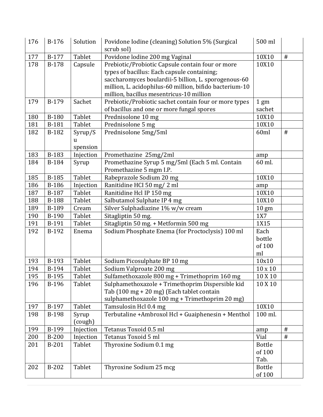| 176 | B-176        | Solution                        | Povidone Iodine (cleaning) Solution 5% (Surgical<br>scrub sol)                                                                                                                                                                                                 | 500 ml                          |      |
|-----|--------------|---------------------------------|----------------------------------------------------------------------------------------------------------------------------------------------------------------------------------------------------------------------------------------------------------------|---------------------------------|------|
| 177 | B-177        | <b>Tablet</b>                   | Povidone lodine 200 mg Vaginal                                                                                                                                                                                                                                 | 10X10                           | #    |
| 178 | <b>B-178</b> | Capsule                         | Prebiotic/Probiotic Capsule contain four or more<br>types of bacillus: Each capsule containing;<br>saccharomyces boulardii-5 billion, L. sporogenous-60<br>million, L. acidophilus-60 million, bifido bacterium-10<br>million, bacillus mesentricus-10 million | 10X10                           |      |
| 179 | B-179        | Sachet                          | Prebiotic/Probiotic sachet contain four or more types<br>of bacillus and one or more fungal spores                                                                                                                                                             | 1 <sub>gm</sub><br>sachet       |      |
| 180 | <b>B-180</b> | Tablet                          | Prednisolone 10 mg                                                                                                                                                                                                                                             | 10X10                           |      |
| 181 | B-181        | Tablet                          | Prednisolone 5 mg                                                                                                                                                                                                                                              | 10X10                           |      |
| 182 | B-182        | Syrup/S<br><b>u</b><br>spension | Prednisolone 5mg/5ml                                                                                                                                                                                                                                           | 60ml                            | #    |
| 183 | B-183        | Injection                       | Promethazine 25mg/2ml                                                                                                                                                                                                                                          | amp                             |      |
| 184 | B-184        | Syrup                           | Promethazine Syrup 5 mg/5ml (Each 5 ml. Contain<br>Promethazine 5 mgm I.P.                                                                                                                                                                                     | 60 ml.                          |      |
| 185 | B-185        | Tablet                          | Rabeprazole Sodium 20 mg                                                                                                                                                                                                                                       | 10X10                           |      |
| 186 | <b>B-186</b> | Injection                       | Ranitidine HCI 50 mg/2 ml                                                                                                                                                                                                                                      | amp                             |      |
| 187 | B-187        | Tablet                          | Ranitidine Hcl IP 150 mg                                                                                                                                                                                                                                       | 10X10                           |      |
| 188 | <b>B-188</b> | Tablet                          | Salbutamol Sulphate IP 4 mg                                                                                                                                                                                                                                    | 10X10                           |      |
| 189 | B-189        | Cream                           | Silver Sulphadiazine 1% w/w cream                                                                                                                                                                                                                              | $10 \text{ gm}$                 |      |
| 190 | B-190        | Tablet                          | Sitagliptin 50 mg.                                                                                                                                                                                                                                             | 1X7                             |      |
| 191 | B-191        | Tablet                          | Sitagliptin 50 mg. + Metformin 500 mg                                                                                                                                                                                                                          | 1X15                            |      |
| 192 | B-192        | Enema                           | Sodium Phosphate Enema (for Proctoclysis) 100 ml                                                                                                                                                                                                               | Each<br>bottle<br>of 100<br>ml  |      |
| 193 | B-193        | Tablet                          | Sodium Picosulphate BP 10 mg                                                                                                                                                                                                                                   | 10x10                           |      |
| 194 | B-194        | Tablet                          | Sodium Valproate 200 mg                                                                                                                                                                                                                                        | $10 \times 10$                  |      |
| 195 | B-195        | Tablet                          | Sulfamethoxazole 800 mg + Trimethoprim 160 mg                                                                                                                                                                                                                  | 10 X 10                         |      |
| 196 | B-196        | Tablet                          | Sulphamethoxazole + Trimethoprim Dispersible kid<br>Tab (100 mg + 20 mg) (Each tablet contain<br>sulphamethoxazole 100 mg + Trimethoprim 20 mg)                                                                                                                | 10 X 10                         |      |
| 197 | B-197        | Tablet                          | Tamsulosin Hcl 0.4 mg                                                                                                                                                                                                                                          | 10X10                           |      |
| 198 | <b>B-198</b> | Syrup<br>(cough)                | Terbutaline +Ambroxol Hcl + Guaiphenesin + Menthol                                                                                                                                                                                                             | 100 ml.                         |      |
| 199 | B-199        | Injection                       | Tetanus Toxoid 0.5 ml                                                                                                                                                                                                                                          | amp                             | $\#$ |
| 200 | <b>B-200</b> | Injection                       | Tetanus Toxoid 5 ml                                                                                                                                                                                                                                            | Vial                            | $\#$ |
| 201 | <b>B-201</b> | Tablet                          | Thyroxine Sodium 0.1 mg                                                                                                                                                                                                                                        | <b>Bottle</b><br>of 100<br>Tab. |      |
| 202 | B-202        | Tablet                          | Thyroxine Sodium 25 mcg                                                                                                                                                                                                                                        | <b>Bottle</b><br>of 100         |      |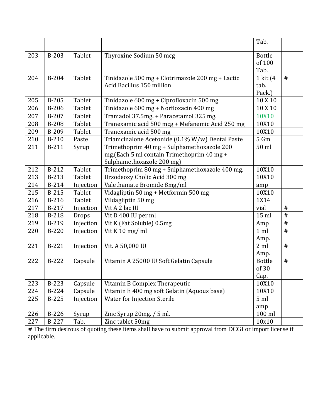|     |              |               |                                                  | Tab.                    |      |
|-----|--------------|---------------|--------------------------------------------------|-------------------------|------|
|     |              |               |                                                  |                         |      |
| 203 | $B-203$      | Tablet        | Thyroxine Sodium 50 mcg                          | <b>Bottle</b><br>of 100 |      |
|     |              |               |                                                  | Tab.                    |      |
| 204 | B-204        | Tablet        | Tinidazole 500 mg + Clotrimazole 200 mg + Lactic | 1 kit (4                | #    |
|     |              |               | Acid Bacillus 150 million                        | tab.                    |      |
|     |              |               |                                                  | Pack.)                  |      |
| 205 | B-205        | <b>Tablet</b> | Tinidazole 600 mg + Ciprofloxacin 500 mg         | 10 X 10                 |      |
| 206 | $B-206$      | Tablet        | Tinidazole 600 mg + Norfloxacin 400 mg           | 10 X 10                 |      |
| 207 | B-207        | Tablet        | Tramadol 37.5mg. + Paracetamol 325 mg.           | 10X10                   |      |
| 208 | <b>B-208</b> | Tablet        | Tranexamic acid 500 mcg + Mefanemic Acid 250 mg  | 10X10                   |      |
| 209 | B-209        | <b>Tablet</b> | Tranexamic acid 500 mg                           | 10X10                   |      |
| 210 | B-210        | Paste         | Triamcinalone Acetonide (0.1% W/w) Dental Paste  | 5 Gm                    |      |
| 211 | B-211        | Syrup         | Trimethoprim 40 mg + Sulphamethoxazole 200       | 50 ml                   |      |
|     |              |               | mg. (Each 5 ml contain Trimethoprim 40 mg +      |                         |      |
|     |              |               | Sulphamethoxazole 200 mg)                        |                         |      |
| 212 | $B-212$      | <b>Tablet</b> | Trimethoprim 80 mg + Sulphamethoxazole 400 mg.   | 10X10                   |      |
| 213 | B-213        | Tablet        | Ursodeoxy Cholic Acid 300 mg                     | 10X10                   |      |
| 214 | B-214        | Injection     | Valethamate Bromide 8mg/ml                       | amp                     |      |
| 215 | <b>B-215</b> | Tablet        | Vidagliptin 50 mg + Metformin 500 mg             | 10X10                   |      |
| 216 | <b>B-216</b> | Tablet        | Vildagliptin 50 mg                               | 1X14                    |      |
| 217 | B-217        | Injection     | Vit A 2 lac IU                                   | vial                    | $\#$ |
| 218 | <b>B-218</b> | Drops         | Vit D 400 IU per ml                              | $15$ ml                 | #    |
| 219 | B-219        | Injection     | Vit K (Fat Soluble) 0.5mg                        | Amp                     | $\#$ |
| 220 | $B-220$      | Injection     | Vit K $10$ mg/ml                                 | $1$ ml                  | $\#$ |
|     |              |               |                                                  | Amp.                    |      |
| 221 | B-221        | Injection     | Vit. A 50,000 IU                                 | 2 ml                    | #    |
|     |              |               |                                                  | Amp.                    |      |
| 222 | B-222        | Capsule       | Vitamin A 25000 IU Soft Gelatin Capsule          | <b>Bottle</b>           | $\#$ |
|     |              |               |                                                  | of 30                   |      |
|     |              |               |                                                  | Cap.                    |      |
| 223 | <b>B-223</b> | Capsule       | Vitamin B Complex Therapeutic                    | 10X10                   |      |
| 224 | <b>B-224</b> | Capsule       | Vitamin E 400 mg soft Gelatin (Aquous base)      | 10X10                   |      |
| 225 | <b>B-225</b> | Injection     | Water for Injection Sterile                      | 5 <sub>ml</sub>         |      |
|     |              |               |                                                  | amp                     |      |
| 226 | B-226        | Syrup         | Zinc Syrup 20mg. / 5 ml.                         | $100$ ml                |      |
| 227 | B-227        | Tab.          | Zinc tablet 50mg                                 | 10x10                   |      |

**#** The firm desirous of quoting these items shall have to submit approval from DCGI or import license if applicable.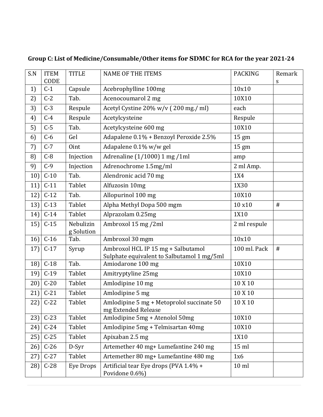| S.N | <b>ITEM</b><br>CODE | <b>TITLE</b>            | <b>NAME OF THE ITEMS</b>                                                         | <b>PACKING</b> | Remark<br>S |
|-----|---------------------|-------------------------|----------------------------------------------------------------------------------|----------------|-------------|
| 1)  | $C-1$               | Capsule                 | Acebrophylline 100mg                                                             | 10x10          |             |
| 2)  | $C-2$               | Tab.                    | Acenocoumarol 2 mg                                                               | 10X10          |             |
| 3)  | $C-3$               | Respule                 | Acetyl Cystine 20% w/v (200 mg./ ml)                                             | each           |             |
| 4)  | $C-4$               | Respule                 | Acetylcysteine                                                                   | Respule        |             |
| 5)  | $C-5$               | Tab.                    | Acetylcysteine 600 mg                                                            | 10X10          |             |
| 6)  | $C-6$               | Gel                     | Adapalene 0.1% + Benzoyl Peroxide 2.5%                                           | 15 gm          |             |
| 7)  | $C-7$               | Oint                    | Adapalene 0.1% w/w gel                                                           | 15 gm          |             |
| 8)  | $C-8$               | Injection               | Adrenaline (1/1000) 1 mg /1ml                                                    | amp            |             |
| 9)  | $C-9$               | Injection               | Adrenochrome 1.5mg/ml                                                            | 2 ml Amp.      |             |
| 10) | $C-10$              | Tab.                    | Alendronic acid 70 mg                                                            | 1X4            |             |
| 11) | $C-11$              | Tablet                  | Alfuzosin 10mg                                                                   | 1X30           |             |
| 12) | $C-12$              | Tab.                    | Allopurinol 100 mg                                                               | 10X10          |             |
| 13) | $C-13$              | Tablet                  | Alpha Methyl Dopa 500 mgm                                                        | 10 x10         | $\#$        |
| 14) | $C-14$              | Tablet                  | Alprazolam 0.25mg                                                                | 1X10           |             |
| 15) | $C-15$              | Nebulizin<br>g Solution | Ambroxol 15 mg /2ml                                                              | 2 ml respule   |             |
| 16) | $C-16$              | Tab.                    | Ambroxol 30 mgm                                                                  | 10x10          |             |
| 17) | $C-17$              | Syrup                   | Ambroxol HCL IP 15 mg + Salbutamol<br>Sulphate equivalent to Salbutamol 1 mg/5ml | 100 ml. Pack   | $\#$        |
| 18) | $C-18$              | Tab.                    | Amiodarone 100 mg                                                                | 10X10          |             |
| 19) | $C-19$              | Tablet                  | Amitryptyline 25mg                                                               | 10X10          |             |
| 20) | $C-20$              | Tablet                  | Amlodipine 10 mg                                                                 | 10 X 10        |             |
| 21) | $C-21$              | Tablet                  | Amlodipine 5 mg                                                                  | 10 X 10        |             |
|     | $22$ ] C-22         | Tablet                  | Amlodipine 5 mg + Metoprolol succinate 50<br>mg Extended Release                 | 10 X 10        |             |
| 23) | $C-23$              | Tablet                  | Amlodipine 5mg + Atenolol 50mg                                                   | 10X10          |             |
| 24) | $C-24$              | Tablet                  | Amlodipine 5mg + Telmisartan 40mg                                                | 10X10          |             |
| 25) | $C-25$              | Tablet                  | Apixaban 2.5 mg                                                                  | 1X10           |             |
| 26) | $C-26$              | D-Syr                   | Artemether 40 mg+ Lumefantine 240 mg                                             | $15$ ml        |             |
| 27) | $C-27$              | Tablet                  | Artemether 80 mg+ Lumefantine 480 mg                                             | 1x6            |             |
| 28) | $C-28$              | <b>Eye Drops</b>        | Artificial tear Eye drops (PVA 1.4% +<br>Povidone 0.6%)                          | $10$ ml        |             |

# **Group C: List of Medicine/Consumable/Other items for SDMC for RCA for the year 2021-24**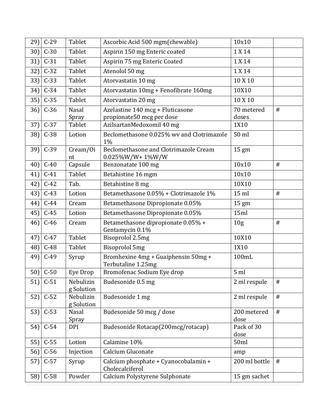| $29$ ] | $C-29$      | Tablet                  | Ascorbic Acid 500 mgm(chewable)                              | 10x10               |      |
|--------|-------------|-------------------------|--------------------------------------------------------------|---------------------|------|
| $30$ ] | $C-30$      | Tablet                  | Aspirin 150 mg Enteric coated                                | 1 X 14              |      |
| $31$ ] | $C-31$      | Tablet                  | Aspirin 75 mg Enteric Coated                                 | 1 X 14              |      |
| 32)    | $C-32$      | Tablet                  | Atenolol 50 mg                                               | 1 X 14              |      |
| $33$ ] | $C-33$      | Tablet                  | Atorvastatin 10 mg                                           | 10 X 10             |      |
| $34$ ] | $C-34$      | Tablet                  | Atorvastatin 10mg + Fenofibrate 160mg                        | 10X10               |      |
| $35$ ] | $C-35$      | Tablet                  | Atorvastatin 20 mg                                           | 10 X 10             |      |
| 36)    | $C-36$      | <b>Nasal</b>            | Azelastine 140 mcg + Fluticasone                             | 70 metered          | $\#$ |
|        |             | Spray                   | propionate50 mcg per dose                                    | doses               |      |
| 37)    | $C-37$      | Tablet                  | AzilsartanMedoxomil 40 mg                                    | 1X10                |      |
| 38)    | $C-38$      | Lotion                  | Beclomethasone 0.025% wv and Clotrimazole<br>1%              | 50 ml               |      |
| $39$ ] | $C-39$      | Cream/Oi<br>nt          | Beclomethasone and Clotrimazole Cream<br>$0.025\%$ W/W+1%W/W | $15 \text{ gm}$     |      |
| 40)    | $C-40$      | Capsule                 | Benzonatate 100 mg                                           | 10x10               | #    |
| 41)    | $C-41$      | Tablet                  | Betahistine 16 mgm                                           | 10x10               |      |
| 42)    | $C-42$      | Tab.                    | Betahistine 8 mg                                             | 10X10               |      |
| $43$ ] | $C-43$      | Lotion                  | Betamethasone 0.05% + Clotrimazole 1%                        | $15$ ml             | $\#$ |
| 44)    | $C-44$      | Cream                   | Betamethasone Dipropionate 0.05%                             | $15 \text{ gm}$     |      |
| 45)    | $C-45$      | Lotion                  | Betamethasone Dipropionate 0.05%                             | 15ml                |      |
| 46)    | $C-46$      | Cream                   | Betamethasone dipropionate 0.05% +<br>Gentamycin 0.1%        | 10 <sub>g</sub>     | $\#$ |
| 47)    | $C-47$      | Tablet                  | Bisoprolol 2.5mg                                             | 10X10               |      |
| 48)    | $C-48$      | Tablet                  | <b>Bisoprolol 5mg</b>                                        | 1X10                |      |
| 49)    | $C-49$      | Syrup                   | Bromhexine 4mg + Guaiphensin 50mg +<br>Terbutaline 1.25mg    | 100mL               |      |
|        | $50$ ] C-50 | Eye Drop                | Bromofenac Sodium Eye drop                                   | 5 <sub>ml</sub>     |      |
| 51)    | $C-51$      | Nebulizin<br>g Solution | Budesonide 0.5 mg                                            | 2 ml respule        | $\#$ |
| 52)    | $C-52$      | Nebulizin<br>g Solution | Budesonide 1 mg                                              | 2 ml respule        | $\#$ |
| 53)    | $C-53$      | Nasal<br>Spray          | Budesonide 50 mcg / dose                                     | 200 metered<br>dose | $\#$ |
| 54)    | $C-54$      | <b>DPI</b>              | Budesonide Rotacap(200mcg/rotacap)                           | Pack of 30<br>dose  |      |
| 55)    | $C-55$      | Lotion                  | Calamine 10%                                                 | 50ml                |      |
| 56)    | $C-56$      | Injection               | Calcium Gluconate                                            | amp                 |      |
| 57)    | $C-57$      | Syrup                   | Calcium phosphate + Cyanocobalamin +<br>Cholecalciferol      | 200 ml bottle       | $\#$ |
| 58)    | $C-58$      | Powder                  | Calcium Polystyrene Sulphonate                               | 15 gm sachet        |      |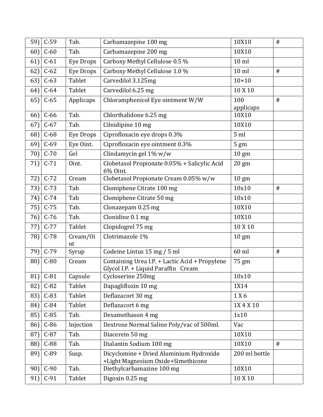| 59) | $C-59$     | Tab.             | Carbamazepine 100 mg                                                                  | 10X10            | $\#$ |
|-----|------------|------------------|---------------------------------------------------------------------------------------|------------------|------|
| 60) | $C-60$     | Tab.             | Carbamazepine 200 mg                                                                  | 10X10            |      |
| 61) | $C-61$     | Eye Drops        | Carboxy Methyl Cellulose 0.5 %                                                        | $10$ ml          |      |
| 62) | $C-62$     | <b>Eye Drops</b> | Carboxy Methyl Cellulose 1.0 %                                                        | $10$ ml          | $\#$ |
| 63) | $C-63$     | Tablet           | Carvedilol 3.125mg                                                                    | $10\times10$     |      |
| 64) | $C-64$     | Tablet           | Carvedilol 6.25 mg                                                                    | 10 X 10          |      |
| 65) | $C-65$     | Applicaps        | Chloramphenicol Eye ointment W/W                                                      | 100<br>applicaps | #    |
| 66) | $C-66$     | Tab.             | Chlorthalidone 6.25 mg                                                                | 10X10            |      |
| 67) | $C-67$     | Tab.             | Cilnidipine 10 mg                                                                     | 10X10            |      |
| 68) | $C-68$     | Eye Drops        | Ciprofloxacin eye drops 0.3%                                                          | 5 <sub>ml</sub>  |      |
| 69) | $C-69$     | Eye Oint.        | Ciprofloxacin eye ointment 0.3%                                                       | $5 \text{ gm}$   |      |
| 70) | $C-70$     | Gel              | Clindamycin gel 1% w/w                                                                | $10 \text{ gm}$  |      |
| 71) | $C-71$     | Oint.            | Clobetasol Propionate 0.05% + Salicylic Acid<br>6% Oint.                              | $20 \text{ gm}$  |      |
| 72) | $C-72$     | Cream            | Clobetasol Propionate Cream 0.05% w/w                                                 | $10 \text{ gm}$  |      |
| 73) | $C-73$     | Tab              | Clomiphene Citrate 100 mg                                                             | 10x10            | $\#$ |
| 74) | $C-74$     | Tab              | Clomiphene Citrate 50 mg                                                              | 10x10            |      |
| 75) | $C-75$     | Tab.             | Clonazepam 0.25 mg                                                                    | 10X10            |      |
| 76) | $C-76$     | Tab.             | Clonidine 0.1 mg                                                                      | 10X10            |      |
| 77) | $C-77$     | Tablet           | Clopidogrel 75 mg                                                                     | 10 X 10          |      |
| 78) | $C-78$     | Cream/Oi<br>nt   | Clotrimazole 1%                                                                       | $10 \text{ gm}$  |      |
| 79) | $C-79$     | Syrup            | Codeine Lintus 15 mg / 5 ml                                                           | 60 ml            | #    |
| 80) | $C-80$     | Cream            | Containing Urea I.P. + Lactic Acid + Propylene<br>Glycol I.P. + Liquid Paraffin Cream | 75 gm            |      |
|     | 81) $C-81$ | Capsule          | Cycloserine 250mg                                                                     | 10x10            |      |
| 82) | $C-82$     | Tablet           | Dapagliflozin 10 mg                                                                   | 1X14             |      |
| 83) | $C-83$     | Tablet           | Deflazacort 30 mg                                                                     | 1 X 6            |      |
| 84) | $C-84$     | Tablet           | Deflazacort 6 mg                                                                      | 1X 4 X 10        |      |
| 85) | $C-85$     | Tab.             | Dexamethason 4 mg                                                                     | 1x10             |      |
| 86) | $C-86$     | Injection        | Dextrose Normal Saline Poly/vac of 500ml.                                             | Vac              |      |
| 87) | $C-87$     | Tab.             | Diacerein 50 mg                                                                       | 10X10            |      |
| 88) | $C-88$     | Tab.             | Dialantin Sodium 100 mg                                                               | 10X10            | #    |
| 89) | $C-89$     | Susp.            | Dicyclomine + Dried Aluminium Hydroxide<br>+Light Magnesium Oxide+Simethicone         | 200 ml bottle    |      |
| 90) | $C-90$     | Tab.             | Diethylcarbamazine 100 mg                                                             | 10X10            |      |
| 91) | $C-91$     | Tablet           | Digoxin 0.25 mg                                                                       | 10 X 10          |      |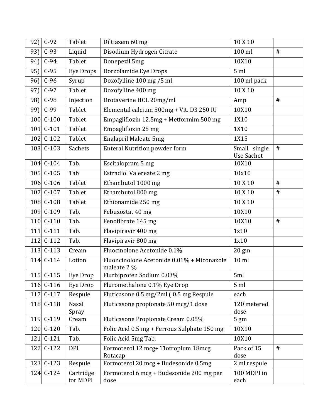| $C-92$<br>92)    | Tablet                | Diltiazem 60 mg                                           | 10 X 10                           |      |
|------------------|-----------------------|-----------------------------------------------------------|-----------------------------------|------|
| $C-93$<br>93)    | Liquid                | Disodium Hydrogen Citrate                                 | 100 ml                            | #    |
| $C-94$<br>94)    | Tablet                | Donepezil 5mg                                             | 10X10                             |      |
| 95]<br>$C-95$    | Eye Drops             | Dorzolamide Eye Drops                                     | 5 <sub>ml</sub>                   |      |
| $C-96$<br>96]    | Syrup                 | Doxofylline 100 mg /5 ml                                  | 100 ml pack                       |      |
| $C-97$<br>$97$ ] | Tablet                | Doxofylline 400 mg                                        | 10 X 10                           |      |
| $C-98$<br>98]    | Injection             | Drotaverine HCL 20mg/ml                                   | Amp                               | $\#$ |
| $C-99$<br>$99$ ] | Tablet                | Elemental calcium 500mg + Vit. D3 250 IU                  | 10X10                             |      |
| 100 C-100        | Tablet                | Empagliflozin 12.5mg + Metformim 500 mg                   | 1X10                              |      |
| 101 $C-101$      | Tablet                | Empagliflozin 25 mg                                       | 1X10                              |      |
| 102 C-102        | Tablet                | <b>Enalapril Maleate 5mg</b>                              | 1X15                              |      |
| 103 C-103        | Sachets               | <b>Enteral Nutrition powder form</b>                      | Small single<br><b>Use Sachet</b> | $\#$ |
| 104 C-104        | Tab.                  | Escitalopram 5 mg                                         | 10X10                             |      |
| 105 C-105        | Tab                   | <b>Estradiol Valereate 2 mg</b>                           | 10x10                             |      |
| 106 C-106        | Tablet                | Ethambutol 1000 mg                                        | 10 X 10                           | #    |
| 107 C-107        | Tablet                | Ethambutol 800 mg                                         | 10 X 10                           | $\#$ |
| 108 C-108        | Tablet                | Ethionamide 250 mg                                        | 10 X 10                           |      |
| 109 C-109        | Tab.                  | Febuxostat 40 mg                                          | 10X10                             |      |
| 110 C-110        | Tab.                  | Fenofibrate 145 mg                                        | 10X10                             | $\#$ |
| 111 C-111        | Tab.                  | Flavipiravir 400 mg                                       | 1x10                              |      |
| 112 C-112        | Tab.                  | Flavipiravir 800 mg                                       | 1x10                              |      |
| 113 C-113        | Cream                 | Fluocinolone Acetonide 0.1%                               | 20 gm                             |      |
| 114 C-114        | Lotion                | Fluoncinolone Acetonide 0.01% + Miconazole<br>maleate 2 % | $10$ ml                           |      |
| $115$ C-115      | Eye Drop              | Flurbiprofen Sodium 0.03%                                 | 5ml                               |      |
| 116 C-116        | Eye Drop              | Fluromethalone 0.1% Eye Drop                              | 5 <sub>ml</sub>                   |      |
| 117 C-117        | Respule               | Fluticasone 0.5 mg/2ml (0.5 mg Respule                    | each                              |      |
| 118 C-118        | <b>Nasal</b><br>Spray | Fluticasone propionate 50 mcg/1 dose                      | 120 metered<br>dose               |      |
| 119 C-119        | Cream                 | Fluticasone Propionate Cream 0.05%                        | $5 \text{ gm}$                    |      |
| 120 C-120        | Tab.                  | Folic Acid 0.5 mg + Ferrous Sulphate 150 mg               | 10X10                             |      |
| $C-121$<br>121   | Tab.                  | Folic Acid 5mg Tab.                                       | 10X10                             |      |
| 122 C-122        | <b>DPI</b>            | Formoterol 12 mcg+ Tiotropium 18mcg<br>Rotacap            | Pack of 15<br>dose                | $\#$ |
| 123 C-123        | Respule               | Formoterol 20 mcg + Budesonide 0.5mg                      | 2 ml respule                      |      |
| 124 C-124        | Cartridge<br>for MDPI | Formoterol 6 mcg + Budesonide 200 mg per<br>dose          | 100 MDPI in<br>each               |      |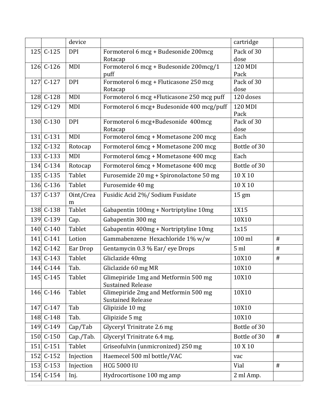|     |           | device     |                                                                  | cartridge          |      |
|-----|-----------|------------|------------------------------------------------------------------|--------------------|------|
|     | 125 C-125 | <b>DPI</b> | Formoterol 6 mcg + Budesonide 200mcg                             | Pack of 30         |      |
|     |           |            | Rotacap                                                          | dose               |      |
|     | 126 C-126 | MDI        | Formoterol 6 mcg + Budesonide 200mcg/1<br>puff                   | 120 MDI<br>Pack    |      |
| 127 | $C-127$   | <b>DPI</b> | Formoterol 6 mcg + Fluticasone 250 mcg                           | Pack of 30         |      |
|     |           |            | Rotacap                                                          | dose               |      |
|     | 128 C-128 | MDI        | Formoterol 6 mcg + Fluticasone 250 mcg puff                      | 120 doses          |      |
|     | 129 C-129 | MDI        | Formoterol 6 mcg+ Budesonide 400 mcg/puff                        | 120 MDI            |      |
|     | 130 C-130 | <b>DPI</b> |                                                                  | Pack<br>Pack of 30 |      |
|     |           |            | Formoterol 6 mcg+Budesonide 400mcg<br>Rotacap                    | dose               |      |
|     | 131 C-131 | MDI        | Formoterol 6mcg + Mometasone 200 mcg                             | Each               |      |
|     | 132 C-132 | Rotocap    | Formoterol 6mcg + Mometasone 200 mcg                             | Bottle of 30       |      |
|     | 133 C-133 | MDI        | Formoterol 6mcg + Mometasone 400 mcg                             | Each               |      |
|     | 134 C-134 | Rotocap    | Formoterol 6mcg + Mometasone 400 mcg                             | Bottle of 30       |      |
|     | 135 C-135 | Tablet     | Furosemide 20 mg + Spironolactone 50 mg                          | 10 X 10            |      |
|     | 136 C-136 | Tablet     | Furosemide 40 mg                                                 | 10 X 10            |      |
|     | 137 C-137 | Oint/Crea  | Fusidic Acid 2%/ Sodium Fusidate                                 | $15 \text{ gm}$    |      |
|     |           | m          |                                                                  |                    |      |
|     | 138 C-138 | Tablet     | Gabapentin 100mg + Nortriptyline 10mg                            | 1X15               |      |
|     | 139 C-139 | Cap.       | Gabapentin 300 mg                                                | 10X10              |      |
|     | 140 C-140 | Tablet     | Gabapentin 400mg + Nortriptyline 10mg                            | 1x15               |      |
|     | 141 C-141 | Lotion     | Gammabenzene Hexachloride 1% w/w                                 | 100 ml             | #    |
|     | 142 C-142 | Ear Drop   | Gentamycin 0.3 % Ear/eye Drops                                   | 5 <sub>ml</sub>    | $\#$ |
|     | 143 C-143 | Tablet     | Gliclazide 40mg                                                  | 10X10              | $\#$ |
|     | 144 C-144 | Tab.       | Gliclazide 60 mg MR                                              | 10X10              |      |
|     | 145 C-145 | Tablet     | Glimepiride 1mg and Metformin 500 mg<br><b>Sustained Release</b> | 10X10              |      |
|     | 146 C-146 | Tablet     | Glimepiride 2mg and Metformin 500 mg<br><b>Sustained Release</b> | 10X10              |      |
|     | 147 C-147 | Tab        | Glipizide 10 mg                                                  | 10X10              |      |
|     | 148 C-148 | Tab.       | Glipizide 5 mg                                                   | 10X10              |      |
|     | 149 C-149 | Cap/Tab    | Glyceryl Trinitrate 2.6 mg                                       | Bottle of 30       |      |
|     | 150 C-150 | Cap./Tab.  | Glyceryl Trinitrate 6.4 mg.                                      | Bottle of 30       | #    |
| 151 | $C-151$   | Tablet     | Griseofulvin (unmicronized) 250 mg                               | 10 X 10            |      |
|     | 152 C-152 | Injection  | Haemecel 500 ml bottle/VAC                                       | vac                |      |
|     | 153 C-153 | Injection  | <b>HCG 5000 IU</b>                                               | Vial               | #    |
|     | 154 C-154 | Inj.       | Hydrocortisone 100 mg amp                                        | 2 ml Amp.          |      |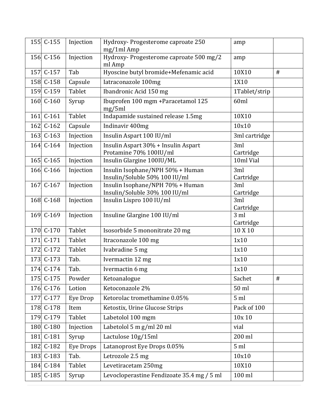| 155 C-155 | Injection        | Hydroxy- Progesterome caproate 250<br>mg/1ml Amp                  | amp                          |      |
|-----------|------------------|-------------------------------------------------------------------|------------------------------|------|
| 156 C-156 | Injection        | Hydroxy- Progesterome caproate 500 mg/2<br>ml Amp                 | amp                          |      |
| 157 C-157 | Tab              | Hyoscine butyl bromide+Mefenamic acid                             | 10X10                        | #    |
| 158 C-158 | Capsule          | Iatraconazole 100mg                                               | 1X10                         |      |
| 159 C-159 | Tablet           | Ibandronic Acid 150 mg                                            | 1Tablet/strip                |      |
| 160 C-160 | Syrup            | Ibuprofen 100 mgm + Paracetamol 125<br>mg/5ml                     | 60ml                         |      |
| 161 C-161 | Tablet           | Indapamide sustained release 1.5mg                                | 10X10                        |      |
| 162 C-162 | Capsule          | Indinavir 400mg                                                   | 10x10                        |      |
| 163 C-163 | Injection        | Insulin Aspart 100 IU/ml                                          | 3ml cartridge                |      |
| 164 C-164 | Injection        | Insulin Aspart 30% + Insulin Aspart<br>Protamine 70% 100IU/ml     | 3ml<br>Cartridge             |      |
| 165 C-165 | Injection        | Insulin Glargine 100IU/ML                                         | 10ml Vial                    |      |
| 166 C-166 | Injection        | Insulin Isophane/NPH 50% + Human<br>Insulin/Soluble 50% 100 IU/ml | 3ml<br>Cartridge             |      |
| 167 C-167 | Injection        | Insulin Isophane/NPH 70% + Human<br>Insulin/Soluble 30% 100 IU/ml | 3ml<br>Cartridge             |      |
| 168 C-168 | Injection        | Insulin Lispro 100 IU/ml                                          | 3ml<br>Cartridge             |      |
| 169 C-169 | Injection        | Insuline Glargine 100 IU/ml                                       | 3 <sub>ml</sub><br>Cartridge |      |
| 170 C-170 | Tablet           | Isosorbide 5 mononitrate 20 mg                                    | 10 X 10                      |      |
| 171 C-171 | Tablet           | Itraconazole 100 mg                                               | 1x10                         |      |
| 172 C-172 | Tablet           | Ivabradine 5 mg                                                   | 1x10                         |      |
| 173 C-173 | Tab.             | Ivermactin 12 mg                                                  | 1x10                         |      |
| 174 C-174 | Tab.             | Ivermactin 6 mg                                                   | 1x10                         |      |
| 175 C-175 | Powder           | Ketoanalogue                                                      | Sachet                       | $\#$ |
| 176 C-176 | Lotion           | Ketoconazole 2%                                                   | 50 ml                        |      |
| 177 C-177 | Eye Drop         | Ketorolac tromethamine 0.05%                                      | 5 <sub>ml</sub>              |      |
| 178 C-178 | Item             | Ketostix, Urine Glucose Strips                                    | Pack of 100                  |      |
| 179 C-179 | Tablet           | Labetolol 100 mgm                                                 | 10x 10                       |      |
| 180 C-180 | Injection        | Labetolol 5 m g/ml 20 ml                                          | vial                         |      |
| 181 C-181 | Syrup            | Lactulose 10g/15ml                                                | 200 ml                       |      |
| 182 C-182 | <b>Eye Drops</b> | Latanoprost Eye Drops 0.05%                                       | 5 <sub>ml</sub>              |      |
| 183 C-183 | Tab.             | Letrozole 2.5 mg                                                  | 10x10                        |      |
| 184 C-184 | Tablet           | Levetiracetam 250mg                                               | 10X10                        |      |
| 185 C-185 | Syrup            | Levocloperastine Fendizoate 35.4 mg / 5 ml                        | 100 ml                       |      |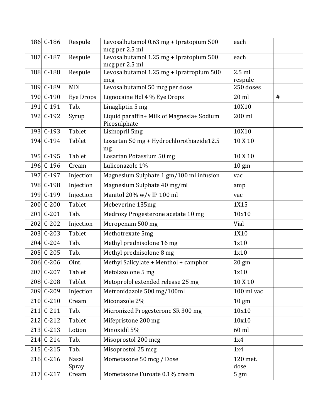| 186 C-186   | Respule        | Levosalbutamol 0.63 mg + Ipratopium 500<br>mcg per 2.5 ml | each                |   |
|-------------|----------------|-----------------------------------------------------------|---------------------|---|
| 187 C-187   | Respule        | Levosalbutamol 1.25 mg + Ipratopium 500<br>mcg per 2.5 ml | each                |   |
| 188 C-188   | Respule        | Levosalbutamol 1.25 mg + Ipratropium 500<br>mcg           | $2.5$ ml<br>respule |   |
| 189 C-189   | MDI            | Levosalbutamol 50 mcg per dose                            | 250 doses           |   |
| 190 C-190   | Eye Drops      | Lignocaine Hcl 4 % Eye Drops                              | $20$ ml             | # |
| 191 C-191   | Tab.           | Linagliptin 5 mg                                          | 10X10               |   |
| 192 C-192   | Syrup          | Liquid paraffin+ Milk of Magnesia+ Sodium<br>Picosulphate | 200 ml              |   |
| 193 C-193   | Tablet         | Lisinopril 5mg                                            | 10X10               |   |
| 194 C-194   | Tablet         | Losartan 50 mg + Hydrochlorothiazide12.5<br>mg            | 10 X 10             |   |
| 195 C-195   | Tablet         | Losartan Potassium 50 mg                                  | 10 X 10             |   |
| 196 C-196   | Cream          | Luliconazole 1%                                           | $10 \text{ gm}$     |   |
| 197 C-197   | Injection      | Magnesium Sulphate 1 gm/100 ml infusion                   | vac                 |   |
| 198 C-198   | Injection      | Magnesium Sulphate 40 mg/ml                               | amp                 |   |
| 199 C-199   | Injection      | Manitol 20% w/v IP 100 ml                                 | vac                 |   |
| 200 C-200   | Tablet         | Mebeverine 135mg                                          | 1X15                |   |
| 201 C-201   | Tab.           | Medroxy Progesterone acetate 10 mg                        | 10x10               |   |
| 202 C-202   | Injection      | Meropenam 500 mg                                          | Vial                |   |
| 203 C-203   | Tablet         | Methotrexate 5mg                                          | 1X10                |   |
| 204 C-204   | Tab.           | Methyl prednisolone 16 mg                                 | 1x10                |   |
| 205 C-205   | Tab.           | Methyl prednisolone 8 mg                                  | 1x10                |   |
| 206 C-206   | Oint.          | Methyl Salicylate + Menthol + camphor                     | $20 \text{ gm}$     |   |
| 207 C-207   | Tablet         | Metolazolone 5 mg                                         | 1x10                |   |
| 208 C-208   | Tablet         | Metoprolol extended release 25 mg                         | 10 X 10             |   |
| 209 C-209   | Injection      | Metronidazole 500 mg/100ml                                | 100 ml vac          |   |
| 210 C-210   | Cream          | Miconazole 2%                                             | $10 \text{ gm}$     |   |
| $211$ C-211 | Tab.           | Micronized Progesterone SR 300 mg                         | 10x10               |   |
| 212 C-212   | Tablet         | Mifepristone 200 mg                                       | 10x10               |   |
| 213 C-213   | Lotion         | Minoxidil 5%                                              | 60 ml               |   |
| 214 C-214   | Tab.           | Misoprostol 200 mcg                                       | 1x4                 |   |
| 215 C-215   | Tab.           | Misoprostol 25 mcg                                        | 1x4                 |   |
| 216 C-216   | Nasal<br>Spray | Mometasone 50 mcg / Dose                                  | 120 met.<br>dose    |   |
| 217 C-217   | Cream          | Mometasone Furoate 0.1% cream                             | $5 \text{ gm}$      |   |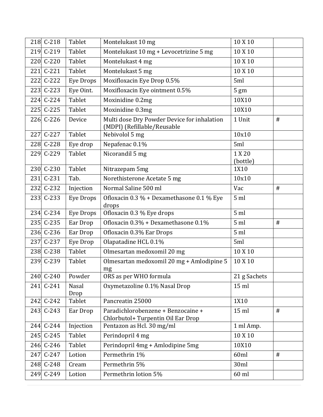|     | 218 C-218 | Tablet           | Montelukast 10 mg                                                          | 10 X 10            |      |
|-----|-----------|------------------|----------------------------------------------------------------------------|--------------------|------|
|     | 219 C-219 | Tablet           | Montelukast 10 mg + Levocetrizine 5 mg                                     | 10 X 10            |      |
|     | 220 C-220 | Tablet           | Montelukast 4 mg                                                           | 10 X 10            |      |
| 221 | $C-221$   | Tablet           | Montelukast 5 mg                                                           | 10 X 10            |      |
|     | 222 C-222 | Eye Drops        | Moxifloxacin Eye Drop 0.5%                                                 | 5ml                |      |
|     | 223 C-223 | Eye Oint.        | Moxifloxacin Eye ointment 0.5%                                             | $5 \text{ gm}$     |      |
|     | 224 C-224 | Tablet           | Moxinidine 0.2mg                                                           | 10X10              |      |
|     | 225 C-225 | Tablet           | Moxinidine 0.3mg                                                           | 10X10              |      |
|     | 226 C-226 | Device           | Multi dose Dry Powder Device for inhalation<br>(MDPI) (Refillable/Reusable | 1 Unit             | $\#$ |
| 227 | $C-227$   | Tablet           | Nebivolol 5 mg                                                             | 10x10              |      |
|     | 228 C-228 | Eye drop         | Nepafenac 0.1%                                                             | 5ml                |      |
|     | 229 C-229 | Tablet           | Nicorandil 5 mg                                                            | 1 X 20<br>(bottle) |      |
|     | 230 C-230 | Tablet           | Nitrazepam 5mg                                                             | 1X10               |      |
|     | 231 C-231 | Tab.             | Norethisterone Acetate 5 mg                                                | 10x10              |      |
|     | 232 C-232 | Injection        | Normal Saline 500 ml                                                       | Vac                | $\#$ |
|     | 233 C-233 | <b>Eye Drops</b> | Ofloxacin 0.3 % + Dexamethasone 0.1 % Eye<br>drops                         | 5 <sub>ml</sub>    |      |
|     | 234 C-234 | Eye Drops        | Ofloxacin 0.3 % Eye drops                                                  | 5 <sub>ml</sub>    |      |
|     | 235 C-235 | Ear Drop         | Ofloxacin 0.3% + Dexamethasone 0.1%                                        | 5 <sub>ml</sub>    | $\#$ |
|     | 236 C-236 | Ear Drop         | Ofloxacin 0.3% Ear Drops                                                   | 5 <sub>ml</sub>    |      |
|     | 237 C-237 | Eye Drop         | Olapatadine HCL 0.1%                                                       | 5ml                |      |
|     | 238 C-238 | Tablet           | Olmesartan medoxomil 20 mg                                                 | 10 X 10            |      |
|     | 239 C-239 | Tablet           | Olmesartan medoxomil 20 mg + Amlodipine 5<br>mg                            | 10 X 10            |      |
|     | 240 C-240 | Powder           | ORS as per WHO formula                                                     | 21 g Sachets       |      |
|     | 241 C-241 | Nasal<br>Drop    | Oxymetazoline 0.1% Nasal Drop                                              | $15$ ml            |      |
|     | 242 C-242 | Tablet           | Pancreatin 25000                                                           | 1X10               |      |
|     | 243 C-243 | Ear Drop         | Paradichlorobenzene + Benzocaine +<br>Chlorbutol+ Turpentin Oil Ear Drop   | $15$ ml            | $\#$ |
|     | 244 C-244 | Injection        | Pentazon as Hcl. 30 mg/ml                                                  | 1 ml Amp.          |      |
|     | 245 C-245 | Tablet           | Perindopril 4 mg                                                           | 10 X 10            |      |
|     | 246 C-246 | Tablet           | Perindopril 4mg + Amlodipine 5mg                                           | 10X10              |      |
|     | 247 C-247 | Lotion           | Permethrin 1%                                                              | 60ml               | $\#$ |
|     | 248 C-248 | Cream            | Permethrin 5%                                                              | 30ml               |      |
|     | 249 C-249 | Lotion           | Permethrin lotion 5%                                                       | 60 ml              |      |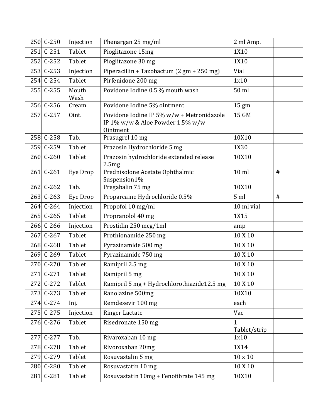|     | 250 C-250 | Injection     | Phenargan 25 mg/ml                                                                                  | 2 ml Amp.                    |      |
|-----|-----------|---------------|-----------------------------------------------------------------------------------------------------|------------------------------|------|
|     | 251 C-251 | Tablet        | Pioglitazone 15mg                                                                                   | 1X10                         |      |
|     | 252 C-252 | Tablet        | Pioglitazone 30 mg                                                                                  | 1X10                         |      |
|     | 253 C-253 | Injection     | Piperacillin + Tazobactum (2 gm + 250 mg)                                                           | Vial                         |      |
|     | 254 C-254 | Tablet        | Pirfenidone 200 mg                                                                                  | 1x10                         |      |
|     | 255 C-255 | Mouth<br>Wash | Povidone Iodine 0.5 % mouth wash                                                                    | 50 ml                        |      |
|     | 256 C-256 | Cream         | Povidone Iodine 5% ointment                                                                         | 15 gm                        |      |
|     | 257 C-257 | Oint.         | Povidone Iodine IP 5% w/w + Metronidazole<br>IP $1\%$ w/w & Aloe Powder 1.5% w/w<br><b>Ointment</b> | 15 GM                        |      |
|     | 258 C-258 | Tab.          | Prasugrel 10 mg                                                                                     | 10X10                        |      |
|     | 259 C-259 | Tablet        | Prazosin Hydrochloride 5 mg                                                                         | 1X30                         |      |
|     | 260 C-260 | Tablet        | Prazosin hydrochloride extended release<br>2.5mg                                                    | 10X10                        |      |
|     | 261 C-261 | Eye Drop      | Prednisolone Acetate Ophthalmic<br>Suspension1%                                                     | $10$ ml                      | $\#$ |
|     | 262 C-262 | Tab.          | Pregabalin 75 mg                                                                                    | 10X10                        |      |
|     | 263 C-263 | Eye Drop      | Proparcaine Hydrochloride 0.5%                                                                      | 5 <sub>ml</sub>              | $\#$ |
|     | 264 C-264 | Injection     | Propofol 10 mg/ml                                                                                   | 10 ml vial                   |      |
|     | 265 C-265 | Tablet        | Propranolol 40 mg                                                                                   | 1X15                         |      |
|     | 266 C-266 | Injection     | Prostidin 250 mcg/1ml                                                                               | amp                          |      |
|     | 267 C-267 | Tablet        | Prothionamide 250 mg                                                                                | 10 X 10                      |      |
|     | 268 C-268 | Tablet        | Pyrazinamide 500 mg                                                                                 | 10 X 10                      |      |
|     | 269 C-269 | Tablet        | Pyrazinamide 750 mg                                                                                 | 10 X 10                      |      |
|     | 270 C-270 | Tablet        | Ramipril 2.5 mg                                                                                     | 10 X 10                      |      |
|     | 271 C-271 | Tablet        | Ramipril 5 mg                                                                                       | 10 X 10                      |      |
| 272 | $C-272$   | Tablet        | Ramipril 5 mg + Hydrochlorothiazide12.5 mg                                                          | 10 X 10                      |      |
|     | 273 C-273 | Tablet        | Ranolazine 500mg                                                                                    | 10X10                        |      |
|     | 274 C-274 | Inj.          | Remdesevir 100 mg                                                                                   | each                         |      |
|     | 275 C-275 | Injection     | <b>Ringer Lactate</b>                                                                               | Vac                          |      |
|     | 276 C-276 | Tablet        | Risedronate 150 mg                                                                                  | $\mathbf{1}$<br>Tablet/strip |      |
| 277 | $C-277$   | Tab.          | Rivaroxaban 10 mg                                                                                   | 1x10                         |      |
|     | 278 C-278 | Tablet        | Rivoroxaban 20mg                                                                                    | 1X14                         |      |
|     | 279 C-279 | Tablet        | Rosuvastalin 5 mg                                                                                   | $10 \times 10$               |      |
|     | 280 C-280 | Tablet        | Rosuvastatin 10 mg                                                                                  | 10 X 10                      |      |
|     | 281 C-281 | Tablet        | Rosuvastatin 10mg + Fenofibrate 145 mg                                                              | 10X10                        |      |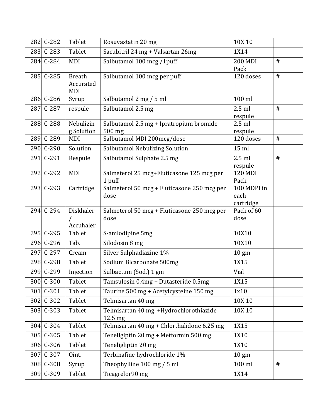|     | 282 C-282 | Tablet                            | Rosuvastatin 20 mg                                  | 10X 10                           |      |
|-----|-----------|-----------------------------------|-----------------------------------------------------|----------------------------------|------|
|     | 283 C-283 | Tablet                            | Sacubitril 24 mg + Valsartan 26mg                   | 1X14                             |      |
|     | 284 C-284 | MDI                               | Salbutamol 100 mcg /1puff                           | <b>200 MDI</b><br>Pack           | $\#$ |
|     | 285 C-285 | <b>Breath</b><br>Accurated<br>MDI | Salbutamol 100 mcg per puff                         | 120 doses                        | $\#$ |
|     | 286 C-286 | Syrup                             | Salbutamol 2 mg / 5 ml                              | 100 ml                           |      |
| 287 | $C-287$   | respule                           | Salbutamol 2.5 mg                                   | $2.5$ ml<br>respule              | $\#$ |
|     | 288 C-288 | Nebulizin<br>g Solution           | Salbutamol 2.5 mg + Ipratropium bromide<br>500 mg   | $2.5$ ml<br>respule              |      |
|     | 289 C-289 | MDI                               | Salbutamol MDI 200mcg/dose                          | 120 doses                        | $\#$ |
|     | 290 C-290 | Solution                          | Salbutamol Nebulizing Solution                      | $15$ ml                          |      |
|     | 291 C-291 | Respule                           | Salbutamol Sulphate 2.5 mg                          | $2.5$ ml<br>respule              | $\#$ |
|     | 292 C-292 | <b>MDI</b>                        | Salmeterol 25 mcg+Fluticasone 125 mcg per<br>1 puff | 120 MDI<br>Pack                  |      |
|     | 293 C-293 | Cartridge                         | Salmeterol 50 mcg + Fluticasone 250 mcg per<br>dose | 100 MDPI in<br>each<br>cartridge |      |
|     | 294 C-294 | Diskhaler<br>Accuhaler            | Salmeterol 50 mcg + Fluticasone 250 mcg per<br>dose | Pack of 60<br>dose               |      |
|     | 295 C-295 | Tablet                            | S-amlodipine 5mg                                    | 10X10                            |      |
|     | 296 C-296 | Tab.                              | Silodosin 8 mg                                      | 10X10                            |      |
|     | 297 C-297 | Cream                             | Silver Sulphadiazine 1%                             | $10 \text{ gm}$                  |      |
|     | 298 C-298 | Tablet                            | Sodium Bicarbonate 500mg                            | 1X15                             |      |
|     | 299 C-299 | Injection                         | Sulbactum (Sod.) 1 gm                               | Vial                             |      |
|     | 300 C-300 | Tablet                            | Tamsulosin 0.4mg + Dutasteride 0.5mg                | 1X15                             |      |
| 301 | $C-301$   | Tablet                            | Taurine 500 mg + Acetylcysteine 150 mg              | 1x10                             |      |
|     | 302 C-302 | Tablet                            | Telmisartan 40 mg                                   | 10X 10                           |      |
|     | 303 C-303 | Tablet                            | Telmisartan 40 mg +Hydrochlorothiazide<br>12.5 mg   | 10X 10                           |      |
|     | 304 C-304 | Tablet                            | Telmisartan 40 mg + Chlorthalidone 6.25 mg          | 1X15                             |      |
|     | 305 C-305 | Tablet                            | Teneligiptin 20 mg + Metformin 500 mg               | 1X10                             |      |
|     | 306 C-306 | Tablet                            | Teneligliptin 20 mg                                 | 1X10                             |      |
|     | 307 C-307 | Oint.                             | Terbinafine hydrochloride 1%                        | $10 \text{ gm}$                  |      |
|     | 308 C-308 | Syrup                             | Theophylline 100 mg / 5 ml                          | 100 ml                           | #    |
|     | 309 C-309 | Tablet                            | Ticagrelor90 mg                                     | 1X14                             |      |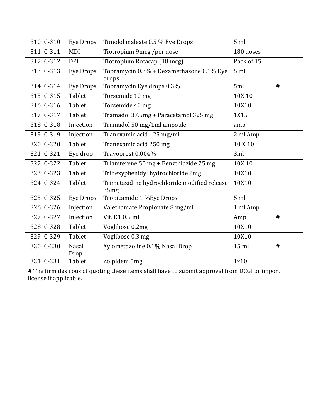|     | 310 C-310 | Eye Drops        | Timolol maleate 0.5 % Eye Drops                      | 5 <sub>ml</sub> |      |
|-----|-----------|------------------|------------------------------------------------------|-----------------|------|
| 311 | $C-311$   | MDI              | Tiotropium 9mcg /per dose                            | 180 doses       |      |
|     | 312 C-312 | <b>DPI</b>       | Tiotropium Rotacap (18 mcg)                          | Pack of 15      |      |
|     | 313 C-313 | <b>Eye Drops</b> | Tobramycin 0.3% + Dexamethasone 0.1% Eye<br>drops    | 5 <sub>m</sub>  |      |
|     | 314 C-314 | <b>Eye Drops</b> | Tobramycin Eye drops 0.3%                            | 5ml             | #    |
|     | 315 C-315 | Tablet           | Torsemide 10 mg                                      | 10X 10          |      |
|     | 316 C-316 | Tablet           | Torsemide 40 mg                                      | 10X10           |      |
|     | 317 C-317 | Tablet           | Tramadol 37.5mg + Paracetamol 325 mg                 | 1X15            |      |
|     | 318 C-318 | Injection        | Tramadol 50 mg/1ml ampoule                           | amp             |      |
|     | 319 C-319 | Injection        | Tranexamic acid 125 mg/ml                            | 2 ml Amp.       |      |
|     | 320 C-320 | Tablet           | Tranexamic acid 250 mg                               | 10 X 10         |      |
| 321 | $C-321$   | Eye drop         | Travoprost 0.004%                                    | 3ml             |      |
|     | 322 C-322 | Tablet           | Triamterene 50 mg + Benzthiazide 25 mg               | 10X 10          |      |
|     | 323 C-323 | Tablet           | Trihexyphenidyl hydrochloride 2mg                    | 10X10           |      |
|     | 324 C-324 | Tablet           | Trimetazidine hydrochloride modified release<br>35mg | 10X10           |      |
|     | 325 C-325 | <b>Eye Drops</b> | Tropicamide 1 %Eye Drops                             | 5 <sub>ml</sub> |      |
|     | 326 C-326 | Injection        | Valethamate Propionate 8 mg/ml                       | 1 ml Amp.       |      |
|     | 327 C-327 | Injection        | Vit. K1 0.5 ml                                       | Amp             | $\#$ |
|     | 328 C-328 | Tablet           | Voglibose 0.2mg                                      | 10X10           |      |
|     | 329 C-329 | Tablet           | Voglibose 0.3 mg                                     | 10X10           |      |
|     | 330 C-330 | Nasal<br>Drop    | Xylometazoline 0.1% Nasal Drop                       | 15 ml           | $\#$ |
|     | 331 C-331 | Tablet           | Zolpidem 5mg                                         | 1x10            |      |

**#** The firm desirous of quoting these items shall have to submit approval from DCGI or import license if applicable.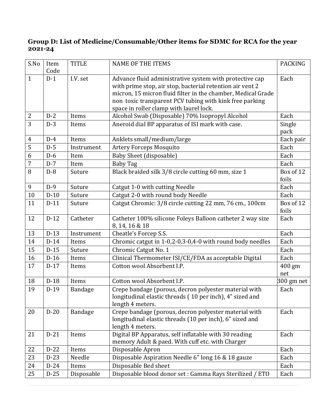### **Group D: List of Medicine/Consumable/Other items for SDMC for RCA for the year 2021-24**

| S.No           | Item<br>Code | <b>TITLE</b> | <b>NAME OF THE ITEMS</b>                                                                                                                                                                                                                                                                   | <b>PACKING</b>     |
|----------------|--------------|--------------|--------------------------------------------------------------------------------------------------------------------------------------------------------------------------------------------------------------------------------------------------------------------------------------------|--------------------|
| $\mathbf{1}$   | $D-1$        | I.V. set     | Advance fluid administrative system with protective cap<br>with prime stop, air stop, bacterial retention air vent 2<br>micron, 15 micron fluid filter in the chamber, Medical Grade<br>non toxic transparent PCV tubing with kink free parking<br>space in roller clamp with laurel lock. | Each               |
| $\overline{2}$ | $D-2$        | Items        | Alcohol Swab (Disposable) 70% Isopropyl Alcohol                                                                                                                                                                                                                                            | Each               |
| 3              | $D-3$        | Items        | Aneroid dial BP apparatus of ISI mark with case.                                                                                                                                                                                                                                           | Single<br>pack     |
| $\overline{4}$ | $D-4$        | Items        | Anklets small/medium/large                                                                                                                                                                                                                                                                 | Each pair          |
| 5              | $D-5$        | Instrument   | <b>Artery Forceps Mosquito</b>                                                                                                                                                                                                                                                             | Each               |
| 6              | $D-6$        | Item         | <b>Baby Sheet (disposable)</b>                                                                                                                                                                                                                                                             | Each               |
| 7              | $D-7$        | Item         | <b>Baby Tag</b>                                                                                                                                                                                                                                                                            | Each               |
| 8              | $D-8$        | Suture       | Black braided silk 3/8 circle cutting 60 mm, size 1                                                                                                                                                                                                                                        | Box of 12<br>foils |
| 9              | $D-9$        | Suture       | Catgut 1-0 with cutting Needle                                                                                                                                                                                                                                                             | Each               |
| 10             | $D-10$       | Suture       | Catgut 2-0 with round body Needle                                                                                                                                                                                                                                                          | Each               |
| 11             | $D-11$       | Suture       | Catgut Chromic: 3/8 circle cutting 22 mm, 76 cm., 100cm                                                                                                                                                                                                                                    | Box of 12<br>foils |
| 12             | $D-12$       | Catheter     | Catheter 100% silicone Foleys Balloon catheter 2 way size<br>8, 14, 16 & 18                                                                                                                                                                                                                | Each               |
| 13             | $D-13$       | Instrument   | Cheatle's Forcep S.S.                                                                                                                                                                                                                                                                      | Each               |
| 14             | $D-14$       | Items        | Chromic catgut in 1-0,2-0,3-0,4-0 with round body needles                                                                                                                                                                                                                                  | Each               |
| 15             | $D-15$       | Suture       | Chromic Catgut No. 1                                                                                                                                                                                                                                                                       | Each               |
| 16             | $D-16$       | Items        | Clinical Thermometer ISI/CE/FDA as acceptable Digital                                                                                                                                                                                                                                      | Each               |
| 17             | $D-17$       | Items        | Cotton wool Absorbent I.P.                                                                                                                                                                                                                                                                 | 400 gm<br>net      |
| 18             | $D-18$       | Items        | Cotton wool Absorbent I.P.                                                                                                                                                                                                                                                                 | 300 gm net         |
| 19             | $D-19$       | Bandage      | Crepe bandage (porous, decron polyester material with<br>longitudinal elastic threads (10 per inch), 4" sized and<br>length 4 meters.                                                                                                                                                      | Each               |
| 20             | $D-20$       | Bandage      | Crepe bandage (porous, decron polyester material with<br>longitudinal elastic threads (10 per inch), 6" sized and<br>length 4 meters.                                                                                                                                                      | Each               |
| 21             | $D-21$       | Items        | Digital BP Apparatus, self inflatable with 30 reading<br>memory Adult & paed. With cuff etc. with Charger                                                                                                                                                                                  | Each               |
| 22             | $D-22$       | Items        | Disposable Apron                                                                                                                                                                                                                                                                           | Each               |
| 23             | $D-23$       | Needle       | Disposable Aspiration Needle 6" long 16 & 18 gauze                                                                                                                                                                                                                                         | Each               |
| 24             | $D-24$       | Items        | Disposable Bed sheet                                                                                                                                                                                                                                                                       | Each               |
| 25             | $D-25$       | Disposable   | Disposable blood donor set : Gamma Rays Sterilized / ETO                                                                                                                                                                                                                                   | Each               |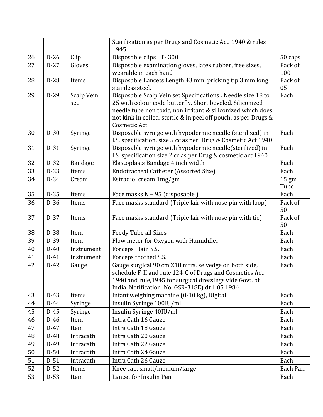|          |                  |                    | Sterilization as per Drugs and Cosmetic Act 1940 & rules<br>1945                                                  |                 |
|----------|------------------|--------------------|-------------------------------------------------------------------------------------------------------------------|-----------------|
| 26       | $D-26$           | Clip               | Disposable clips LT-300                                                                                           | 50 caps         |
| 27       | $D-27$           | Gloves             | Disposable examination gloves, latex rubber, free sizes,                                                          | Pack of         |
|          |                  |                    | wearable in each hand                                                                                             | 100             |
| 28       | $D-28$           | Items              | Disposable Lancets Length 43 mm, pricking tip 3 mm long                                                           | Pack of         |
|          |                  |                    | stainless steel.                                                                                                  | 05              |
| 29       | $D-29$           | Scalp Vein         | Disposable Scalp Vein set Specifications : Needle size 18 to                                                      | Each            |
|          |                  | set                | 25 with colour code butterfly, Short beveled, Siliconized                                                         |                 |
|          |                  |                    | needle tube non toxic, non irritant & siliconized which does                                                      |                 |
|          |                  |                    | not kink in coiled, sterile & in peel off pouch, as per Drugs &<br>Cosmetic Act                                   |                 |
| 30       | $D-30$           | Syringe            | Disposable syringe with hypodermic needle (sterilized) in                                                         | Each            |
|          |                  |                    | I.S. specification, size 5 cc as per Drug & Cosmetic Act 1940                                                     |                 |
| 31       | $D-31$           | Syringe            | Disposable syringe with hypodermic needle(sterilized) in                                                          | Each            |
|          |                  |                    | I.S. specification size 2 cc as per Drug & cosmetic act 1940                                                      |                 |
| 32       | $D-32$           | Bandage            | Elastoplasts Bandage 4 inch width                                                                                 | Each            |
| 33       | $D-33$           | Items              | Endotracheal Catheter (Assorted Size)                                                                             | Each            |
| 34       | $D-34$           | Cream              | Estradiol cream 1mg/gm                                                                                            | $15 \text{ gm}$ |
|          |                  |                    |                                                                                                                   | Tube            |
| 35       | $D-35$           | Items              | Face masks N - 95 (disposable)                                                                                    | Each            |
| 36       | $D-36$           | Items              | Face masks standard (Triple lair with nose pin with loop)                                                         | Pack of         |
|          |                  |                    |                                                                                                                   | 50              |
| 37       | $D-37$           | Items              | Face masks standard (Triple lair with nose pin with tie)                                                          | Pack of         |
|          |                  |                    |                                                                                                                   | 50              |
| 38<br>39 | $D-38$<br>$D-39$ | Item               | Feedy Tube all Sizes                                                                                              | Each            |
| 40       | $D-40$           | Item<br>Instrument | Flow meter for Oxygen with Humidifier                                                                             | Each            |
|          |                  |                    | Forceps Plain S.S.<br>Forceps toothed S.S.                                                                        | Each            |
| 41<br>42 | $D-41$<br>$D-42$ | Instrument         |                                                                                                                   | Each            |
|          |                  | Gauge              | Gauge surgical 90 cm X18 mtrs. selvedge on both side,<br>schedule F-II and rule 124-C of Drugs and Cosmetics Act, | Each            |
|          |                  |                    | 1940 and rule, 1945 for surgical dressings vide Govt. of                                                          |                 |
|          |                  |                    | India Notification No. GSR-318E) dt 1.05.1984                                                                     |                 |
| 43       | $D-43$           | Items              | Infant weighing machine (0-10 kg), Digital                                                                        | Each            |
| 44       | $D-44$           | Syringe            | Insulin Syringe 100IU/ml                                                                                          | Each            |
| 45       | $D-45$           | Syringe            | Insulin Syringe 40IU/ml                                                                                           | Each            |
| 46       | $D-46$           | Item               | Intra Cath 16 Gauze                                                                                               | Each            |
| 47       | $D-47$           | Item               | Intra Cath 18 Gauze                                                                                               | Each            |
| 48       | $D-48$           | Intracath          | Intra Cath 20 Gauze                                                                                               | Each            |
| 49       | $D-49$           | Intracath          | Intra Cath 22 Gauze                                                                                               | Each            |
| 50       | $D-50$           | Intracath          | Intra Cath 24 Gauze                                                                                               | Each            |
| 51       | $D-51$           | Intracath          | Intra Cath 26 Gauze                                                                                               | Each            |
| 52       | $D-52$           | Items              | Knee cap, small/medium/large                                                                                      | Each Pair       |
| 53       | $D-53$           | Item               | Lancet for Insulin Pen                                                                                            | Each            |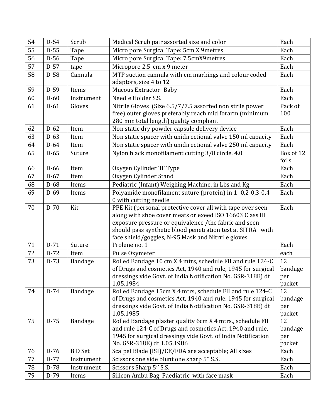| 54 | $D-54$ | Scrub         | Medical Scrub pair assorted size and color                                                                                  | Each           |
|----|--------|---------------|-----------------------------------------------------------------------------------------------------------------------------|----------------|
| 55 | $D-55$ | Tape          | Micro pore Surgical Tape: 5cm X 9metres                                                                                     | Each           |
| 56 | $D-56$ | Tape          | Micro pore Surgical Tape: 7.5cmX9metres                                                                                     | Each           |
| 57 | $D-57$ | tape          | Micropore 2.5 cm x 9 meter                                                                                                  | Each           |
| 58 | $D-58$ | Cannula       | MTP suction cannula with cm markings and colour coded                                                                       | Each           |
|    |        |               | adaptors, size 4 to 12                                                                                                      |                |
| 59 | $D-59$ | Items         | <b>Mucous Extractor-Baby</b>                                                                                                | Each           |
| 60 | $D-60$ | Instrument    | Needle Holder S.S.                                                                                                          | Each           |
| 61 | $D-61$ | Gloves        | Nitrile Gloves (Size 6.5/7/7.5 assorted non strile power                                                                    | Pack of        |
|    |        |               | free) outer gloves preferably reach mid forarm (minimum                                                                     | 100            |
|    |        |               | 280 mm total length) quality compliant                                                                                      |                |
| 62 | $D-62$ | Item          | Non static dry powder capsule delivery device                                                                               | Each           |
| 63 | $D-63$ | Item          | Non static spacer with unidirectional valve 150 ml capacity                                                                 | Each           |
| 64 | $D-64$ | Item          | Non static spacer with unidirectional valve 250 ml capacity                                                                 | Each           |
| 65 | $D-65$ | Suture        | Nylon black monofilament cutting 3/8 circle, 4.0                                                                            | Box of 12      |
|    |        |               |                                                                                                                             | foils          |
| 66 | $D-66$ | Item          | Oxygen Cylinder 'B' Type                                                                                                    | Each           |
| 67 | $D-67$ | Item          | Oxygen Cylinder Stand                                                                                                       | Each           |
| 68 | $D-68$ | Items         | Pediatric (Infant) Weighing Machine, in Lbs and Kg                                                                          | Each           |
| 69 | $D-69$ | Items         | Polyamide monofilament suture (protein) in 1-0,2-0,3-0,4-                                                                   | Each           |
|    |        |               | 0 with cutting needle                                                                                                       |                |
| 70 | $D-70$ | Kit           | PPE Kit (personal protective cover all with tape over seen                                                                  | Each           |
|    |        |               | along with shoe cover meats or exeed ISO 16603 Class III                                                                    |                |
|    |        |               | exposure pressure or equivalence / the fabric and seen                                                                      |                |
|    |        |               | should pass synthetic blood penetration test at SITRA with                                                                  |                |
| 71 | $D-71$ | Suture        | face shield/goggles, N-95 Mask and Nitrrile gloves<br>Prolene no. 1                                                         | Each           |
| 72 |        |               |                                                                                                                             |                |
|    | $D-72$ | Item          | Pulse Oxymeter                                                                                                              | each           |
| 73 | $D-73$ | Bandage       | Rolled Bandage 10 cm X 4 mtrs, schedule FII and rule 124-C                                                                  | 12             |
|    |        |               | of Drugs and cosmetics Act, 1940 and rule, 1945 for surgical<br>dressings vide Govt. of India Notification No. GSR-318E) dt | bandage<br>per |
|    |        |               | 1.05.1984                                                                                                                   | packet         |
| 74 | $D-74$ | Bandage       | Rolled Bandage 15cm X 4 mtrs, schedule FII and rule 124-C                                                                   | 12             |
|    |        |               | of Drugs and cosmetics Act, 1940 and rule, 1945 for surgical                                                                | bandage        |
|    |        |               | dressings vide Govt. of India Notification No. GSR-318E) dt                                                                 | per            |
|    |        |               | 1.05.1985                                                                                                                   | packet         |
| 75 | $D-75$ | Bandage       | Rolled Bandage plaster quality 6cm X 4 mtrs., schedule FII                                                                  | 12             |
|    |        |               | and rule 124-C of Drugs and cosmetics Act, 1940 and rule,                                                                   | bandage        |
|    |        |               | 1945 for surgical dressings vide Govt. of India Notification                                                                | per            |
|    |        |               | No. GSR-318E) dt 1.05.1986                                                                                                  | packet         |
| 76 | $D-76$ | <b>BD</b> Set | Scalpel Blade (ISI)/CE/FDA are acceptable; All sizes                                                                        | Each           |
| 77 | $D-77$ | Instrument    | Scissors one side blunt one sharp 5" S.S.                                                                                   | Each           |
| 78 | $D-78$ | Instrument    | Scissors Sharp 5" S.S.                                                                                                      | Each           |
| 79 | $D-79$ | Items         | Silicon Ambu Bag Paediatric with face mask                                                                                  | Each           |